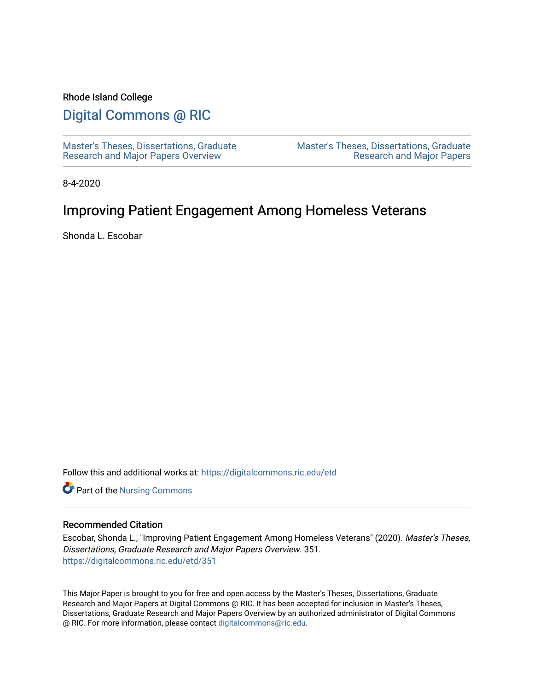# Rhode Island College

# [Digital Commons @ RIC](https://digitalcommons.ric.edu/)

[Master's Theses, Dissertations, Graduate](https://digitalcommons.ric.edu/etd) [Research and Major Papers Overview](https://digitalcommons.ric.edu/etd) 

[Master's Theses, Dissertations, Graduate](https://digitalcommons.ric.edu/etds)  [Research and Major Papers](https://digitalcommons.ric.edu/etds) 

8-4-2020

# Improving Patient Engagement Among Homeless Veterans

Shonda L. Escobar

Follow this and additional works at: [https://digitalcommons.ric.edu/etd](https://digitalcommons.ric.edu/etd?utm_source=digitalcommons.ric.edu%2Fetd%2F351&utm_medium=PDF&utm_campaign=PDFCoverPages)

Part of the [Nursing Commons](http://network.bepress.com/hgg/discipline/718?utm_source=digitalcommons.ric.edu%2Fetd%2F351&utm_medium=PDF&utm_campaign=PDFCoverPages) 

## Recommended Citation

Escobar, Shonda L., "Improving Patient Engagement Among Homeless Veterans" (2020). Master's Theses, Dissertations, Graduate Research and Major Papers Overview. 351. [https://digitalcommons.ric.edu/etd/351](https://digitalcommons.ric.edu/etd/351?utm_source=digitalcommons.ric.edu%2Fetd%2F351&utm_medium=PDF&utm_campaign=PDFCoverPages) 

This Major Paper is brought to you for free and open access by the Master's Theses, Dissertations, Graduate Research and Major Papers at Digital Commons @ RIC. It has been accepted for inclusion in Master's Theses, Dissertations, Graduate Research and Major Papers Overview by an authorized administrator of Digital Commons @ RIC. For more information, please contact [digitalcommons@ric.edu.](mailto:digitalcommons@ric.edu)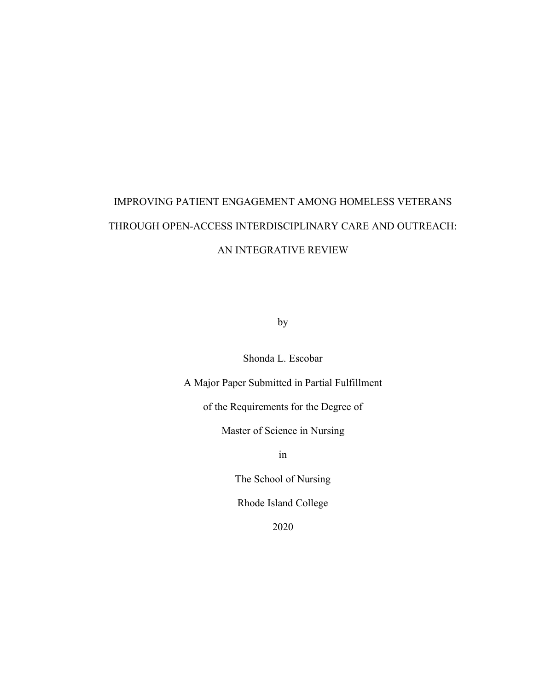# IMPROVING PATIENT ENGAGEMENT AMONG HOMELESS VETERANS THROUGH OPEN-ACCESS INTERDISCIPLINARY CARE AND OUTREACH: AN INTEGRATIVE REVIEW

by

Shonda L. Escobar

A Major Paper Submitted in Partial Fulfillment

of the Requirements for the Degree of

Master of Science in Nursing

in

The School of Nursing

Rhode Island College

2020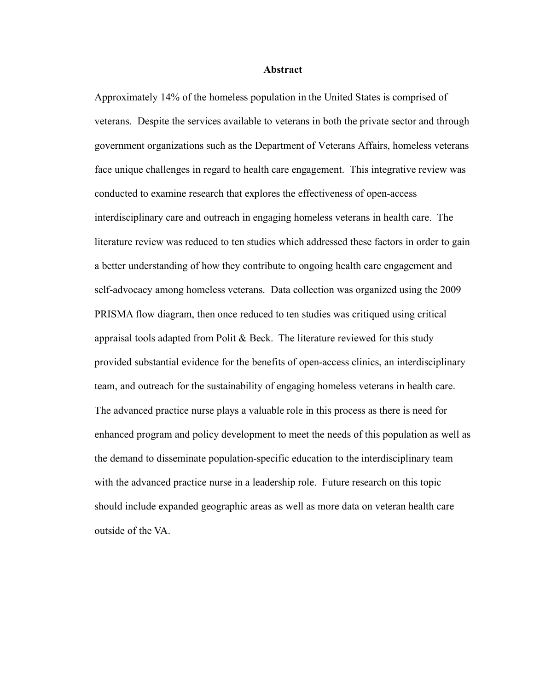### **Abstract**

Approximately 14% of the homeless population in the United States is comprised of veterans. Despite the services available to veterans in both the private sector and through government organizations such as the Department of Veterans Affairs, homeless veterans face unique challenges in regard to health care engagement. This integrative review was conducted to examine research that explores the effectiveness of open-access interdisciplinary care and outreach in engaging homeless veterans in health care. The literature review was reduced to ten studies which addressed these factors in order to gain a better understanding of how they contribute to ongoing health care engagement and self-advocacy among homeless veterans. Data collection was organized using the 2009 PRISMA flow diagram, then once reduced to ten studies was critiqued using critical appraisal tools adapted from Polit  $\&$  Beck. The literature reviewed for this study provided substantial evidence for the benefits of open-access clinics, an interdisciplinary team, and outreach for the sustainability of engaging homeless veterans in health care. The advanced practice nurse plays a valuable role in this process as there is need for enhanced program and policy development to meet the needs of this population as well as the demand to disseminate population-specific education to the interdisciplinary team with the advanced practice nurse in a leadership role. Future research on this topic should include expanded geographic areas as well as more data on veteran health care outside of the VA.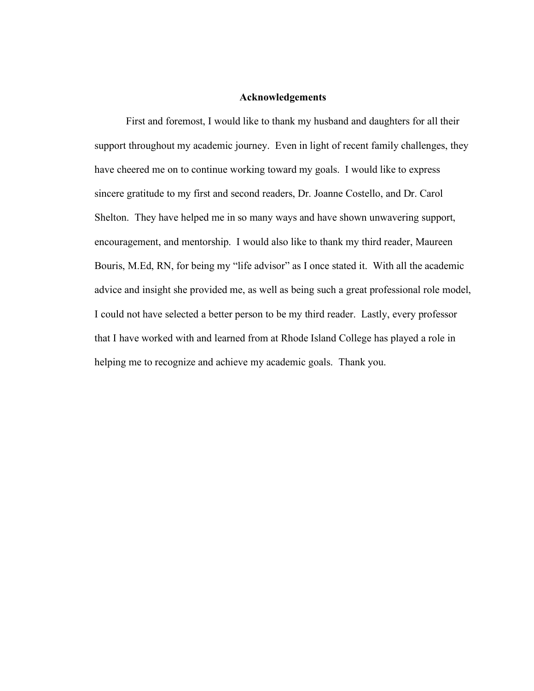#### **Acknowledgements**

First and foremost, I would like to thank my husband and daughters for all their support throughout my academic journey. Even in light of recent family challenges, they have cheered me on to continue working toward my goals. I would like to express sincere gratitude to my first and second readers, Dr. Joanne Costello, and Dr. Carol Shelton. They have helped me in so many ways and have shown unwavering support, encouragement, and mentorship. I would also like to thank my third reader, Maureen Bouris, M.Ed, RN, for being my "life advisor" as I once stated it. With all the academic advice and insight she provided me, as well as being such a great professional role model, I could not have selected a better person to be my third reader. Lastly, every professor that I have worked with and learned from at Rhode Island College has played a role in helping me to recognize and achieve my academic goals. Thank you.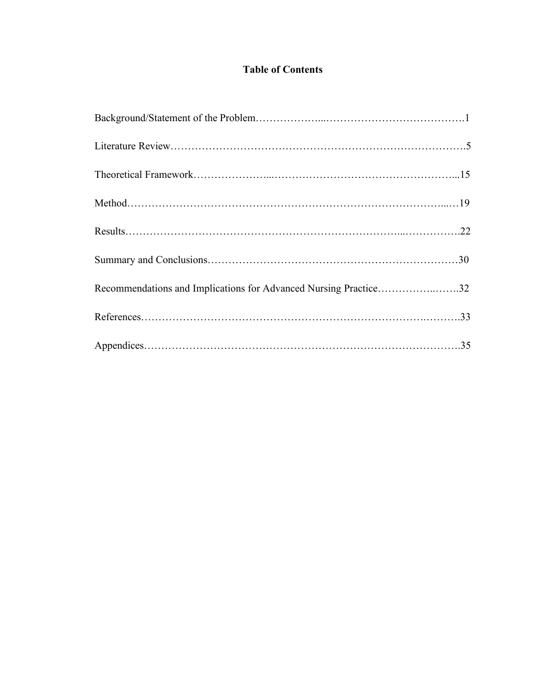# **Table of Contents**

| Recommendations and Implications for Advanced Nursing Practice32 |  |
|------------------------------------------------------------------|--|
|                                                                  |  |
|                                                                  |  |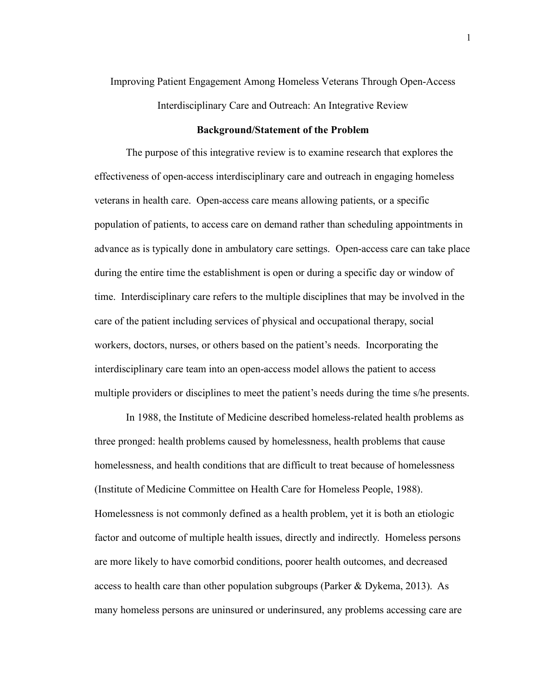# Improving Patient Engagement Among Homeless Veterans Through Open-Access Interdisciplinary Care and Outreach: An Integrative Review

#### **Background/Statement of the Problem**

The purpose of this integrative review is to examine research that explores the effectiveness of open-access interdisciplinary care and outreach in engaging homeless veterans in health care. Open-access care means allowing patients, or a specific population of patients, to access care on demand rather than scheduling appointments in advance as is typically done in ambulatory care settings. Open-access care can take place during the entire time the establishment is open or during a specific day or window of time. Interdisciplinary care refers to the multiple disciplines that may be involved in the care of the patient including services of physical and occupational therapy, social workers, doctors, nurses, or others based on the patient's needs. Incorporating the interdisciplinary care team into an open-access model allows the patient to access multiple providers or disciplines to meet the patient's needs during the time s/he presents.

In 1988, the Institute of Medicine described homeless-related health problems as three pronged: health problems caused by homelessness, health problems that cause homelessness, and health conditions that are difficult to treat because of homelessness (Institute of Medicine Committee on Health Care for Homeless People, 1988). Homelessness is not commonly defined as a health problem, yet it is both an etiologic factor and outcome of multiple health issues, directly and indirectly. Homeless persons are more likely to have comorbid conditions, poorer health outcomes, and decreased access to health care than other population subgroups (Parker & Dykema, 2013). As many homeless persons are uninsured or underinsured, any problems accessing care are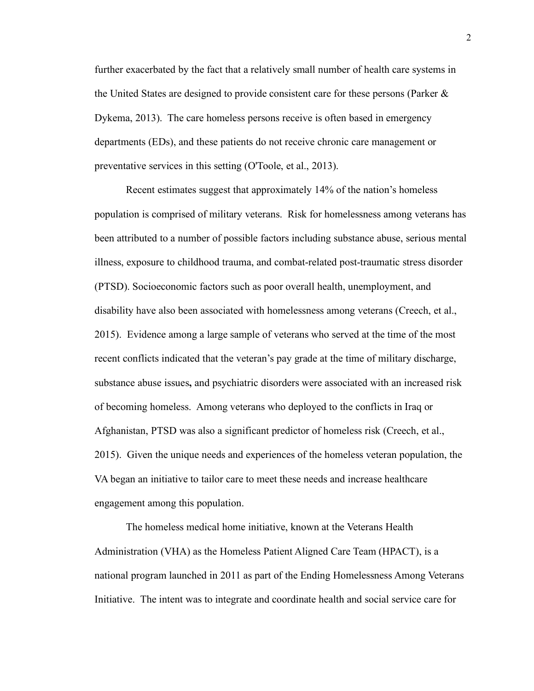further exacerbated by the fact that a relatively small number of health care systems in the United States are designed to provide consistent care for these persons (Parker & Dykema, 2013). The care homeless persons receive is often based in emergency departments (EDs), and these patients do not receive chronic care management or preventative services in this setting (O'Toole, et al., 2013).

Recent estimates suggest that approximately 14% of the nation's homeless population is comprised of military veterans. Risk for homelessness among veterans has been attributed to a number of possible factors including substance abuse, serious mental illness, exposure to childhood trauma, and combat-related post-traumatic stress disorder (PTSD). Socioeconomic factors such as poor overall health, unemployment, and disability have also been associated with homelessness among veterans (Creech, et al., 2015). Evidence among a large sample of veterans who served at the time of the most recent conflicts indicated that the veteran's pay grade at the time of military discharge, substance abuse issues**,** and psychiatric disorders were associated with an increased risk of becoming homeless. Among veterans who deployed to the conflicts in Iraq or Afghanistan, PTSD was also a significant predictor of homeless risk (Creech, et al., 2015). Given the unique needs and experiences of the homeless veteran population, the VA began an initiative to tailor care to meet these needs and increase healthcare engagement among this population.

The homeless medical home initiative, known at the Veterans Health Administration (VHA) as the Homeless Patient Aligned Care Team (HPACT), is a national program launched in 2011 as part of the Ending Homelessness Among Veterans Initiative. The intent was to integrate and coordinate health and social service care for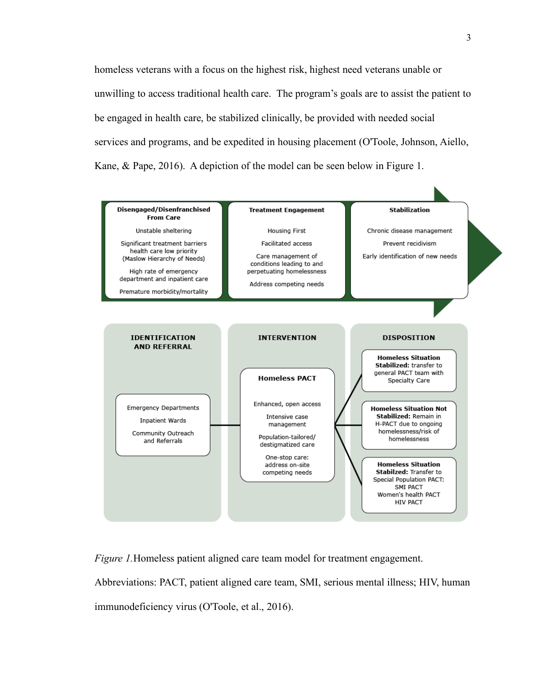homeless veterans with a focus on the highest risk, highest need veterans unable or unwilling to access traditional health care. The program's goals are to assist the patient to be engaged in health care, be stabilized clinically, be provided with needed social services and programs, and be expedited in housing placement (O'Toole, Johnson, Aiello, Kane, & Pape, 2016). A depiction of the model can be seen below in Figure 1.



*Figure 1.* Homeless patient aligned care team model for treatment engagement. Abbreviations: PACT, patient aligned care team, SMI, serious mental illness; HIV, human immunodeficiency virus (O'Toole, et al., 2016).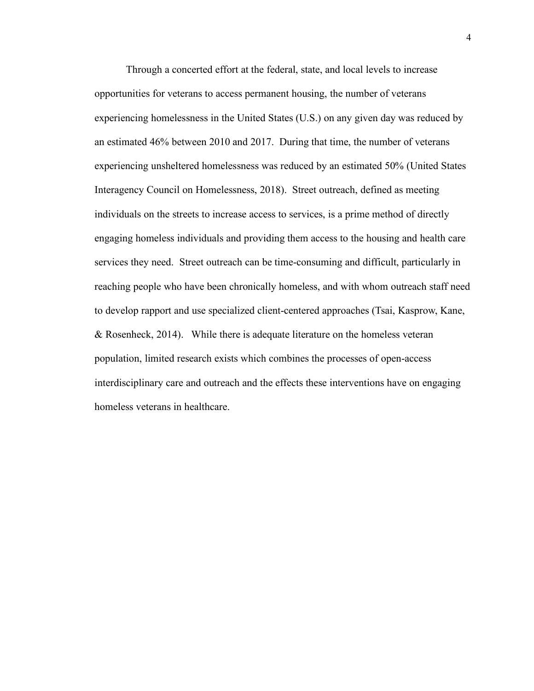Through a concerted effort at the federal, state, and local levels to increase opportunities for veterans to access permanent housing, the number of veterans experiencing homelessness in the United States (U.S.) on any given day was reduced by an estimated 46% between 2010 and 2017. During that time, the number of veterans experiencing unsheltered homelessness was reduced by an estimated 50% (United States Interagency Council on Homelessness, 2018). Street outreach, defined as meeting individuals on the streets to increase access to services, is a prime method of directly engaging homeless individuals and providing them access to the housing and health care services they need. Street outreach can be time-consuming and difficult, particularly in reaching people who have been chronically homeless, and with whom outreach staff need to develop rapport and use specialized client-centered approaches (Tsai, Kasprow, Kane, & Rosenheck, 2014). While there is adequate literature on the homeless veteran population, limited research exists which combines the processes of open-access interdisciplinary care and outreach and the effects these interventions have on engaging homeless veterans in healthcare.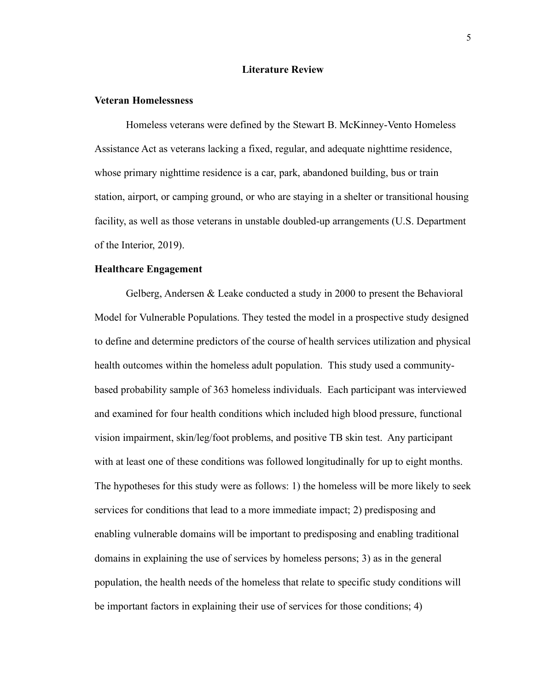### **Literature Review**

# **Veteran Homelessness**

Homeless veterans were defined by the Stewart B. McKinney-Vento Homeless Assistance Act as veterans lacking a fixed, regular, and adequate nighttime residence, whose primary nighttime residence is a car, park, abandoned building, bus or train station, airport, or camping ground, or who are staying in a shelter or transitional housing facility, as well as those veterans in unstable doubled-up arrangements (U.S. Department of the Interior, 2019).

# **Healthcare Engagement**

Gelberg, Andersen & Leake conducted a study in 2000 to present the Behavioral Model for Vulnerable Populations. They tested the model in a prospective study designed to define and determine predictors of the course of health services utilization and physical health outcomes within the homeless adult population. This study used a communitybased probability sample of 363 homeless individuals. Each participant was interviewed and examined for four health conditions which included high blood pressure, functional vision impairment, skin/leg/foot problems, and positive TB skin test. Any participant with at least one of these conditions was followed longitudinally for up to eight months. The hypotheses for this study were as follows: 1) the homeless will be more likely to seek services for conditions that lead to a more immediate impact; 2) predisposing and enabling vulnerable domains will be important to predisposing and enabling traditional domains in explaining the use of services by homeless persons; 3) as in the general population, the health needs of the homeless that relate to specific study conditions will be important factors in explaining their use of services for those conditions; 4)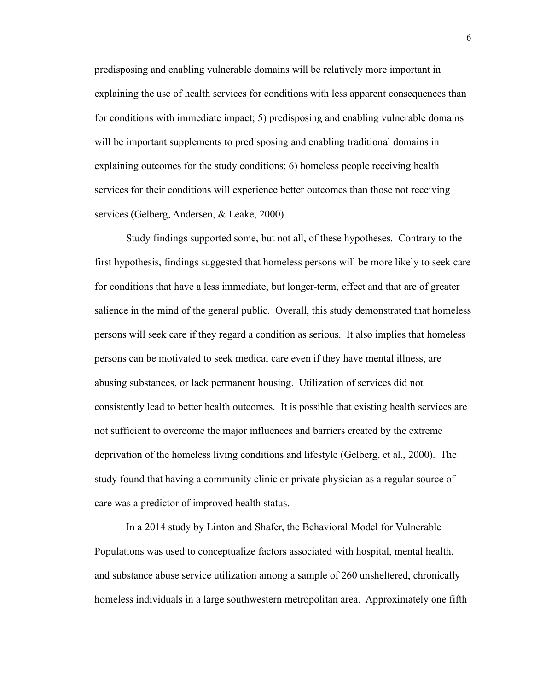predisposing and enabling vulnerable domains will be relatively more important in explaining the use of health services for conditions with less apparent consequences than for conditions with immediate impact; 5) predisposing and enabling vulnerable domains will be important supplements to predisposing and enabling traditional domains in explaining outcomes for the study conditions; 6) homeless people receiving health services for their conditions will experience better outcomes than those not receiving services (Gelberg, Andersen, & Leake, 2000).

Study findings supported some, but not all, of these hypotheses. Contrary to the first hypothesis, findings suggested that homeless persons will be more likely to seek care for conditions that have a less immediate, but longer-term, effect and that are of greater salience in the mind of the general public. Overall, this study demonstrated that homeless persons will seek care if they regard a condition as serious. It also implies that homeless persons can be motivated to seek medical care even if they have mental illness, are abusing substances, or lack permanent housing. Utilization of services did not consistently lead to better health outcomes. It is possible that existing health services are not sufficient to overcome the major influences and barriers created by the extreme deprivation of the homeless living conditions and lifestyle (Gelberg, et al., 2000). The study found that having a community clinic or private physician as a regular source of care was a predictor of improved health status.

In a 2014 study by Linton and Shafer, the Behavioral Model for Vulnerable Populations was used to conceptualize factors associated with hospital, mental health, and substance abuse service utilization among a sample of 260 unsheltered, chronically homeless individuals in a large southwestern metropolitan area. Approximately one fifth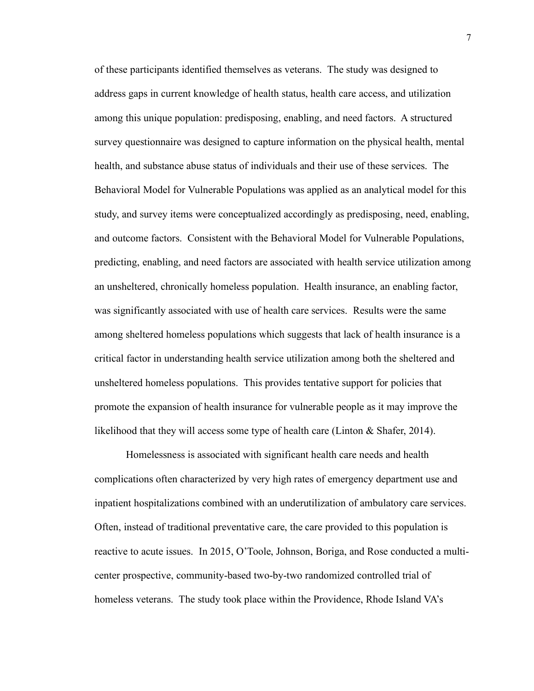of these participants identified themselves as veterans. The study was designed to address gaps in current knowledge of health status, health care access, and utilization among this unique population: predisposing, enabling, and need factors. A structured survey questionnaire was designed to capture information on the physical health, mental health, and substance abuse status of individuals and their use of these services. The Behavioral Model for Vulnerable Populations was applied as an analytical model for this study, and survey items were conceptualized accordingly as predisposing, need, enabling, and outcome factors. Consistent with the Behavioral Model for Vulnerable Populations, predicting, enabling, and need factors are associated with health service utilization among an unsheltered, chronically homeless population. Health insurance, an enabling factor, was significantly associated with use of health care services. Results were the same among sheltered homeless populations which suggests that lack of health insurance is a critical factor in understanding health service utilization among both the sheltered and unsheltered homeless populations. This provides tentative support for policies that promote the expansion of health insurance for vulnerable people as it may improve the likelihood that they will access some type of health care (Linton & Shafer, 2014).

Homelessness is associated with significant health care needs and health complications often characterized by very high rates of emergency department use and inpatient hospitalizations combined with an underutilization of ambulatory care services. Often, instead of traditional preventative care, the care provided to this population is reactive to acute issues. In 2015, O'Toole, Johnson, Boriga, and Rose conducted a multicenter prospective, community-based two-by-two randomized controlled trial of homeless veterans. The study took place within the Providence, Rhode Island VA's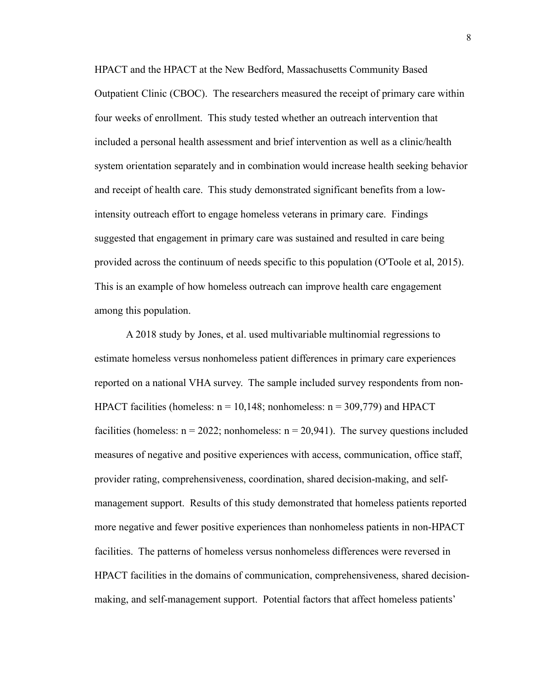HPACT and the HPACT at the New Bedford, Massachusetts Community Based Outpatient Clinic (CBOC). The researchers measured the receipt of primary care within four weeks of enrollment. This study tested whether an outreach intervention that included a personal health assessment and brief intervention as well as a clinic/health system orientation separately and in combination would increase health seeking behavior and receipt of health care. This study demonstrated significant benefits from a lowintensity outreach effort to engage homeless veterans in primary care. Findings suggested that engagement in primary care was sustained and resulted in care being provided across the continuum of needs specific to this population (O'Toole et al, 2015). This is an example of how homeless outreach can improve health care engagement among this population.

A 2018 study by Jones, et al. used multivariable multinomial regressions to estimate homeless versus nonhomeless patient differences in primary care experiences reported on a national VHA survey. The sample included survey respondents from non-HPACT facilities (homeless:  $n = 10,148$ ; nonhomeless:  $n = 309,779$ ) and HPACT facilities (homeless:  $n = 2022$ ; nonhomeless:  $n = 20,941$ ). The survey questions included measures of negative and positive experiences with access, communication, office staff, provider rating, comprehensiveness, coordination, shared decision-making, and selfmanagement support. Results of this study demonstrated that homeless patients reported more negative and fewer positive experiences than nonhomeless patients in non-HPACT facilities. The patterns of homeless versus nonhomeless differences were reversed in HPACT facilities in the domains of communication, comprehensiveness, shared decisionmaking, and self-management support. Potential factors that affect homeless patients'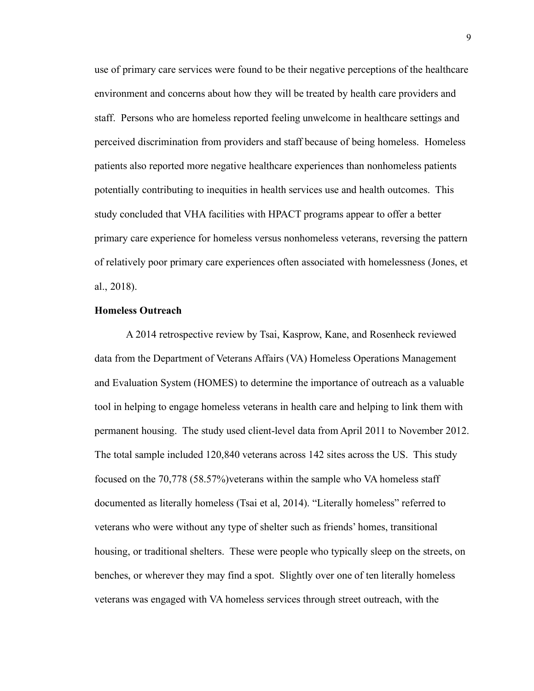use of primary care services were found to be their negative perceptions of the healthcare environment and concerns about how they will be treated by health care providers and staff. Persons who are homeless reported feeling unwelcome in healthcare settings and perceived discrimination from providers and staff because of being homeless. Homeless patients also reported more negative healthcare experiences than nonhomeless patients potentially contributing to inequities in health services use and health outcomes. This study concluded that VHA facilities with HPACT programs appear to offer a better primary care experience for homeless versus nonhomeless veterans, reversing the pattern of relatively poor primary care experiences often associated with homelessness (Jones, et al., 2018).

#### **Homeless Outreach**

A 2014 retrospective review by Tsai, Kasprow, Kane, and Rosenheck reviewed data from the Department of Veterans Affairs (VA) Homeless Operations Management and Evaluation System (HOMES) to determine the importance of outreach as a valuable tool in helping to engage homeless veterans in health care and helping to link them with permanent housing. The study used client-level data from April 2011 to November 2012. The total sample included 120,840 veterans across 142 sites across the US. This study focused on the 70,778 (58.57%)veterans within the sample who VA homeless staff documented as literally homeless (Tsai et al, 2014). "Literally homeless" referred to veterans who were without any type of shelter such as friends' homes, transitional housing, or traditional shelters. These were people who typically sleep on the streets, on benches, or wherever they may find a spot. Slightly over one of ten literally homeless veterans was engaged with VA homeless services through street outreach, with the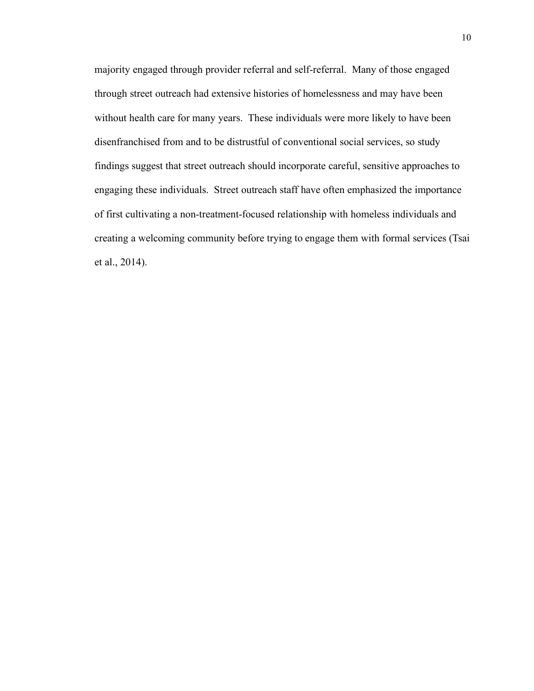majority engaged through provider referral and self-referral. Many of those engaged through street outreach had extensive histories of homelessness and may have been without health care for many years. These individuals were more likely to have been disenfranchised from and to be distrustful of conventional social services, so study findings suggest that street outreach should incorporate careful, sensitive approaches to engaging these individuals. Street outreach staff have often emphasized the importance of first cultivating a non-treatment-focused relationship with homeless individuals and creating a welcoming community before trying to engage them with formal services (Tsai et al., 2014).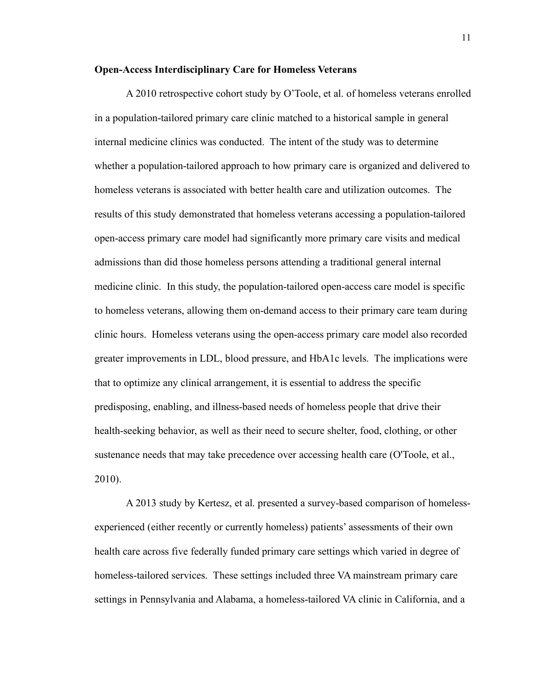# **Open-Access Interdisciplinary Care for Homeless Veterans**

A 2010 retrospective cohort study by O'Toole, et al. of homeless veterans enrolled in a population-tailored primary care clinic matched to a historical sample in general internal medicine clinics was conducted. The intent of the study was to determine whether a population-tailored approach to how primary care is organized and delivered to homeless veterans is associated with better health care and utilization outcomes. The results of this study demonstrated that homeless veterans accessing a population-tailored open-access primary care model had significantly more primary care visits and medical admissions than did those homeless persons attending a traditional general internal medicine clinic. In this study, the population-tailored open-access care model is specific to homeless veterans, allowing them on-demand access to their primary care team during clinic hours. Homeless veterans using the open-access primary care model also recorded greater improvements in LDL, blood pressure, and HbA1c levels. The implications were that to optimize any clinical arrangement, it is essential to address the specific predisposing, enabling, and illness-based needs of homeless people that drive their health-seeking behavior, as well as their need to secure shelter, food, clothing, or other sustenance needs that may take precedence over accessing health care (O'Toole, et al., 2010).

A 2013 study by Kertesz, et al. presented a survey-based comparison of homelessexperienced (either recently or currently homeless) patients' assessments of their own health care across five federally funded primary care settings which varied in degree of homeless-tailored services. These settings included three VA mainstream primary care settings in Pennsylvania and Alabama, a homeless-tailored VA clinic in California, and a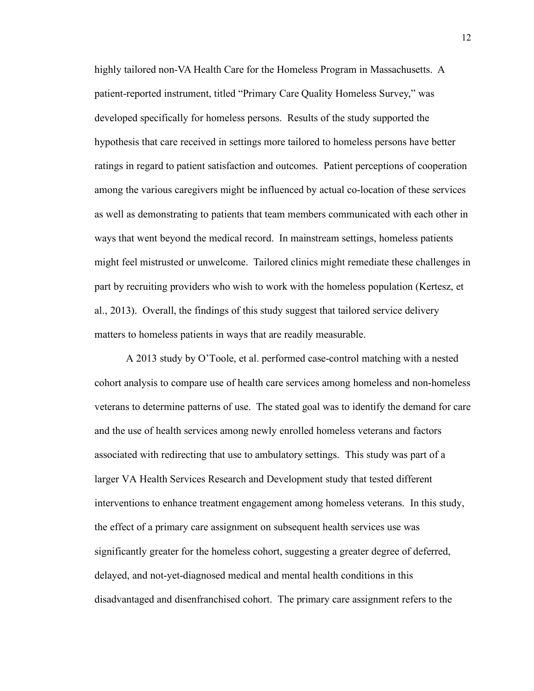highly tailored non-VA Health Care for the Homeless Program in Massachusetts. A patient-reported instrument, titled "Primary Care Quality Homeless Survey," was developed specifically for homeless persons. Results of the study supported the hypothesis that care received in settings more tailored to homeless persons have better ratings in regard to patient satisfaction and outcomes. Patient perceptions of cooperation among the various caregivers might be influenced by actual co-location of these services as well as demonstrating to patients that team members communicated with each other in ways that went beyond the medical record. In mainstream settings, homeless patients might feel mistrusted or unwelcome. Tailored clinics might remediate these challenges in part by recruiting providers who wish to work with the homeless population (Kertesz, et al., 2013). Overall, the findings of this study suggest that tailored service delivery matters to homeless patients in ways that are readily measurable.

A 2013 study by O'Toole, et al. performed case-control matching with a nested cohort analysis to compare use of health care services among homeless and non-homeless veterans to determine patterns of use. The stated goal was to identify the demand for care and the use of health services among newly enrolled homeless veterans and factors associated with redirecting that use to ambulatory settings. This study was part of a larger VA Health Services Research and Development study that tested different interventions to enhance treatment engagement among homeless veterans. In this study, the effect of a primary care assignment on subsequent health services use was significantly greater for the homeless cohort, suggesting a greater degree of deferred, delayed, and not-yet-diagnosed medical and mental health conditions in this disadvantaged and disenfranchised cohort. The primary care assignment refers to the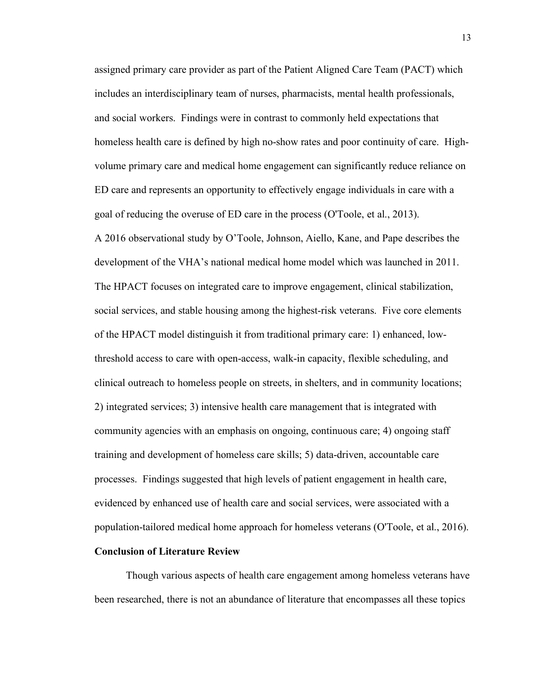assigned primary care provider as part of the Patient Aligned Care Team (PACT) which includes an interdisciplinary team of nurses, pharmacists, mental health professionals, and social workers. Findings were in contrast to commonly held expectations that homeless health care is defined by high no-show rates and poor continuity of care. Highvolume primary care and medical home engagement can significantly reduce reliance on ED care and represents an opportunity to effectively engage individuals in care with a goal of reducing the overuse of ED care in the process (O'Toole, et al., 2013). A 2016 observational study by O'Toole, Johnson, Aiello, Kane, and Pape describes the development of the VHA's national medical home model which was launched in 2011. The HPACT focuses on integrated care to improve engagement, clinical stabilization, social services, and stable housing among the highest-risk veterans. Five core elements of the HPACT model distinguish it from traditional primary care: 1) enhanced, lowthreshold access to care with open-access, walk-in capacity, flexible scheduling, and clinical outreach to homeless people on streets, in shelters, and in community locations; 2) integrated services; 3) intensive health care management that is integrated with community agencies with an emphasis on ongoing, continuous care; 4) ongoing staff training and development of homeless care skills; 5) data-driven, accountable care processes. Findings suggested that high levels of patient engagement in health care, evidenced by enhanced use of health care and social services, were associated with a population-tailored medical home approach for homeless veterans (O'Toole, et al., 2016).

# **Conclusion of Literature Review**

Though various aspects of health care engagement among homeless veterans have been researched, there is not an abundance of literature that encompasses all these topics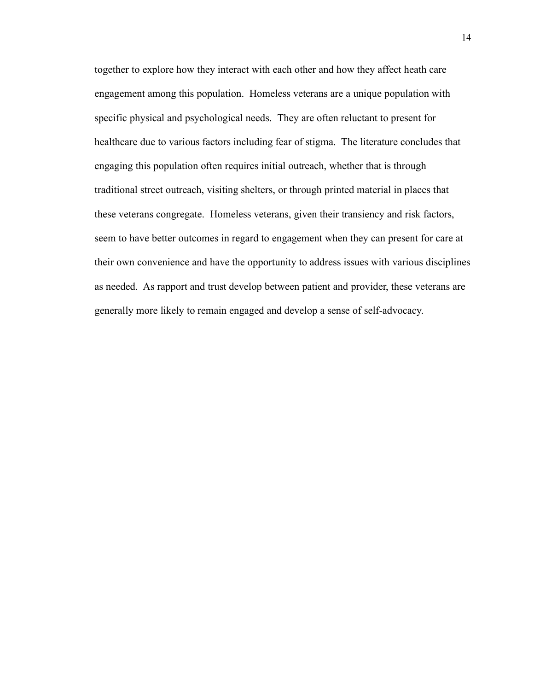together to explore how they interact with each other and how they affect heath care engagement among this population. Homeless veterans are a unique population with specific physical and psychological needs. They are often reluctant to present for healthcare due to various factors including fear of stigma. The literature concludes that engaging this population often requires initial outreach, whether that is through traditional street outreach, visiting shelters, or through printed material in places that these veterans congregate. Homeless veterans, given their transiency and risk factors, seem to have better outcomes in regard to engagement when they can present for care at their own convenience and have the opportunity to address issues with various disciplines as needed. As rapport and trust develop between patient and provider, these veterans are generally more likely to remain engaged and develop a sense of self-advocacy.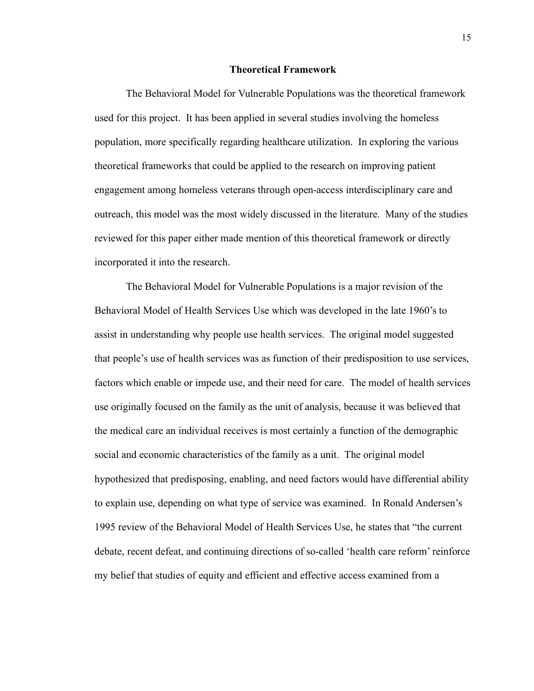#### **Theoretical Framework**

The Behavioral Model for Vulnerable Populations was the theoretical framework used for this project. It has been applied in several studies involving the homeless population, more specifically regarding healthcare utilization. In exploring the various theoretical frameworks that could be applied to the research on improving patient engagement among homeless veterans through open-access interdisciplinary care and outreach, this model was the most widely discussed in the literature. Many of the studies reviewed for this paper either made mention of this theoretical framework or directly incorporated it into the research.

The Behavioral Model for Vulnerable Populations is a major revision of the Behavioral Model of Health Services Use which was developed in the late 1960's to assist in understanding why people use health services. The original model suggested that people's use of health services was as function of their predisposition to use services, factors which enable or impede use, and their need for care. The model of health services use originally focused on the family as the unit of analysis, because it was believed that the medical care an individual receives is most certainly a function of the demographic social and economic characteristics of the family as a unit. The original model hypothesized that predisposing, enabling, and need factors would have differential ability to explain use, depending on what type of service was examined. In Ronald Andersen's 1995 review of the Behavioral Model of Health Services Use, he states that "the current debate, recent defeat, and continuing directions of so-called 'health care reform' reinforce my belief that studies of equity and efficient and effective access examined from a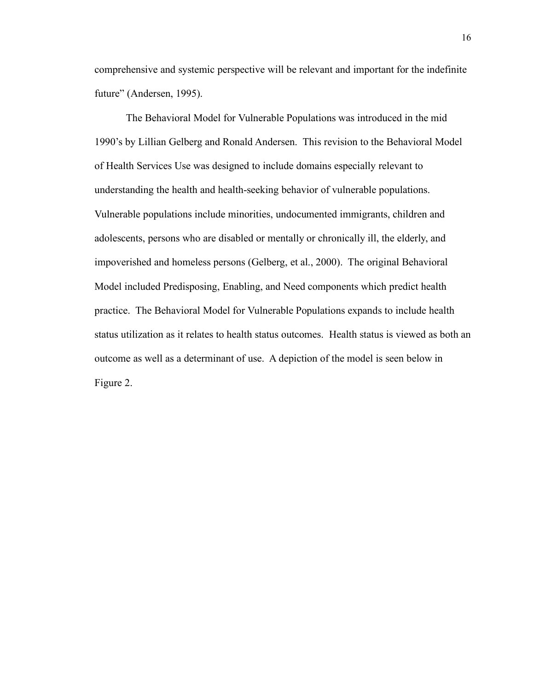comprehensive and systemic perspective will be relevant and important for the indefinite future" (Andersen, 1995).

The Behavioral Model for Vulnerable Populations was introduced in the mid 1990's by Lillian Gelberg and Ronald Andersen. This revision to the Behavioral Model of Health Services Use was designed to include domains especially relevant to understanding the health and health-seeking behavior of vulnerable populations. Vulnerable populations include minorities, undocumented immigrants, children and adolescents, persons who are disabled or mentally or chronically ill, the elderly, and impoverished and homeless persons (Gelberg, et al., 2000). The original Behavioral Model included Predisposing, Enabling, and Need components which predict health practice. The Behavioral Model for Vulnerable Populations expands to include health status utilization as it relates to health status outcomes. Health status is viewed as both an outcome as well as a determinant of use. A depiction of the model is seen below in Figure 2.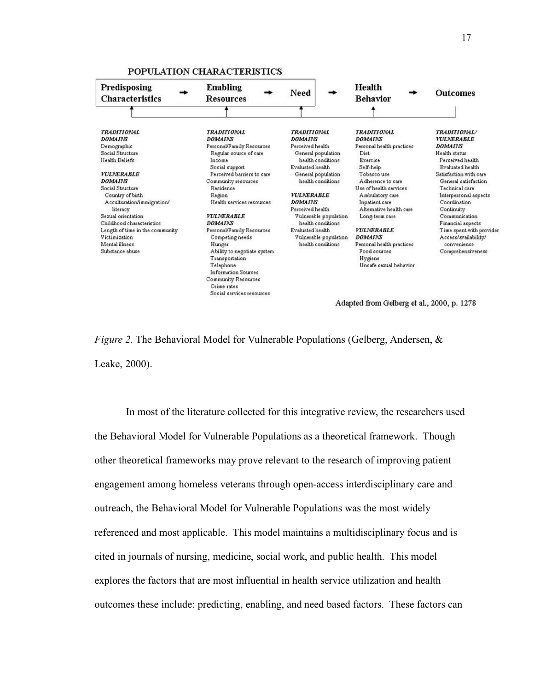

#### POPULATION CHARACTERISTICS

*Figure 2.* The Behavioral Model for Vulnerable Populations (Gelberg, Andersen, & Leake, 2000).

In most of the literature collected for this integrative review, the researchers used the Behavioral Model for Vulnerable Populations as a theoretical framework. Though other theoretical frameworks may prove relevant to the research of improving patient engagement among homeless veterans through open-access interdisciplinary care and outreach, the Behavioral Model for Vulnerable Populations was the most widely referenced and most applicable. This model maintains a multidisciplinary focus and is cited in journals of nursing, medicine, social work, and public health. This model explores the factors that are most influential in health service utilization and health outcomes these include: predicting, enabling, and need based factors. These factors can

Adapted from Gelberg et al., 2000, p. 1278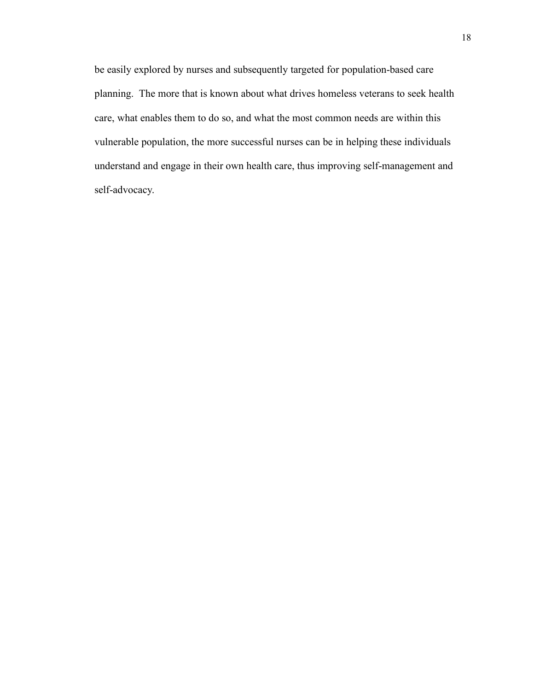be easily explored by nurses and subsequently targeted for population-based care planning. The more that is known about what drives homeless veterans to seek health care, what enables them to do so, and what the most common needs are within this vulnerable population, the more successful nurses can be in helping these individuals understand and engage in their own health care, thus improving self-management and self-advocacy.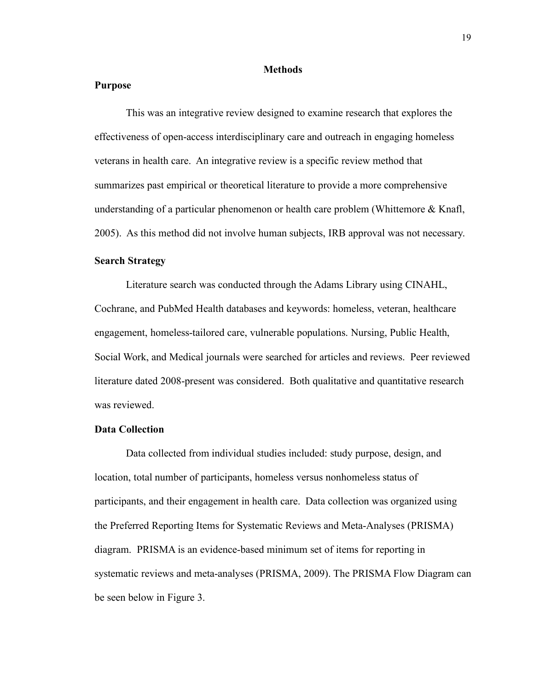#### **Methods**

#### **Purpose**

This was an integrative review designed to examine research that explores the effectiveness of open-access interdisciplinary care and outreach in engaging homeless veterans in health care. An integrative review is a specific review method that summarizes past empirical or theoretical literature to provide a more comprehensive understanding of a particular phenomenon or health care problem (Whittemore & Knafl, 2005). As this method did not involve human subjects, IRB approval was not necessary.

# **Search Strategy**

Literature search was conducted through the Adams Library using CINAHL, Cochrane, and PubMed Health databases and keywords: homeless, veteran, healthcare engagement, homeless-tailored care, vulnerable populations. Nursing, Public Health, Social Work, and Medical journals were searched for articles and reviews. Peer reviewed literature dated 2008-present was considered. Both qualitative and quantitative research was reviewed.

# **Data Collection**

Data collected from individual studies included: study purpose, design, and location, total number of participants, homeless versus nonhomeless status of participants, and their engagement in health care. Data collection was organized using the Preferred Reporting Items for Systematic Reviews and Meta-Analyses (PRISMA) diagram. PRISMA is an evidence-based minimum set of items for reporting in systematic reviews and meta-analyses (PRISMA, 2009). The PRISMA Flow Diagram can be seen below in Figure 3.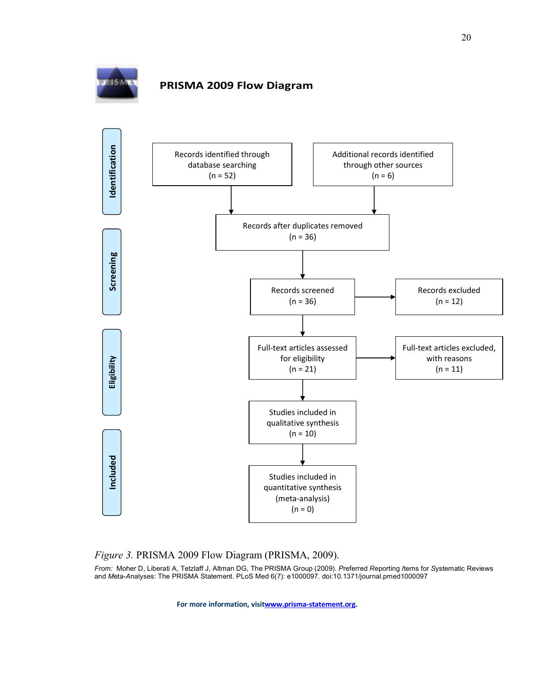

# **PRISMA 2009 Flow Diagram**



# *Figure 3.* PRISMA 2009 Flow Diagram (PRISMA, 2009).

*From:* Moher D, Liberati A, Tetzlaff J, Altman DG, The PRISMA Group (2009). *P*referred *R*eporting *I*tems for *S*ystematic Reviews and *M*eta-*A*nalyses: The PRISMA Statement. PLoS Med 6(7): e1000097. doi:10.1371/journal.pmed1000097

**For more information, visitwww.prisma-statement.org.**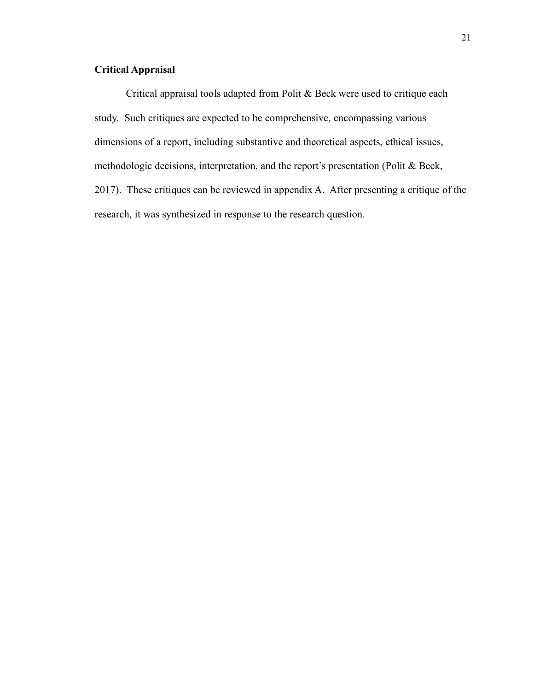# **Critical Appraisal**

Critical appraisal tools adapted from Polit & Beck were used to critique each study. Such critiques are expected to be comprehensive, encompassing various dimensions of a report, including substantive and theoretical aspects, ethical issues, methodologic decisions, interpretation, and the report's presentation (Polit & Beck, 2017). These critiques can be reviewed in appendix A. After presenting a critique of the research, it was synthesized in response to the research question.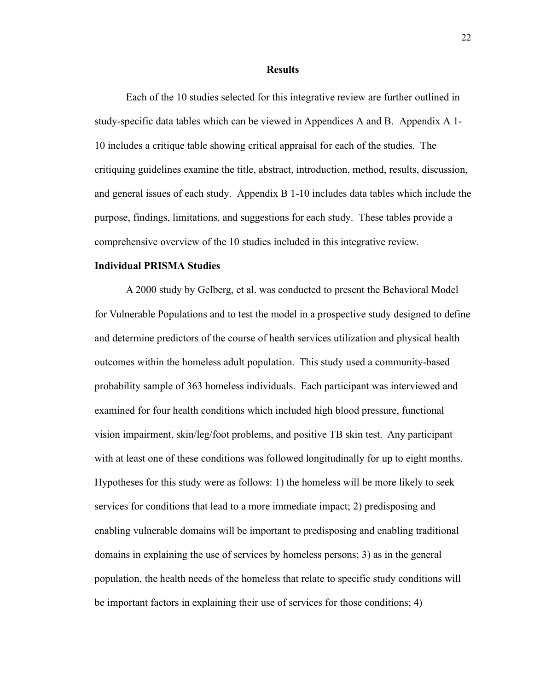#### **Results**

Each of the 10 studies selected for this integrative review are further outlined in study-specific data tables which can be viewed in Appendices A and B. Appendix A 1- 10 includes a critique table showing critical appraisal for each of the studies. The critiquing guidelines examine the title, abstract, introduction, method, results, discussion, and general issues of each study. Appendix B 1-10 includes data tables which include the purpose, findings, limitations, and suggestions for each study. These tables provide a comprehensive overview of the 10 studies included in this integrative review.

# **Individual PRISMA Studies**

A 2000 study by Gelberg, et al. was conducted to present the Behavioral Model for Vulnerable Populations and to test the model in a prospective study designed to define and determine predictors of the course of health services utilization and physical health outcomes within the homeless adult population. This study used a community-based probability sample of 363 homeless individuals. Each participant was interviewed and examined for four health conditions which included high blood pressure, functional vision impairment, skin/leg/foot problems, and positive TB skin test. Any participant with at least one of these conditions was followed longitudinally for up to eight months. Hypotheses for this study were as follows: 1) the homeless will be more likely to seek services for conditions that lead to a more immediate impact; 2) predisposing and enabling vulnerable domains will be important to predisposing and enabling traditional domains in explaining the use of services by homeless persons; 3) as in the general population, the health needs of the homeless that relate to specific study conditions will be important factors in explaining their use of services for those conditions; 4)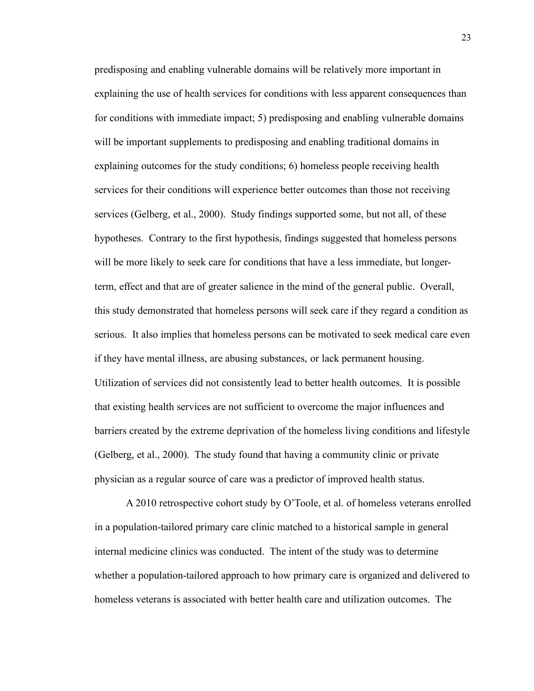predisposing and enabling vulnerable domains will be relatively more important in explaining the use of health services for conditions with less apparent consequences than for conditions with immediate impact; 5) predisposing and enabling vulnerable domains will be important supplements to predisposing and enabling traditional domains in explaining outcomes for the study conditions; 6) homeless people receiving health services for their conditions will experience better outcomes than those not receiving services (Gelberg, et al., 2000). Study findings supported some, but not all, of these hypotheses. Contrary to the first hypothesis, findings suggested that homeless persons will be more likely to seek care for conditions that have a less immediate, but longerterm, effect and that are of greater salience in the mind of the general public. Overall, this study demonstrated that homeless persons will seek care if they regard a condition as serious. It also implies that homeless persons can be motivated to seek medical care even if they have mental illness, are abusing substances, or lack permanent housing. Utilization of services did not consistently lead to better health outcomes. It is possible that existing health services are not sufficient to overcome the major influences and barriers created by the extreme deprivation of the homeless living conditions and lifestyle (Gelberg, et al., 2000). The study found that having a community clinic or private physician as a regular source of care was a predictor of improved health status.

A 2010 retrospective cohort study by O'Toole, et al. of homeless veterans enrolled in a population-tailored primary care clinic matched to a historical sample in general internal medicine clinics was conducted. The intent of the study was to determine whether a population-tailored approach to how primary care is organized and delivered to homeless veterans is associated with better health care and utilization outcomes. The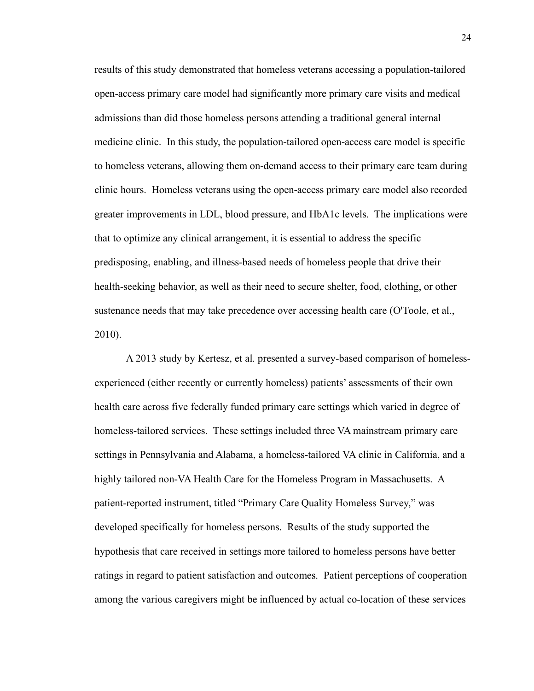results of this study demonstrated that homeless veterans accessing a population-tailored open-access primary care model had significantly more primary care visits and medical admissions than did those homeless persons attending a traditional general internal medicine clinic. In this study, the population-tailored open-access care model is specific to homeless veterans, allowing them on-demand access to their primary care team during clinic hours. Homeless veterans using the open-access primary care model also recorded greater improvements in LDL, blood pressure, and HbA1c levels. The implications were that to optimize any clinical arrangement, it is essential to address the specific predisposing, enabling, and illness-based needs of homeless people that drive their health-seeking behavior, as well as their need to secure shelter, food, clothing, or other sustenance needs that may take precedence over accessing health care (O'Toole, et al., 2010).

A 2013 study by Kertesz, et al. presented a survey-based comparison of homelessexperienced (either recently or currently homeless) patients' assessments of their own health care across five federally funded primary care settings which varied in degree of homeless-tailored services. These settings included three VA mainstream primary care settings in Pennsylvania and Alabama, a homeless-tailored VA clinic in California, and a highly tailored non-VA Health Care for the Homeless Program in Massachusetts. A patient-reported instrument, titled "Primary Care Quality Homeless Survey," was developed specifically for homeless persons. Results of the study supported the hypothesis that care received in settings more tailored to homeless persons have better ratings in regard to patient satisfaction and outcomes. Patient perceptions of cooperation among the various caregivers might be influenced by actual co-location of these services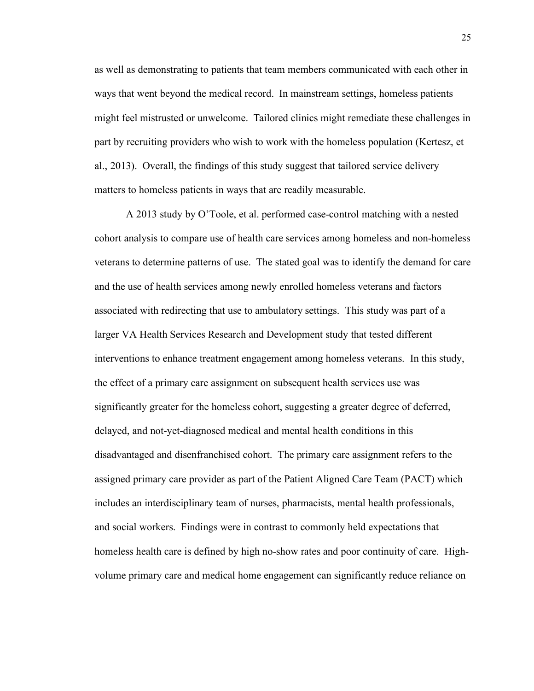as well as demonstrating to patients that team members communicated with each other in ways that went beyond the medical record. In mainstream settings, homeless patients might feel mistrusted or unwelcome. Tailored clinics might remediate these challenges in part by recruiting providers who wish to work with the homeless population (Kertesz, et al., 2013). Overall, the findings of this study suggest that tailored service delivery matters to homeless patients in ways that are readily measurable.

A 2013 study by O'Toole, et al. performed case-control matching with a nested cohort analysis to compare use of health care services among homeless and non-homeless veterans to determine patterns of use. The stated goal was to identify the demand for care and the use of health services among newly enrolled homeless veterans and factors associated with redirecting that use to ambulatory settings. This study was part of a larger VA Health Services Research and Development study that tested different interventions to enhance treatment engagement among homeless veterans. In this study, the effect of a primary care assignment on subsequent health services use was significantly greater for the homeless cohort, suggesting a greater degree of deferred, delayed, and not-yet-diagnosed medical and mental health conditions in this disadvantaged and disenfranchised cohort. The primary care assignment refers to the assigned primary care provider as part of the Patient Aligned Care Team (PACT) which includes an interdisciplinary team of nurses, pharmacists, mental health professionals, and social workers. Findings were in contrast to commonly held expectations that homeless health care is defined by high no-show rates and poor continuity of care. Highvolume primary care and medical home engagement can significantly reduce reliance on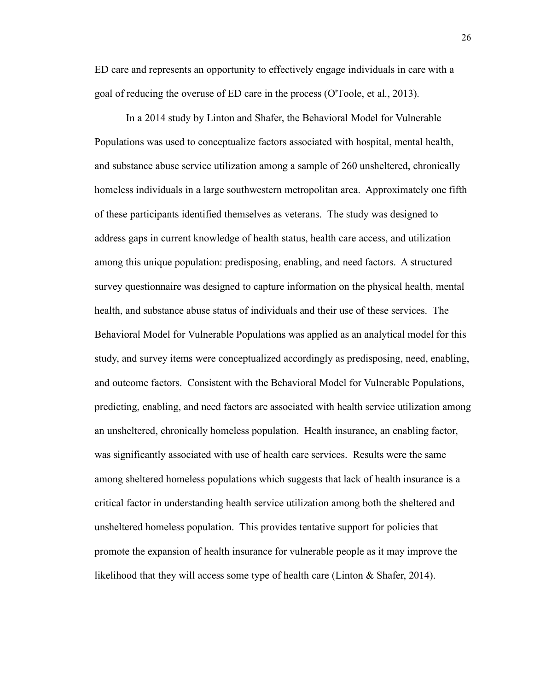ED care and represents an opportunity to effectively engage individuals in care with a goal of reducing the overuse of ED care in the process (O'Toole, et al., 2013).

In a 2014 study by Linton and Shafer, the Behavioral Model for Vulnerable Populations was used to conceptualize factors associated with hospital, mental health, and substance abuse service utilization among a sample of 260 unsheltered, chronically homeless individuals in a large southwestern metropolitan area. Approximately one fifth of these participants identified themselves as veterans. The study was designed to address gaps in current knowledge of health status, health care access, and utilization among this unique population: predisposing, enabling, and need factors. A structured survey questionnaire was designed to capture information on the physical health, mental health, and substance abuse status of individuals and their use of these services. The Behavioral Model for Vulnerable Populations was applied as an analytical model for this study, and survey items were conceptualized accordingly as predisposing, need, enabling, and outcome factors. Consistent with the Behavioral Model for Vulnerable Populations, predicting, enabling, and need factors are associated with health service utilization among an unsheltered, chronically homeless population. Health insurance, an enabling factor, was significantly associated with use of health care services. Results were the same among sheltered homeless populations which suggests that lack of health insurance is a critical factor in understanding health service utilization among both the sheltered and unsheltered homeless population. This provides tentative support for policies that promote the expansion of health insurance for vulnerable people as it may improve the likelihood that they will access some type of health care (Linton & Shafer, 2014).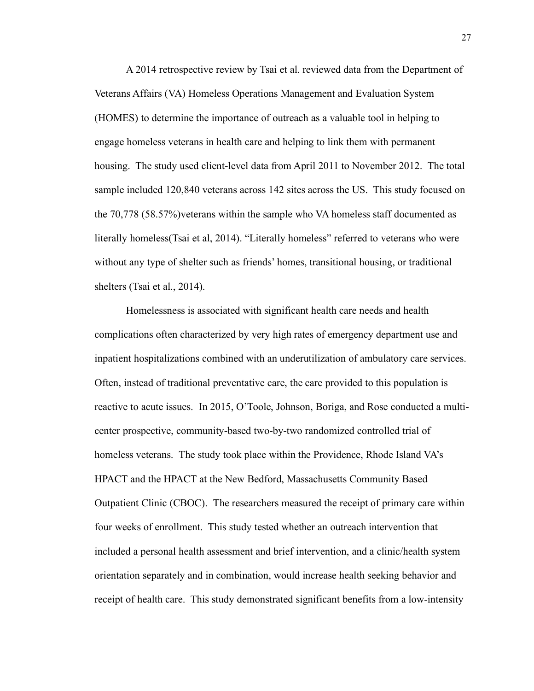A 2014 retrospective review by Tsai et al. reviewed data from the Department of Veterans Affairs (VA) Homeless Operations Management and Evaluation System (HOMES) to determine the importance of outreach as a valuable tool in helping to engage homeless veterans in health care and helping to link them with permanent housing. The study used client-level data from April 2011 to November 2012. The total sample included 120,840 veterans across 142 sites across the US. This study focused on the 70,778 (58.57%)veterans within the sample who VA homeless staff documented as literally homeless(Tsai et al, 2014). "Literally homeless" referred to veterans who were without any type of shelter such as friends' homes, transitional housing, or traditional shelters (Tsai et al., 2014).

Homelessness is associated with significant health care needs and health complications often characterized by very high rates of emergency department use and inpatient hospitalizations combined with an underutilization of ambulatory care services. Often, instead of traditional preventative care, the care provided to this population is reactive to acute issues. In 2015, O'Toole, Johnson, Boriga, and Rose conducted a multicenter prospective, community-based two-by-two randomized controlled trial of homeless veterans. The study took place within the Providence, Rhode Island VA's HPACT and the HPACT at the New Bedford, Massachusetts Community Based Outpatient Clinic (CBOC). The researchers measured the receipt of primary care within four weeks of enrollment. This study tested whether an outreach intervention that included a personal health assessment and brief intervention, and a clinic/health system orientation separately and in combination, would increase health seeking behavior and receipt of health care. This study demonstrated significant benefits from a low-intensity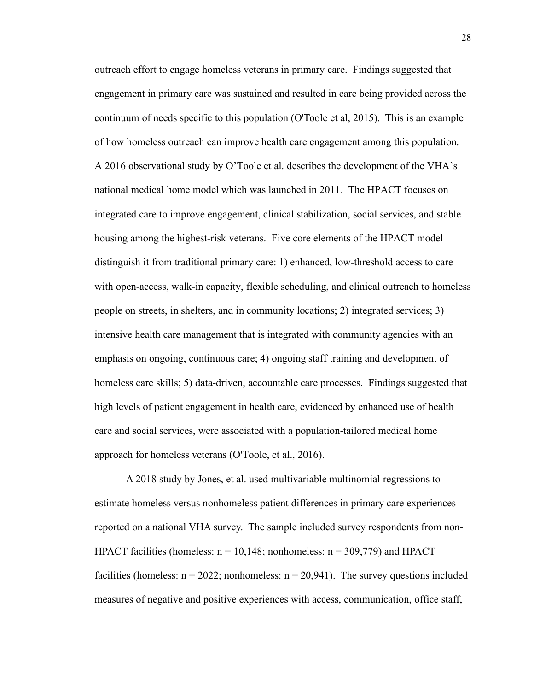outreach effort to engage homeless veterans in primary care. Findings suggested that engagement in primary care was sustained and resulted in care being provided across the continuum of needs specific to this population (O'Toole et al, 2015). This is an example of how homeless outreach can improve health care engagement among this population. A 2016 observational study by O'Toole et al. describes the development of the VHA's national medical home model which was launched in 2011. The HPACT focuses on integrated care to improve engagement, clinical stabilization, social services, and stable housing among the highest-risk veterans. Five core elements of the HPACT model distinguish it from traditional primary care: 1) enhanced, low-threshold access to care with open-access, walk-in capacity, flexible scheduling, and clinical outreach to homeless people on streets, in shelters, and in community locations; 2) integrated services; 3) intensive health care management that is integrated with community agencies with an emphasis on ongoing, continuous care; 4) ongoing staff training and development of homeless care skills; 5) data-driven, accountable care processes. Findings suggested that high levels of patient engagement in health care, evidenced by enhanced use of health care and social services, were associated with a population-tailored medical home approach for homeless veterans (O'Toole, et al., 2016).

A 2018 study by Jones, et al. used multivariable multinomial regressions to estimate homeless versus nonhomeless patient differences in primary care experiences reported on a national VHA survey. The sample included survey respondents from non-HPACT facilities (homeless:  $n = 10,148$ ; nonhomeless:  $n = 309,779$ ) and HPACT facilities (homeless:  $n = 2022$ ; nonhomeless:  $n = 20,941$ ). The survey questions included measures of negative and positive experiences with access, communication, office staff,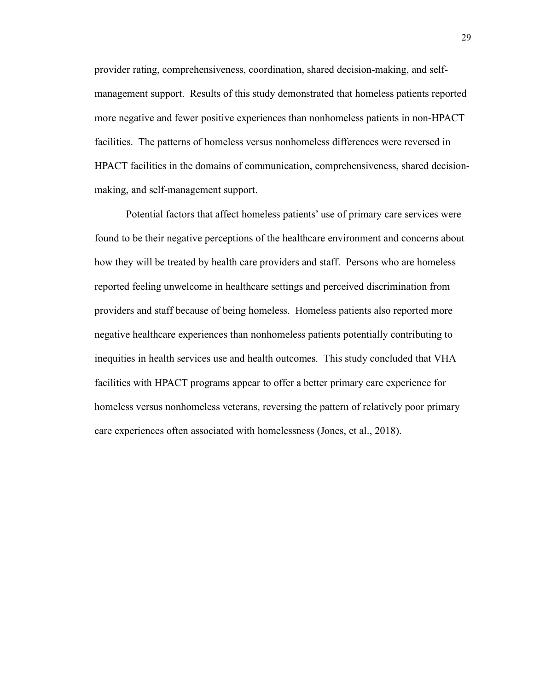provider rating, comprehensiveness, coordination, shared decision-making, and selfmanagement support. Results of this study demonstrated that homeless patients reported more negative and fewer positive experiences than nonhomeless patients in non-HPACT facilities. The patterns of homeless versus nonhomeless differences were reversed in HPACT facilities in the domains of communication, comprehensiveness, shared decisionmaking, and self-management support.

Potential factors that affect homeless patients' use of primary care services were found to be their negative perceptions of the healthcare environment and concerns about how they will be treated by health care providers and staff. Persons who are homeless reported feeling unwelcome in healthcare settings and perceived discrimination from providers and staff because of being homeless. Homeless patients also reported more negative healthcare experiences than nonhomeless patients potentially contributing to inequities in health services use and health outcomes. This study concluded that VHA facilities with HPACT programs appear to offer a better primary care experience for homeless versus nonhomeless veterans, reversing the pattern of relatively poor primary care experiences often associated with homelessness (Jones, et al., 2018).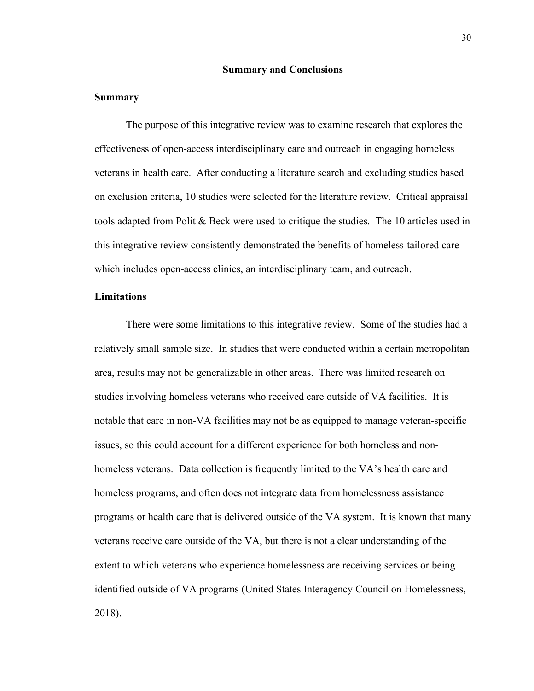### **Summary and Conclusions**

#### **Summary**

The purpose of this integrative review was to examine research that explores the effectiveness of open-access interdisciplinary care and outreach in engaging homeless veterans in health care. After conducting a literature search and excluding studies based on exclusion criteria, 10 studies were selected for the literature review. Critical appraisal tools adapted from Polit & Beck were used to critique the studies. The 10 articles used in this integrative review consistently demonstrated the benefits of homeless-tailored care which includes open-access clinics, an interdisciplinary team, and outreach.

# **Limitations**

There were some limitations to this integrative review. Some of the studies had a relatively small sample size. In studies that were conducted within a certain metropolitan area, results may not be generalizable in other areas. There was limited research on studies involving homeless veterans who received care outside of VA facilities. It is notable that care in non-VA facilities may not be as equipped to manage veteran-specific issues, so this could account for a different experience for both homeless and nonhomeless veterans. Data collection is frequently limited to the VA's health care and homeless programs, and often does not integrate data from homelessness assistance programs or health care that is delivered outside of the VA system. It is known that many veterans receive care outside of the VA, but there is not a clear understanding of the extent to which veterans who experience homelessness are receiving services or being identified outside of VA programs (United States Interagency Council on Homelessness, 2018).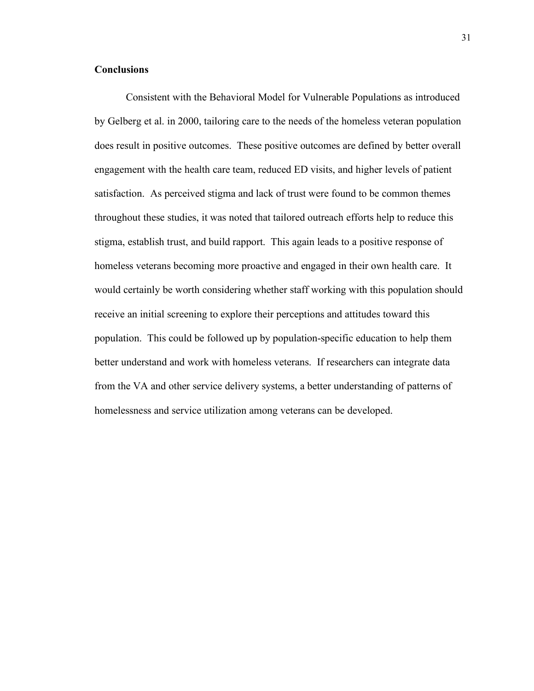# **Conclusions**

Consistent with the Behavioral Model for Vulnerable Populations as introduced by Gelberg et al. in 2000, tailoring care to the needs of the homeless veteran population does result in positive outcomes. These positive outcomes are defined by better overall engagement with the health care team, reduced ED visits, and higher levels of patient satisfaction. As perceived stigma and lack of trust were found to be common themes throughout these studies, it was noted that tailored outreach efforts help to reduce this stigma, establish trust, and build rapport. This again leads to a positive response of homeless veterans becoming more proactive and engaged in their own health care. It would certainly be worth considering whether staff working with this population should receive an initial screening to explore their perceptions and attitudes toward this population. This could be followed up by population-specific education to help them better understand and work with homeless veterans. If researchers can integrate data from the VA and other service delivery systems, a better understanding of patterns of homelessness and service utilization among veterans can be developed.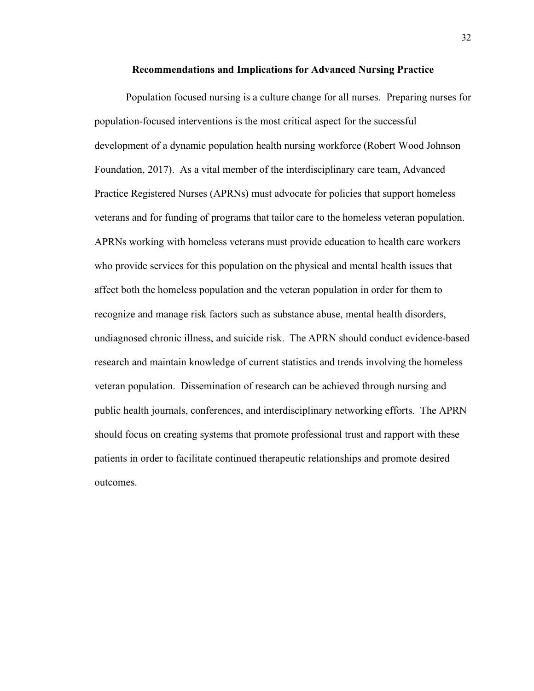#### **Recommendations and Implications for Advanced Nursing Practice**

Population focused nursing is a culture change for all nurses. Preparing nurses for population-focused interventions is the most critical aspect for the successful development of a dynamic population health nursing workforce (Robert Wood Johnson Foundation, 2017). As a vital member of the interdisciplinary care team, Advanced Practice Registered Nurses (APRNs) must advocate for policies that support homeless veterans and for funding of programs that tailor care to the homeless veteran population. APRNs working with homeless veterans must provide education to health care workers who provide services for this population on the physical and mental health issues that affect both the homeless population and the veteran population in order for them to recognize and manage risk factors such as substance abuse, mental health disorders, undiagnosed chronic illness, and suicide risk. The APRN should conduct evidence-based research and maintain knowledge of current statistics and trends involving the homeless veteran population. Dissemination of research can be achieved through nursing and public health journals, conferences, and interdisciplinary networking efforts. The APRN should focus on creating systems that promote professional trust and rapport with these patients in order to facilitate continued therapeutic relationships and promote desired outcomes.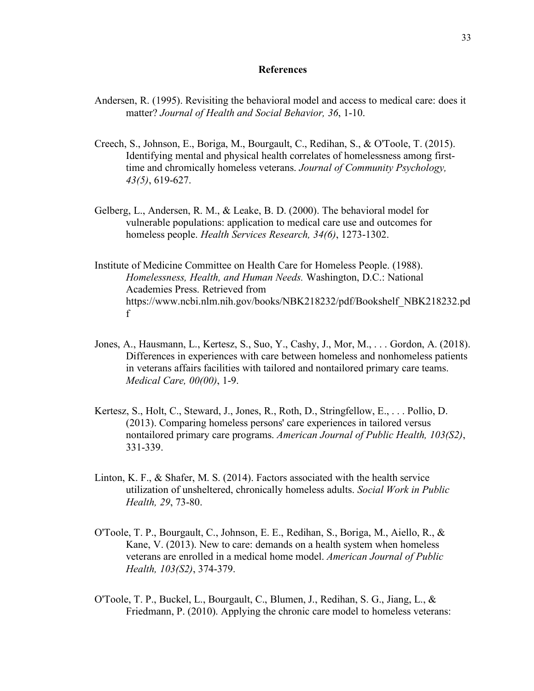#### **References**

- Andersen, R. (1995). Revisiting the behavioral model and access to medical care: does it matter? *Journal of Health and Social Behavior, 36*, 1-10.
- Creech, S., Johnson, E., Boriga, M., Bourgault, C., Redihan, S., & O'Toole, T. (2015). Identifying mental and physical health correlates of homelessness among firsttime and chromically homeless veterans. *Journal of Community Psychology, 43(5)*, 619-627.
- Gelberg, L., Andersen, R. M., & Leake, B. D. (2000). The behavioral model for vulnerable populations: application to medical care use and outcomes for homeless people. *Health Services Research, 34(6)*, 1273-1302.
- Institute of Medicine Committee on Health Care for Homeless People. (1988). *Homelessness, Health, and Human Needs.* Washington, D.C.: National Academies Press. Retrieved from https://www.ncbi.nlm.nih.gov/books/NBK218232/pdf/Bookshelf\_NBK218232.pd f
- Jones, A., Hausmann, L., Kertesz, S., Suo, Y., Cashy, J., Mor, M., . . . Gordon, A. (2018). Differences in experiences with care between homeless and nonhomeless patients in veterans affairs facilities with tailored and nontailored primary care teams. *Medical Care, 00(00)*, 1-9.
- Kertesz, S., Holt, C., Steward, J., Jones, R., Roth, D., Stringfellow, E., . . . Pollio, D. (2013). Comparing homeless persons' care experiences in tailored versus nontailored primary care programs. *American Journal of Public Health, 103(S2)*, 331-339.
- Linton, K. F., & Shafer, M. S. (2014). Factors associated with the health service utilization of unsheltered, chronically homeless adults. *Social Work in Public Health, 29*, 73-80.
- O'Toole, T. P., Bourgault, C., Johnson, E. E., Redihan, S., Boriga, M., Aiello, R., & Kane, V. (2013). New to care: demands on a health system when homeless veterans are enrolled in a medical home model. *American Journal of Public Health, 103(S2)*, 374-379.
- O'Toole, T. P., Buckel, L., Bourgault, C., Blumen, J., Redihan, S. G., Jiang, L., & Friedmann, P. (2010). Applying the chronic care model to homeless veterans: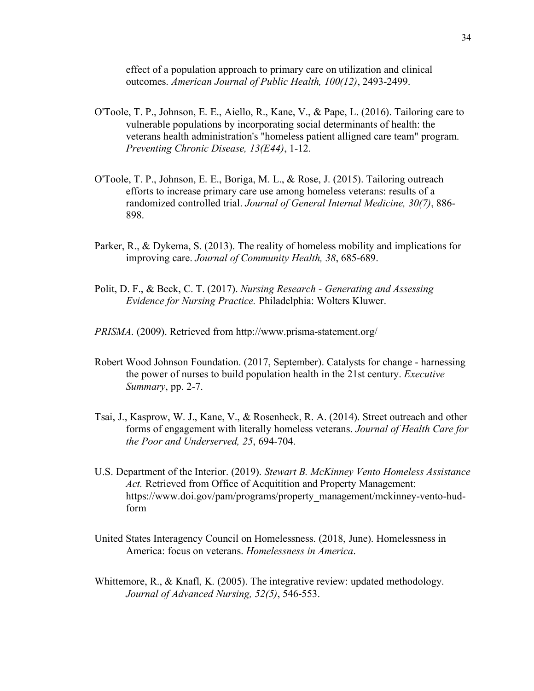effect of a population approach to primary care on utilization and clinical outcomes. *American Journal of Public Health, 100(12)*, 2493-2499.

- O'Toole, T. P., Johnson, E. E., Aiello, R., Kane, V., & Pape, L. (2016). Tailoring care to vulnerable populations by incorporating social determinants of health: the veterans health administration's "homeless patient alligned care team" program. *Preventing Chronic Disease, 13(E44)*, 1-12.
- O'Toole, T. P., Johnson, E. E., Boriga, M. L., & Rose, J. (2015). Tailoring outreach efforts to increase primary care use among homeless veterans: results of a randomized controlled trial. *Journal of General Internal Medicine, 30(7)*, 886- 898.
- Parker, R., & Dykema, S. (2013). The reality of homeless mobility and implications for improving care. *Journal of Community Health, 38*, 685-689.
- Polit, D. F., & Beck, C. T. (2017). *Nursing Research - Generating and Assessing Evidence for Nursing Practice.* Philadelphia: Wolters Kluwer.
- *PRISMA*. (2009). Retrieved from http://www.prisma-statement.org/
- Robert Wood Johnson Foundation. (2017, September). Catalysts for change harnessing the power of nurses to build population health in the 21st century. *Executive Summary*, pp. 2-7.
- Tsai, J., Kasprow, W. J., Kane, V., & Rosenheck, R. A. (2014). Street outreach and other forms of engagement with literally homeless veterans. *Journal of Health Care for the Poor and Underserved, 25*, 694-704.
- U.S. Department of the Interior. (2019). *Stewart B. McKinney Vento Homeless Assistance Act.* Retrieved from Office of Acquitition and Property Management: https://www.doi.gov/pam/programs/property\_management/mckinney-vento-hudform
- United States Interagency Council on Homelessness. (2018, June). Homelessness in America: focus on veterans. *Homelessness in America*.
- Whittemore, R., & Knafl, K. (2005). The integrative review: updated methodology. *Journal of Advanced Nursing, 52(5)*, 546-553.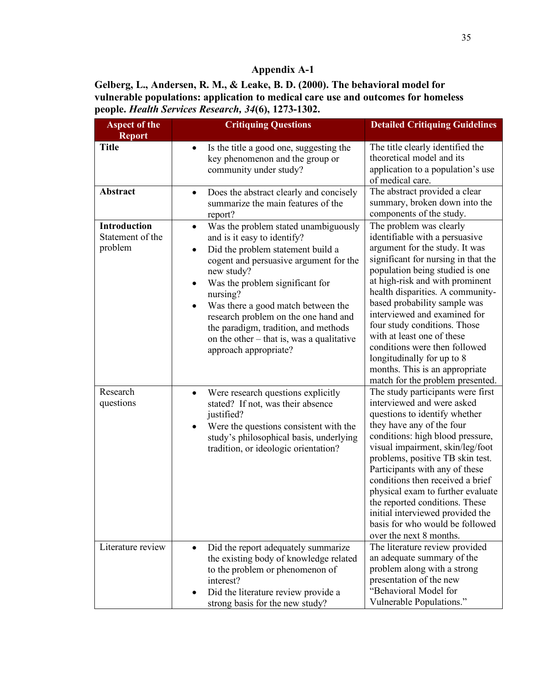**Gelberg, L., Andersen, R. M., & Leake, B. D. (2000). The behavioral model for vulnerable populations: application to medical care use and outcomes for homeless people.** *Health Services Research, 34***(6), 1273-1302.**

| <b>Aspect of the</b><br><b>Report</b>       | <b>Critiquing Questions</b>                                                                                                                                                                                                                                                                                                                                                                                                                                     | <b>Detailed Critiquing Guidelines</b>                                                                                                                                                                                                                                                                                                                                                                                                                                                                           |
|---------------------------------------------|-----------------------------------------------------------------------------------------------------------------------------------------------------------------------------------------------------------------------------------------------------------------------------------------------------------------------------------------------------------------------------------------------------------------------------------------------------------------|-----------------------------------------------------------------------------------------------------------------------------------------------------------------------------------------------------------------------------------------------------------------------------------------------------------------------------------------------------------------------------------------------------------------------------------------------------------------------------------------------------------------|
| <b>Title</b>                                | Is the title a good one, suggesting the<br>$\bullet$<br>key phenomenon and the group or<br>community under study?                                                                                                                                                                                                                                                                                                                                               | The title clearly identified the<br>theoretical model and its<br>application to a population's use<br>of medical care.                                                                                                                                                                                                                                                                                                                                                                                          |
| Abstract                                    | Does the abstract clearly and concisely<br>$\bullet$<br>summarize the main features of the<br>report?                                                                                                                                                                                                                                                                                                                                                           | The abstract provided a clear<br>summary, broken down into the<br>components of the study.                                                                                                                                                                                                                                                                                                                                                                                                                      |
| Introduction<br>Statement of the<br>problem | Was the problem stated unambiguously<br>$\bullet$<br>and is it easy to identify?<br>Did the problem statement build a<br>$\bullet$<br>cogent and persuasive argument for the<br>new study?<br>Was the problem significant for<br>$\bullet$<br>nursing?<br>Was there a good match between the<br>$\bullet$<br>research problem on the one hand and<br>the paradigm, tradition, and methods<br>on the other – that is, was a qualitative<br>approach appropriate? | The problem was clearly<br>identifiable with a persuasive<br>argument for the study. It was<br>significant for nursing in that the<br>population being studied is one<br>at high-risk and with prominent<br>health disparities. A community-<br>based probability sample was<br>interviewed and examined for<br>four study conditions. Those<br>with at least one of these<br>conditions were then followed<br>longitudinally for up to 8<br>months. This is an appropriate<br>match for the problem presented. |
| Research<br>questions                       | Were research questions explicitly<br>$\bullet$<br>stated? If not, was their absence<br>justified?<br>Were the questions consistent with the<br>$\bullet$<br>study's philosophical basis, underlying<br>tradition, or ideologic orientation?                                                                                                                                                                                                                    | The study participants were first<br>interviewed and were asked<br>questions to identify whether<br>they have any of the four<br>conditions: high blood pressure,<br>visual impairment, skin/leg/foot<br>problems, positive TB skin test.<br>Participants with any of these<br>conditions then received a brief<br>physical exam to further evaluate<br>the reported conditions. These<br>initial interviewed provided the<br>basis for who would be followed<br>over the next 8 months.                        |
| Literature review                           | Did the report adequately summarize<br>$\bullet$<br>the existing body of knowledge related<br>to the problem or phenomenon of<br>interest?<br>Did the literature review provide a<br>strong basis for the new study?                                                                                                                                                                                                                                            | The literature review provided<br>an adequate summary of the<br>problem along with a strong<br>presentation of the new<br>"Behavioral Model for<br>Vulnerable Populations."                                                                                                                                                                                                                                                                                                                                     |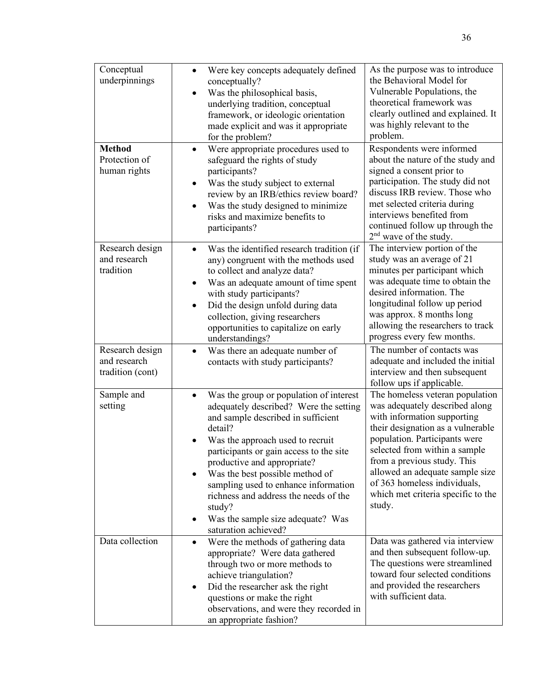| Conceptual<br>underpinnings                         | Were key concepts adequately defined<br>$\bullet$<br>conceptually?<br>Was the philosophical basis,<br>underlying tradition, conceptual<br>framework, or ideologic orientation<br>made explicit and was it appropriate<br>for the problem?                                                                                                                                                                                                                             | As the purpose was to introduce<br>the Behavioral Model for<br>Vulnerable Populations, the<br>theoretical framework was<br>clearly outlined and explained. It<br>was highly relevant to the<br>problem.                                                                                                                                                   |
|-----------------------------------------------------|-----------------------------------------------------------------------------------------------------------------------------------------------------------------------------------------------------------------------------------------------------------------------------------------------------------------------------------------------------------------------------------------------------------------------------------------------------------------------|-----------------------------------------------------------------------------------------------------------------------------------------------------------------------------------------------------------------------------------------------------------------------------------------------------------------------------------------------------------|
| <b>Method</b><br>Protection of<br>human rights      | Were appropriate procedures used to<br>$\bullet$<br>safeguard the rights of study<br>participants?<br>Was the study subject to external<br>$\bullet$<br>review by an IRB/ethics review board?<br>Was the study designed to minimize<br>$\bullet$<br>risks and maximize benefits to<br>participants?                                                                                                                                                                   | Respondents were informed<br>about the nature of the study and<br>signed a consent prior to<br>participation. The study did not<br>discuss IRB review. Those who<br>met selected criteria during<br>interviews benefited from<br>continued follow up through the<br>$2nd$ wave of the study.                                                              |
| Research design<br>and research<br>tradition        | Was the identified research tradition (if<br>$\bullet$<br>any) congruent with the methods used<br>to collect and analyze data?<br>Was an adequate amount of time spent<br>$\bullet$<br>with study participants?<br>Did the design unfold during data<br>$\bullet$<br>collection, giving researchers<br>opportunities to capitalize on early<br>understandings?                                                                                                        | The interview portion of the<br>study was an average of 21<br>minutes per participant which<br>was adequate time to obtain the<br>desired information. The<br>longitudinal follow up period<br>was approx. 8 months long<br>allowing the researchers to track<br>progress every few months.                                                               |
| Research design<br>and research<br>tradition (cont) | Was there an adequate number of<br>$\bullet$<br>contacts with study participants?                                                                                                                                                                                                                                                                                                                                                                                     | The number of contacts was<br>adequate and included the initial<br>interview and then subsequent<br>follow ups if applicable.                                                                                                                                                                                                                             |
| Sample and<br>setting                               | Was the group or population of interest<br>$\bullet$<br>adequately described? Were the setting<br>and sample described in sufficient<br>detail?<br>Was the approach used to recruit<br>participants or gain access to the site<br>productive and appropriate?<br>Was the best possible method of<br>$\bullet$<br>sampling used to enhance information<br>richness and address the needs of the<br>study?<br>Was the sample size adequate? Was<br>saturation achieved? | The homeless veteran population<br>was adequately described along<br>with information supporting<br>their designation as a vulnerable<br>population. Participants were<br>selected from within a sample<br>from a previous study. This<br>allowed an adequate sample size<br>of 363 homeless individuals,<br>which met criteria specific to the<br>study. |
| Data collection                                     | Were the methods of gathering data<br>$\bullet$<br>appropriate? Were data gathered<br>through two or more methods to<br>achieve triangulation?<br>Did the researcher ask the right<br>questions or make the right<br>observations, and were they recorded in<br>an appropriate fashion?                                                                                                                                                                               | Data was gathered via interview<br>and then subsequent follow-up.<br>The questions were streamlined<br>toward four selected conditions<br>and provided the researchers<br>with sufficient data.                                                                                                                                                           |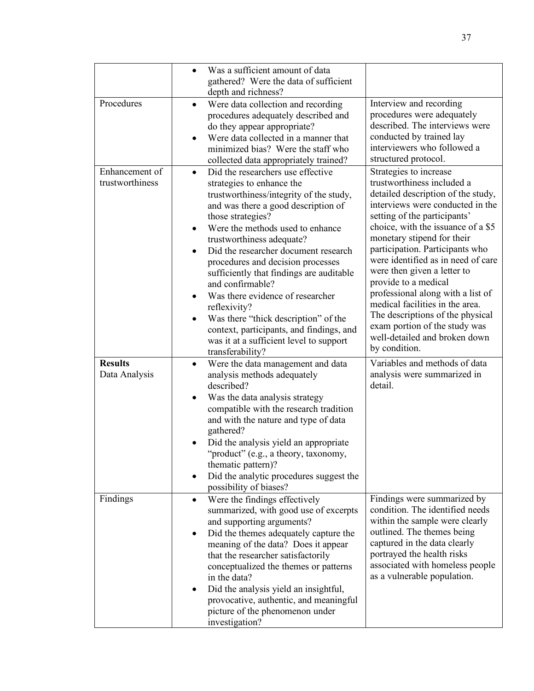|                 | Was a sufficient amount of data                                               |                                                                |
|-----------------|-------------------------------------------------------------------------------|----------------------------------------------------------------|
|                 | $\bullet$<br>gathered? Were the data of sufficient                            |                                                                |
|                 | depth and richness?                                                           |                                                                |
| Procedures      | Were data collection and recording<br>$\bullet$                               | Interview and recording                                        |
|                 | procedures adequately described and                                           | procedures were adequately                                     |
|                 | do they appear appropriate?                                                   | described. The interviews were                                 |
|                 | Were data collected in a manner that                                          | conducted by trained lay                                       |
|                 | minimized bias? Were the staff who                                            | interviewers who followed a                                    |
|                 | collected data appropriately trained?                                         | structured protocol.                                           |
| Enhancement of  | Did the researchers use effective<br>$\bullet$                                | Strategies to increase                                         |
| trustworthiness | strategies to enhance the                                                     | trustworthiness included a                                     |
|                 | trustworthiness/integrity of the study,                                       | detailed description of the study,                             |
|                 | and was there a good description of                                           | interviews were conducted in the                               |
|                 | those strategies?                                                             | setting of the participants'                                   |
|                 | Were the methods used to enhance                                              | choice, with the issuance of a \$5                             |
|                 | trustworthiness adequate?                                                     | monetary stipend for their                                     |
|                 | Did the researcher document research                                          | participation. Participants who                                |
|                 | procedures and decision processes                                             | were identified as in need of care                             |
|                 | sufficiently that findings are auditable                                      | were then given a letter to                                    |
|                 | and confirmable?                                                              | provide to a medical                                           |
|                 | Was there evidence of researcher<br>$\bullet$                                 | professional along with a list of                              |
|                 | reflexivity?                                                                  | medical facilities in the area.                                |
|                 | Was there "thick description" of the                                          | The descriptions of the physical                               |
|                 | context, participants, and findings, and                                      | exam portion of the study was<br>well-detailed and broken down |
|                 | was it at a sufficient level to support                                       | by condition.                                                  |
|                 | transferability?                                                              |                                                                |
| <b>Results</b>  | Were the data management and data<br>$\bullet$                                | Variables and methods of data                                  |
| Data Analysis   | analysis methods adequately                                                   | analysis were summarized in<br>detail.                         |
|                 | described?                                                                    |                                                                |
|                 | Was the data analysis strategy<br>٠<br>compatible with the research tradition |                                                                |
|                 | and with the nature and type of data                                          |                                                                |
|                 | gathered?                                                                     |                                                                |
|                 | Did the analysis yield an appropriate                                         |                                                                |
|                 | "product" (e.g., a theory, taxonomy,                                          |                                                                |
|                 | thematic pattern)?                                                            |                                                                |
|                 | Did the analytic procedures suggest the<br>$\bullet$                          |                                                                |
|                 | possibility of biases?                                                        |                                                                |
| Findings        | Were the findings effectively<br>$\bullet$                                    | Findings were summarized by                                    |
|                 | summarized, with good use of excerpts                                         | condition. The identified needs                                |
|                 | and supporting arguments?                                                     | within the sample were clearly                                 |
|                 | Did the themes adequately capture the<br>٠                                    | outlined. The themes being                                     |
|                 | meaning of the data? Does it appear                                           | captured in the data clearly                                   |
|                 | that the researcher satisfactorily                                            | portrayed the health risks                                     |
|                 | conceptualized the themes or patterns                                         | associated with homeless people                                |
|                 | in the data?                                                                  | as a vulnerable population.                                    |
|                 | Did the analysis yield an insightful,                                         |                                                                |
|                 | provocative, authentic, and meaningful                                        |                                                                |
|                 | picture of the phenomenon under                                               |                                                                |
|                 | investigation?                                                                |                                                                |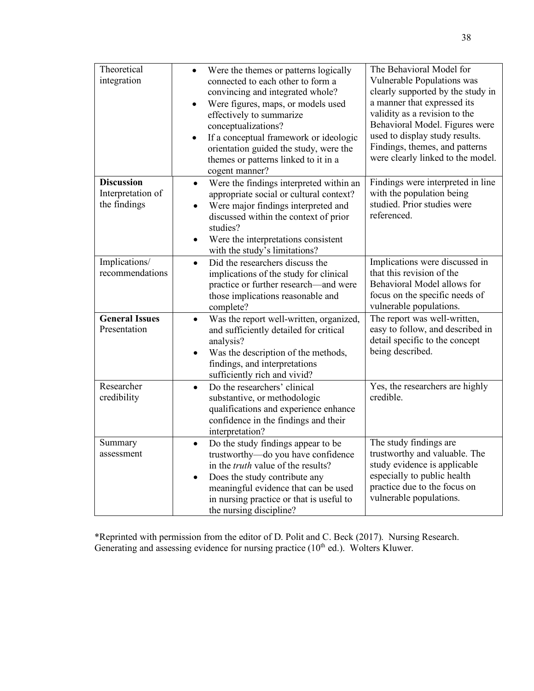| Theoretical<br>integration                             | Were the themes or patterns logically<br>$\bullet$<br>connected to each other to form a<br>convincing and integrated whole?<br>Were figures, maps, or models used<br>$\bullet$<br>effectively to summarize<br>conceptualizations?<br>If a conceptual framework or ideologic<br>$\bullet$<br>orientation guided the study, were the<br>themes or patterns linked to it in a<br>cogent manner? | The Behavioral Model for<br>Vulnerable Populations was<br>clearly supported by the study in<br>a manner that expressed its<br>validity as a revision to the<br>Behavioral Model. Figures were<br>used to display study results.<br>Findings, themes, and patterns<br>were clearly linked to the model. |
|--------------------------------------------------------|----------------------------------------------------------------------------------------------------------------------------------------------------------------------------------------------------------------------------------------------------------------------------------------------------------------------------------------------------------------------------------------------|--------------------------------------------------------------------------------------------------------------------------------------------------------------------------------------------------------------------------------------------------------------------------------------------------------|
| <b>Discussion</b><br>Interpretation of<br>the findings | Were the findings interpreted within an<br>$\bullet$<br>appropriate social or cultural context?<br>Were major findings interpreted and<br>$\bullet$<br>discussed within the context of prior<br>studies?<br>Were the interpretations consistent<br>with the study's limitations?                                                                                                             | Findings were interpreted in line<br>with the population being<br>studied. Prior studies were<br>referenced.                                                                                                                                                                                           |
| Implications/<br>recommendations                       | Did the researchers discuss the<br>$\bullet$<br>implications of the study for clinical<br>practice or further research—and were<br>those implications reasonable and<br>complete?                                                                                                                                                                                                            | Implications were discussed in<br>that this revision of the<br>Behavioral Model allows for<br>focus on the specific needs of<br>vulnerable populations.                                                                                                                                                |
| <b>General Issues</b><br>Presentation                  | Was the report well-written, organized,<br>$\bullet$<br>and sufficiently detailed for critical<br>analysis?<br>Was the description of the methods,<br>findings, and interpretations<br>sufficiently rich and vivid?                                                                                                                                                                          | The report was well-written,<br>easy to follow, and described in<br>detail specific to the concept<br>being described.                                                                                                                                                                                 |
| Researcher<br>credibility                              | Do the researchers' clinical<br>$\bullet$<br>substantive, or methodologic<br>qualifications and experience enhance<br>confidence in the findings and their<br>interpretation?                                                                                                                                                                                                                | Yes, the researchers are highly<br>credible.                                                                                                                                                                                                                                                           |
| Summary<br>assessment                                  | Do the study findings appear to be<br>$\bullet$<br>trustworthy-do you have confidence<br>in the truth value of the results?<br>Does the study contribute any<br>$\bullet$<br>meaningful evidence that can be used<br>in nursing practice or that is useful to<br>the nursing discipline?                                                                                                     | The study findings are<br>trustworthy and valuable. The<br>study evidence is applicable<br>especially to public health<br>practice due to the focus on<br>vulnerable populations.                                                                                                                      |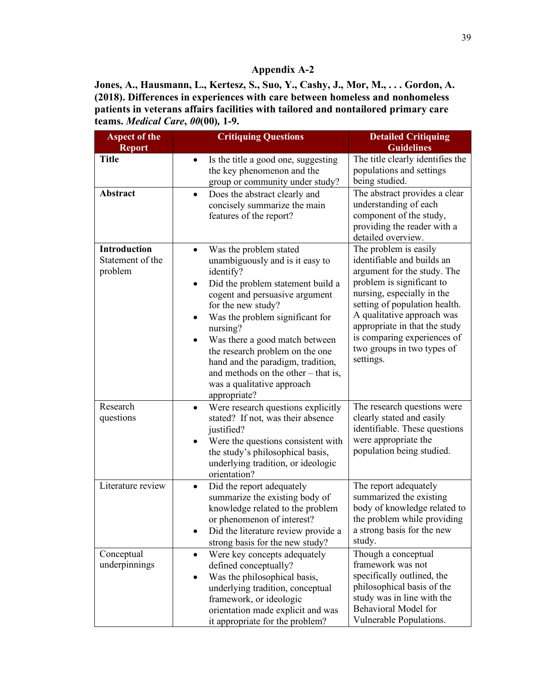**Jones, A., Hausmann, L., Kertesz, S., Suo, Y., Cashy, J., Mor, M., . . . Gordon, A. (2018). Differences in experiences with care between homeless and nonhomeless patients in veterans affairs facilities with tailored and nontailored primary care teams.** *Medical Care***,** *00***(00)***,* **1-9.**

| <b>Aspect of the</b>                               | <b>Critiquing Questions</b>                                                                                                                                                                                                                                                                                                                                                                                                           | <b>Detailed Critiquing</b>                                                                                                                                                                                                                                                                                              |
|----------------------------------------------------|---------------------------------------------------------------------------------------------------------------------------------------------------------------------------------------------------------------------------------------------------------------------------------------------------------------------------------------------------------------------------------------------------------------------------------------|-------------------------------------------------------------------------------------------------------------------------------------------------------------------------------------------------------------------------------------------------------------------------------------------------------------------------|
| <b>Report</b><br><b>Title</b>                      |                                                                                                                                                                                                                                                                                                                                                                                                                                       | <b>Guidelines</b>                                                                                                                                                                                                                                                                                                       |
|                                                    | Is the title a good one, suggesting<br>$\bullet$<br>the key phenomenon and the<br>group or community under study?                                                                                                                                                                                                                                                                                                                     | The title clearly identifies the<br>populations and settings<br>being studied.                                                                                                                                                                                                                                          |
| Abstract                                           | Does the abstract clearly and<br>$\bullet$<br>concisely summarize the main<br>features of the report?                                                                                                                                                                                                                                                                                                                                 | The abstract provides a clear<br>understanding of each<br>component of the study,<br>providing the reader with a<br>detailed overview.                                                                                                                                                                                  |
| <b>Introduction</b><br>Statement of the<br>problem | Was the problem stated<br>$\bullet$<br>unambiguously and is it easy to<br>identify?<br>Did the problem statement build a<br>٠<br>cogent and persuasive argument<br>for the new study?<br>Was the problem significant for<br>nursing?<br>Was there a good match between<br>the research problem on the one<br>hand and the paradigm, tradition,<br>and methods on the other $-$ that is,<br>was a qualitative approach<br>appropriate? | The problem is easily<br>identifiable and builds an<br>argument for the study. The<br>problem is significant to<br>nursing, especially in the<br>setting of population health.<br>A qualitative approach was<br>appropriate in that the study<br>is comparing experiences of<br>two groups in two types of<br>settings. |
| Research<br>questions                              | Were research questions explicitly<br>$\bullet$<br>stated? If not, was their absence<br>justified?<br>Were the questions consistent with<br>٠<br>the study's philosophical basis,<br>underlying tradition, or ideologic<br>orientation?                                                                                                                                                                                               | The research questions were<br>clearly stated and easily<br>identifiable. These questions<br>were appropriate the<br>population being studied.                                                                                                                                                                          |
| Literature review                                  | Did the report adequately<br>$\bullet$<br>summarize the existing body of<br>knowledge related to the problem<br>or phenomenon of interest?<br>Did the literature review provide a<br>٠<br>strong basis for the new study?                                                                                                                                                                                                             | The report adequately<br>summarized the existing<br>body of knowledge related to<br>the problem while providing<br>a strong basis for the new<br>study.                                                                                                                                                                 |
| Conceptual<br>underpinnings                        | Were key concepts adequately<br>$\bullet$<br>defined conceptually?<br>Was the philosophical basis,<br>$\bullet$<br>underlying tradition, conceptual<br>framework, or ideologic<br>orientation made explicit and was<br>it appropriate for the problem?                                                                                                                                                                                | Though a conceptual<br>framework was not<br>specifically outlined, the<br>philosophical basis of the<br>study was in line with the<br><b>Behavioral Model for</b><br>Vulnerable Populations.                                                                                                                            |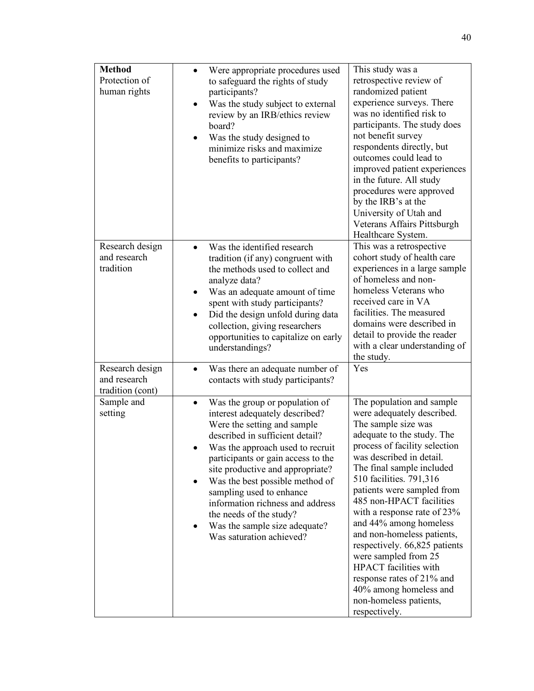| <b>Method</b><br>Protection of<br>human rights      | Were appropriate procedures used<br>$\bullet$<br>to safeguard the rights of study<br>participants?<br>Was the study subject to external<br>$\bullet$<br>review by an IRB/ethics review<br>board?<br>Was the study designed to<br>٠<br>minimize risks and maximize<br>benefits to participants?                                                                                                                                              | This study was a<br>retrospective review of<br>randomized patient<br>experience surveys. There<br>was no identified risk to<br>participants. The study does<br>not benefit survey<br>respondents directly, but<br>outcomes could lead to<br>improved patient experiences<br>in the future. All study<br>procedures were approved<br>by the IRB's at the<br>University of Utah and<br>Veterans Affairs Pittsburgh<br>Healthcare System.                                                                                                                                        |
|-----------------------------------------------------|---------------------------------------------------------------------------------------------------------------------------------------------------------------------------------------------------------------------------------------------------------------------------------------------------------------------------------------------------------------------------------------------------------------------------------------------|-------------------------------------------------------------------------------------------------------------------------------------------------------------------------------------------------------------------------------------------------------------------------------------------------------------------------------------------------------------------------------------------------------------------------------------------------------------------------------------------------------------------------------------------------------------------------------|
| Research design<br>and research<br>tradition        | Was the identified research<br>tradition (if any) congruent with<br>the methods used to collect and<br>analyze data?<br>Was an adequate amount of time<br>$\bullet$<br>spent with study participants?<br>Did the design unfold during data<br>$\bullet$<br>collection, giving researchers<br>opportunities to capitalize on early<br>understandings?                                                                                        | This was a retrospective<br>cohort study of health care<br>experiences in a large sample<br>of homeless and non-<br>homeless Veterans who<br>received care in VA<br>facilities. The measured<br>domains were described in<br>detail to provide the reader<br>with a clear understanding of<br>the study.                                                                                                                                                                                                                                                                      |
| Research design<br>and research<br>tradition (cont) | Was there an adequate number of<br>$\bullet$<br>contacts with study participants?                                                                                                                                                                                                                                                                                                                                                           | Yes                                                                                                                                                                                                                                                                                                                                                                                                                                                                                                                                                                           |
| Sample and<br>setting                               | Was the group or population of<br>interest adequately described?<br>Were the setting and sample<br>described in sufficient detail?<br>Was the approach used to recruit<br>participants or gain access to the<br>site productive and appropriate?<br>Was the best possible method of<br>sampling used to enhance<br>information richness and address<br>the needs of the study?<br>Was the sample size adequate?<br>Was saturation achieved? | The population and sample<br>were adequately described.<br>The sample size was<br>adequate to the study. The<br>process of facility selection<br>was described in detail.<br>The final sample included<br>510 facilities. 791,316<br>patients were sampled from<br>485 non-HPACT facilities<br>with a response rate of 23%<br>and 44% among homeless<br>and non-homeless patients,<br>respectively. 66,825 patients<br>were sampled from 25<br><b>HPACT</b> facilities with<br>response rates of 21% and<br>40% among homeless and<br>non-homeless patients,<br>respectively. |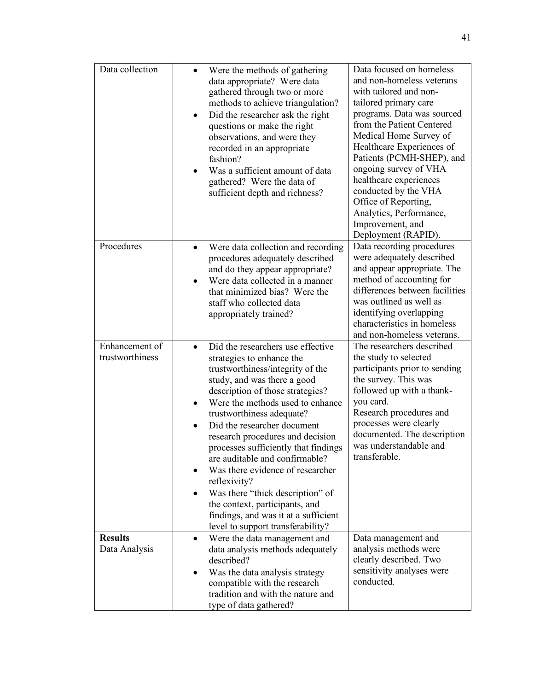| Data collection                   | Were the methods of gathering<br>data appropriate? Were data<br>gathered through two or more<br>methods to achieve triangulation?<br>Did the researcher ask the right<br>questions or make the right<br>observations, and were they<br>recorded in an appropriate<br>fashion?<br>Was a sufficient amount of data<br>gathered? Were the data of<br>sufficient depth and richness?                                                                                                                                                                                                                                     | Data focused on homeless<br>and non-homeless veterans<br>with tailored and non-<br>tailored primary care<br>programs. Data was sourced<br>from the Patient Centered<br>Medical Home Survey of<br>Healthcare Experiences of<br>Patients (PCMH-SHEP), and<br>ongoing survey of VHA<br>healthcare experiences<br>conducted by the VHA<br>Office of Reporting,<br>Analytics, Performance,<br>Improvement, and<br>Deployment (RAPID). |
|-----------------------------------|----------------------------------------------------------------------------------------------------------------------------------------------------------------------------------------------------------------------------------------------------------------------------------------------------------------------------------------------------------------------------------------------------------------------------------------------------------------------------------------------------------------------------------------------------------------------------------------------------------------------|----------------------------------------------------------------------------------------------------------------------------------------------------------------------------------------------------------------------------------------------------------------------------------------------------------------------------------------------------------------------------------------------------------------------------------|
| Procedures                        | Were data collection and recording<br>$\bullet$<br>procedures adequately described<br>and do they appear appropriate?<br>Were data collected in a manner<br>that minimized bias? Were the<br>staff who collected data<br>appropriately trained?                                                                                                                                                                                                                                                                                                                                                                      | Data recording procedures<br>were adequately described<br>and appear appropriate. The<br>method of accounting for<br>differences between facilities<br>was outlined as well as<br>identifying overlapping<br>characteristics in homeless<br>and non-homeless veterans.                                                                                                                                                           |
| Enhancement of<br>trustworthiness | Did the researchers use effective<br>$\bullet$<br>strategies to enhance the<br>trustworthiness/integrity of the<br>study, and was there a good<br>description of those strategies?<br>Were the methods used to enhance<br>trustworthiness adequate?<br>Did the researcher document<br>$\bullet$<br>research procedures and decision<br>processes sufficiently that findings<br>are auditable and confirmable?<br>Was there evidence of researcher<br>reflexivity?<br>Was there "thick description" of<br>the context, participants, and<br>findings, and was it at a sufficient<br>level to support transferability? | The researchers described<br>the study to selected<br>participants prior to sending<br>the survey. This was<br>followed up with a thank-<br>you card.<br>Research procedures and<br>processes were clearly<br>documented. The description<br>was understandable and<br>transferable.                                                                                                                                             |
| <b>Results</b><br>Data Analysis   | Were the data management and<br>$\bullet$<br>data analysis methods adequately<br>described?<br>Was the data analysis strategy<br>compatible with the research<br>tradition and with the nature and<br>type of data gathered?                                                                                                                                                                                                                                                                                                                                                                                         | Data management and<br>analysis methods were<br>clearly described. Two<br>sensitivity analyses were<br>conducted.                                                                                                                                                                                                                                                                                                                |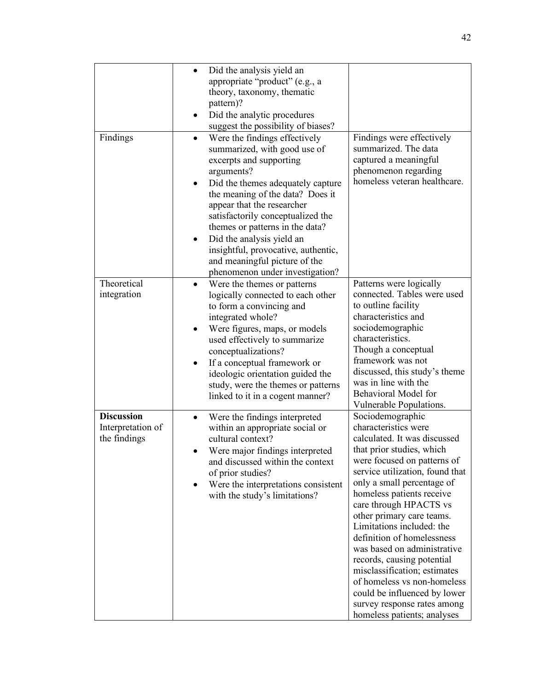|                                                        | Did the analysis yield an<br>$\bullet$<br>appropriate "product" (e.g., a<br>theory, taxonomy, thematic<br>pattern)?<br>Did the analytic procedures<br>suggest the possibility of biases?                                                                                                                                                                                                                                                   |                                                                                                                                                                                                                                                                                                                                                                                                                                                                                                                                                                                |
|--------------------------------------------------------|--------------------------------------------------------------------------------------------------------------------------------------------------------------------------------------------------------------------------------------------------------------------------------------------------------------------------------------------------------------------------------------------------------------------------------------------|--------------------------------------------------------------------------------------------------------------------------------------------------------------------------------------------------------------------------------------------------------------------------------------------------------------------------------------------------------------------------------------------------------------------------------------------------------------------------------------------------------------------------------------------------------------------------------|
| Findings                                               | Were the findings effectively<br>$\bullet$<br>summarized, with good use of<br>excerpts and supporting<br>arguments?<br>Did the themes adequately capture<br>the meaning of the data? Does it<br>appear that the researcher<br>satisfactorily conceptualized the<br>themes or patterns in the data?<br>Did the analysis yield an<br>insightful, provocative, authentic,<br>and meaningful picture of the<br>phenomenon under investigation? | Findings were effectively<br>summarized. The data<br>captured a meaningful<br>phenomenon regarding<br>homeless veteran healthcare.                                                                                                                                                                                                                                                                                                                                                                                                                                             |
| Theoretical<br>integration                             | Were the themes or patterns<br>logically connected to each other<br>to form a convincing and<br>integrated whole?<br>Were figures, maps, or models<br>used effectively to summarize<br>conceptualizations?<br>If a conceptual framework or<br>$\bullet$<br>ideologic orientation guided the<br>study, were the themes or patterns<br>linked to it in a cogent manner?                                                                      | Patterns were logically<br>connected. Tables were used<br>to outline facility<br>characteristics and<br>sociodemographic<br>characteristics.<br>Though a conceptual<br>framework was not<br>discussed, this study's theme<br>was in line with the<br>Behavioral Model for<br>Vulnerable Populations.                                                                                                                                                                                                                                                                           |
| <b>Discussion</b><br>Interpretation of<br>the findings | Were the findings interpreted<br>within an appropriate social or<br>cultural context?<br>Were major findings interpreted<br>and discussed within the context<br>of prior studies?<br>Were the interpretations consistent<br>٠<br>with the study's limitations?                                                                                                                                                                             | Sociodemographic<br>characteristics were<br>calculated. It was discussed<br>that prior studies, which<br>were focused on patterns of<br>service utilization, found that<br>only a small percentage of<br>homeless patients receive<br>care through HPACTS vs<br>other primary care teams.<br>Limitations included: the<br>definition of homelessness<br>was based on administrative<br>records, causing potential<br>misclassification; estimates<br>of homeless vs non-homeless<br>could be influenced by lower<br>survey response rates among<br>homeless patients; analyses |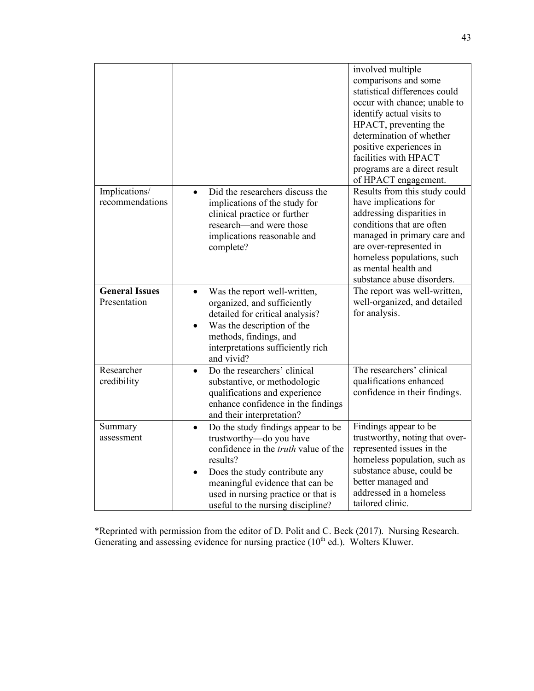|                                       |                                                                                                                                                                                                                                                                                | involved multiple<br>comparisons and some<br>statistical differences could<br>occur with chance; unable to<br>identify actual visits to<br>HPACT, preventing the<br>determination of whether<br>positive experiences in<br>facilities with HPACT<br>programs are a direct result<br>of HPACT engagement. |
|---------------------------------------|--------------------------------------------------------------------------------------------------------------------------------------------------------------------------------------------------------------------------------------------------------------------------------|----------------------------------------------------------------------------------------------------------------------------------------------------------------------------------------------------------------------------------------------------------------------------------------------------------|
| Implications/<br>recommendations      | Did the researchers discuss the<br>$\bullet$<br>implications of the study for<br>clinical practice or further<br>research—and were those<br>implications reasonable and<br>complete?                                                                                           | Results from this study could<br>have implications for<br>addressing disparities in<br>conditions that are often<br>managed in primary care and<br>are over-represented in<br>homeless populations, such<br>as mental health and<br>substance abuse disorders.                                           |
| <b>General Issues</b><br>Presentation | Was the report well-written,<br>$\bullet$<br>organized, and sufficiently<br>detailed for critical analysis?<br>Was the description of the<br>methods, findings, and<br>interpretations sufficiently rich<br>and vivid?                                                         | The report was well-written,<br>well-organized, and detailed<br>for analysis.                                                                                                                                                                                                                            |
| Researcher<br>credibility             | Do the researchers' clinical<br>$\bullet$<br>substantive, or methodologic<br>qualifications and experience<br>enhance confidence in the findings<br>and their interpretation?                                                                                                  | The researchers' clinical<br>qualifications enhanced<br>confidence in their findings.                                                                                                                                                                                                                    |
| Summary<br>assessment                 | Do the study findings appear to be<br>$\bullet$<br>trustworthy-do you have<br>confidence in the truth value of the<br>results?<br>Does the study contribute any<br>meaningful evidence that can be<br>used in nursing practice or that is<br>useful to the nursing discipline? | Findings appear to be<br>trustworthy, noting that over-<br>represented issues in the<br>homeless population, such as<br>substance abuse, could be<br>better managed and<br>addressed in a homeless<br>tailored clinic.                                                                                   |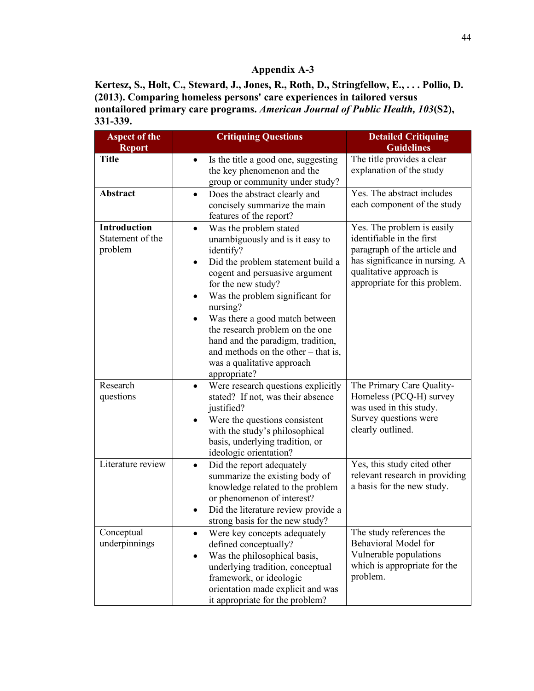**Kertesz, S., Holt, C., Steward, J., Jones, R., Roth, D., Stringfellow, E., . . . Pollio, D. (2013). Comparing homeless persons' care experiences in tailored versus nontailored primary care programs.** *American Journal of Public Health, 103***(S2), 331-339.**

| <b>Aspect of the</b><br><b>Report</b>              | <b>Critiquing Questions</b>                                                                                                                                                                                                                                                                                                                                                                                                                   | <b>Detailed Critiquing</b><br><b>Guidelines</b>                                                                                                                                       |
|----------------------------------------------------|-----------------------------------------------------------------------------------------------------------------------------------------------------------------------------------------------------------------------------------------------------------------------------------------------------------------------------------------------------------------------------------------------------------------------------------------------|---------------------------------------------------------------------------------------------------------------------------------------------------------------------------------------|
| <b>Title</b>                                       | Is the title a good one, suggesting<br>the key phenomenon and the<br>group or community under study?                                                                                                                                                                                                                                                                                                                                          | The title provides a clear<br>explanation of the study                                                                                                                                |
| Abstract                                           | Does the abstract clearly and<br>$\bullet$<br>concisely summarize the main<br>features of the report?                                                                                                                                                                                                                                                                                                                                         | Yes. The abstract includes<br>each component of the study                                                                                                                             |
| <b>Introduction</b><br>Statement of the<br>problem | Was the problem stated<br>$\bullet$<br>unambiguously and is it easy to<br>identify?<br>Did the problem statement build a<br>$\bullet$<br>cogent and persuasive argument<br>for the new study?<br>Was the problem significant for<br>nursing?<br>Was there a good match between<br>the research problem on the one<br>hand and the paradigm, tradition,<br>and methods on the other $-$ that is,<br>was a qualitative approach<br>appropriate? | Yes. The problem is easily<br>identifiable in the first<br>paragraph of the article and<br>has significance in nursing. A<br>qualitative approach is<br>appropriate for this problem. |
| Research<br>questions                              | Were research questions explicitly<br>$\bullet$<br>stated? If not, was their absence<br>justified?<br>Were the questions consistent<br>with the study's philosophical<br>basis, underlying tradition, or<br>ideologic orientation?                                                                                                                                                                                                            | The Primary Care Quality-<br>Homeless (PCQ-H) survey<br>was used in this study.<br>Survey questions were<br>clearly outlined.                                                         |
| Literature review                                  | Did the report adequately<br>$\bullet$<br>summarize the existing body of<br>knowledge related to the problem<br>or phenomenon of interest?<br>Did the literature review provide a<br>strong basis for the new study?                                                                                                                                                                                                                          | Yes, this study cited other<br>relevant research in providing<br>a basis for the new study.                                                                                           |
| Conceptual<br>underpinnings                        | Were key concepts adequately<br>defined conceptually?<br>Was the philosophical basis,<br>underlying tradition, conceptual<br>framework, or ideologic<br>orientation made explicit and was<br>it appropriate for the problem?                                                                                                                                                                                                                  | The study references the<br>Behavioral Model for<br>Vulnerable populations<br>which is appropriate for the<br>problem.                                                                |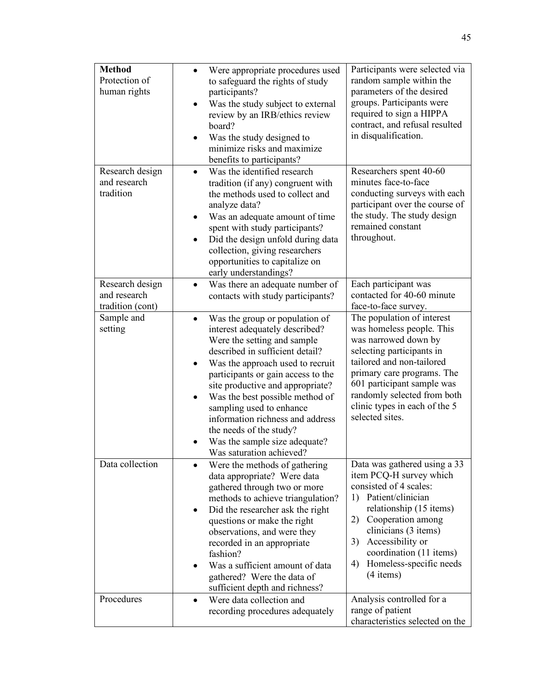| <b>Method</b><br>Protection of<br>human rights      | Were appropriate procedures used<br>$\bullet$<br>to safeguard the rights of study<br>participants?<br>Was the study subject to external<br>review by an IRB/ethics review<br>board?<br>Was the study designed to<br>٠<br>minimize risks and maximize<br>benefits to participants?                                                                                                                                                                                     | Participants were selected via<br>random sample within the<br>parameters of the desired<br>groups. Participants were<br>required to sign a HIPPA<br>contract, and refusal resulted<br>in disqualification.                                                                                      |
|-----------------------------------------------------|-----------------------------------------------------------------------------------------------------------------------------------------------------------------------------------------------------------------------------------------------------------------------------------------------------------------------------------------------------------------------------------------------------------------------------------------------------------------------|-------------------------------------------------------------------------------------------------------------------------------------------------------------------------------------------------------------------------------------------------------------------------------------------------|
| Research design<br>and research<br>tradition        | Was the identified research<br>$\bullet$<br>tradition (if any) congruent with<br>the methods used to collect and<br>analyze data?<br>Was an adequate amount of time<br>$\bullet$<br>spent with study participants?<br>Did the design unfold during data<br>$\bullet$<br>collection, giving researchers<br>opportunities to capitalize on<br>early understandings?                                                                                                     | Researchers spent 40-60<br>minutes face-to-face<br>conducting surveys with each<br>participant over the course of<br>the study. The study design<br>remained constant<br>throughout.                                                                                                            |
| Research design<br>and research<br>tradition (cont) | Was there an adequate number of<br>$\bullet$<br>contacts with study participants?                                                                                                                                                                                                                                                                                                                                                                                     | Each participant was<br>contacted for 40-60 minute<br>face-to-face survey.                                                                                                                                                                                                                      |
| Sample and<br>setting                               | Was the group or population of<br>$\bullet$<br>interest adequately described?<br>Were the setting and sample<br>described in sufficient detail?<br>Was the approach used to recruit<br>$\bullet$<br>participants or gain access to the<br>site productive and appropriate?<br>Was the best possible method of<br>sampling used to enhance<br>information richness and address<br>the needs of the study?<br>Was the sample size adequate?<br>Was saturation achieved? | The population of interest<br>was homeless people. This<br>was narrowed down by<br>selecting participants in<br>tailored and non-tailored<br>primary care programs. The<br>601 participant sample was<br>randomly selected from both<br>clinic types in each of the 5<br>selected sites.        |
| Data collection                                     | Were the methods of gathering<br>data appropriate? Were data<br>gathered through two or more<br>methods to achieve triangulation?<br>Did the researcher ask the right<br>questions or make the right<br>observations, and were they<br>recorded in an appropriate<br>fashion?<br>Was a sufficient amount of data<br>gathered? Were the data of<br>sufficient depth and richness?                                                                                      | Data was gathered using a 33<br>item PCQ-H survey which<br>consisted of 4 scales:<br>Patient/clinician<br>1)<br>relationship (15 items)<br>Cooperation among<br>2)<br>clinicians (3 items)<br>Accessibility or<br>3)<br>coordination (11 items)<br>Homeless-specific needs<br>4)<br>$(4$ items) |
| Procedures                                          | Were data collection and<br>$\bullet$<br>recording procedures adequately                                                                                                                                                                                                                                                                                                                                                                                              | Analysis controlled for a<br>range of patient<br>characteristics selected on the                                                                                                                                                                                                                |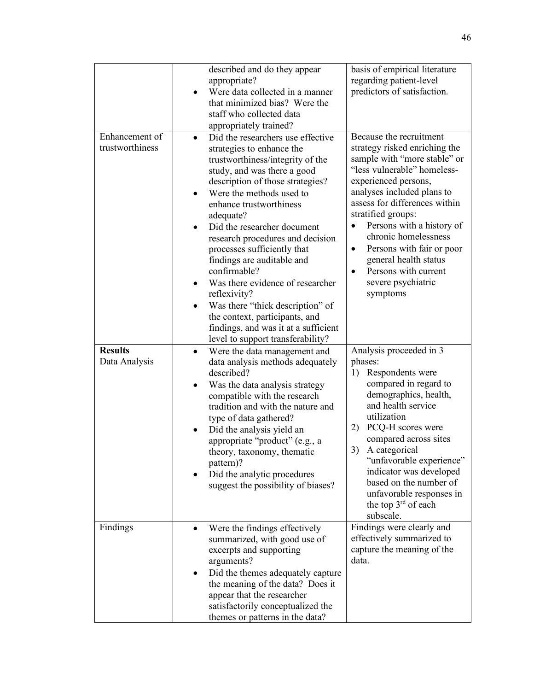|                                   | described and do they appear<br>appropriate?<br>Were data collected in a manner<br>that minimized bias? Were the<br>staff who collected data<br>appropriately trained?                                                                                                                                                                                                                                                                                                                                                                                                                                        | basis of empirical literature<br>regarding patient-level<br>predictors of satisfaction.                                                                                                                                                                                                                                                                                                                                                          |
|-----------------------------------|---------------------------------------------------------------------------------------------------------------------------------------------------------------------------------------------------------------------------------------------------------------------------------------------------------------------------------------------------------------------------------------------------------------------------------------------------------------------------------------------------------------------------------------------------------------------------------------------------------------|--------------------------------------------------------------------------------------------------------------------------------------------------------------------------------------------------------------------------------------------------------------------------------------------------------------------------------------------------------------------------------------------------------------------------------------------------|
| Enhancement of<br>trustworthiness | Did the researchers use effective<br>$\bullet$<br>strategies to enhance the<br>trustworthiness/integrity of the<br>study, and was there a good<br>description of those strategies?<br>Were the methods used to<br>enhance trustworthiness<br>adequate?<br>Did the researcher document<br>research procedures and decision<br>processes sufficiently that<br>findings are auditable and<br>confirmable?<br>Was there evidence of researcher<br>reflexivity?<br>Was there "thick description" of<br>the context, participants, and<br>findings, and was it at a sufficient<br>level to support transferability? | Because the recruitment<br>strategy risked enriching the<br>sample with "more stable" or<br>"less vulnerable" homeless-<br>experienced persons,<br>analyses included plans to<br>assess for differences within<br>stratified groups:<br>Persons with a history of<br>$\bullet$<br>chronic homelessness<br>Persons with fair or poor<br>$\bullet$<br>general health status<br>Persons with current<br>$\bullet$<br>severe psychiatric<br>symptoms |
| <b>Results</b><br>Data Analysis   | Were the data management and<br>$\bullet$<br>data analysis methods adequately<br>described?<br>Was the data analysis strategy<br>٠<br>compatible with the research<br>tradition and with the nature and<br>type of data gathered?<br>Did the analysis yield an<br>appropriate "product" (e.g., a<br>theory, taxonomy, thematic<br>pattern)?<br>Did the analytic procedures<br>suggest the possibility of biases?                                                                                                                                                                                              | Analysis proceeded in 3<br>phases:<br>Respondents were<br>1)<br>compared in regard to<br>demographics, health,<br>and health service<br>utilization<br>PCQ-H scores were<br>2)<br>compared across sites<br>3)<br>A categorical<br>"unfavorable experience"<br>indicator was developed<br>based on the number of<br>unfavorable responses in<br>the top $3^{rd}$ of each<br>subscale.                                                             |
| Findings                          | Were the findings effectively<br>summarized, with good use of<br>excerpts and supporting<br>arguments?<br>Did the themes adequately capture<br>٠<br>the meaning of the data? Does it<br>appear that the researcher<br>satisfactorily conceptualized the<br>themes or patterns in the data?                                                                                                                                                                                                                                                                                                                    | Findings were clearly and<br>effectively summarized to<br>capture the meaning of the<br>data.                                                                                                                                                                                                                                                                                                                                                    |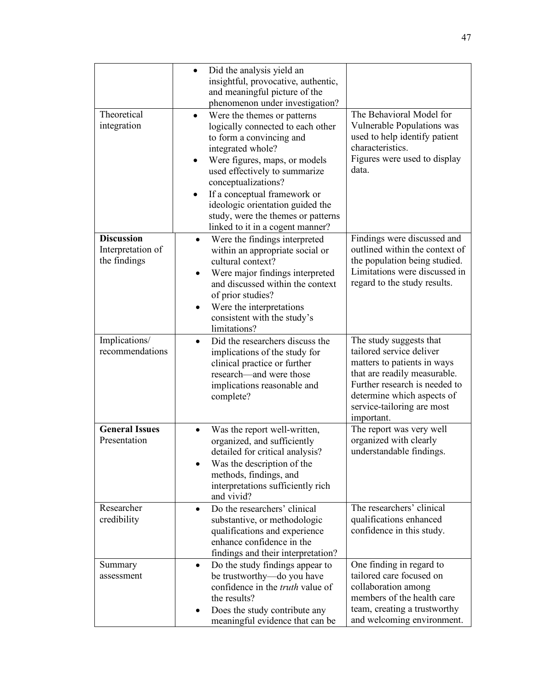|                                                        | Did the analysis yield an<br>$\bullet$<br>insightful, provocative, authentic,<br>and meaningful picture of the<br>phenomenon under investigation?                                                                                                                                                                                                                     |                                                                                                                                                                                                                               |
|--------------------------------------------------------|-----------------------------------------------------------------------------------------------------------------------------------------------------------------------------------------------------------------------------------------------------------------------------------------------------------------------------------------------------------------------|-------------------------------------------------------------------------------------------------------------------------------------------------------------------------------------------------------------------------------|
| Theoretical<br>integration                             | Were the themes or patterns<br>logically connected to each other<br>to form a convincing and<br>integrated whole?<br>Were figures, maps, or models<br>$\bullet$<br>used effectively to summarize<br>conceptualizations?<br>If a conceptual framework or<br>ideologic orientation guided the<br>study, were the themes or patterns<br>linked to it in a cogent manner? | The Behavioral Model for<br>Vulnerable Populations was<br>used to help identify patient<br>characteristics.<br>Figures were used to display<br>data.                                                                          |
| <b>Discussion</b><br>Interpretation of<br>the findings | Were the findings interpreted<br>$\bullet$<br>within an appropriate social or<br>cultural context?<br>Were major findings interpreted<br>٠<br>and discussed within the context<br>of prior studies?<br>Were the interpretations<br>$\bullet$<br>consistent with the study's<br>limitations?                                                                           | Findings were discussed and<br>outlined within the context of<br>the population being studied.<br>Limitations were discussed in<br>regard to the study results.                                                               |
| Implications/<br>recommendations                       | Did the researchers discuss the<br>$\bullet$<br>implications of the study for<br>clinical practice or further<br>research—and were those<br>implications reasonable and<br>complete?                                                                                                                                                                                  | The study suggests that<br>tailored service deliver<br>matters to patients in ways<br>that are readily measurable.<br>Further research is needed to<br>determine which aspects of<br>service-tailoring are most<br>important. |
| <b>General Issues</b><br>Presentation                  | Was the report well-written,<br>$\bullet$<br>organized, and sufficiently<br>detailed for critical analysis?<br>Was the description of the<br>methods, findings, and<br>interpretations sufficiently rich<br>and vivid?                                                                                                                                                | The report was very well<br>organized with clearly<br>understandable findings                                                                                                                                                 |
| Researcher<br>credibility                              | Do the researchers' clinical<br>$\bullet$<br>substantive, or methodologic<br>qualifications and experience<br>enhance confidence in the<br>findings and their interpretation?                                                                                                                                                                                         | The researchers' clinical<br>qualifications enhanced<br>confidence in this study.                                                                                                                                             |
| Summary<br>assessment                                  | Do the study findings appear to<br>$\bullet$<br>be trustworthy—do you have<br>confidence in the <i>truth</i> value of<br>the results?<br>Does the study contribute any<br>meaningful evidence that can be                                                                                                                                                             | One finding in regard to<br>tailored care focused on<br>collaboration among<br>members of the health care<br>team, creating a trustworthy<br>and welcoming environment.                                                       |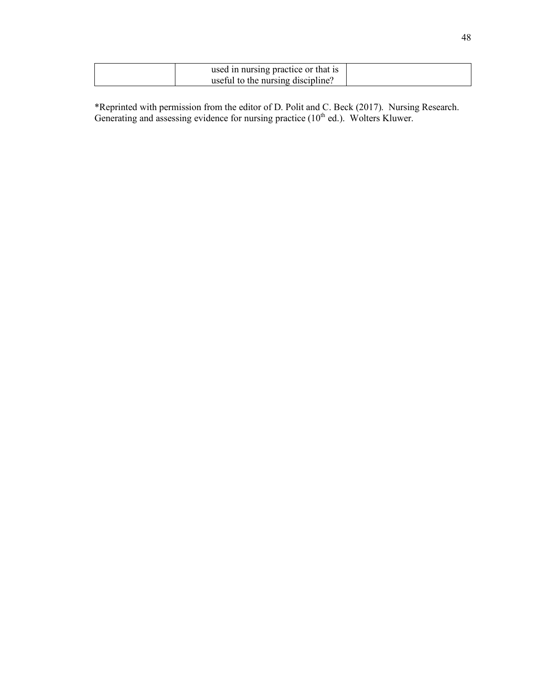| used in nursing practice or that is |  |
|-------------------------------------|--|
| useful to the nursing discipline?   |  |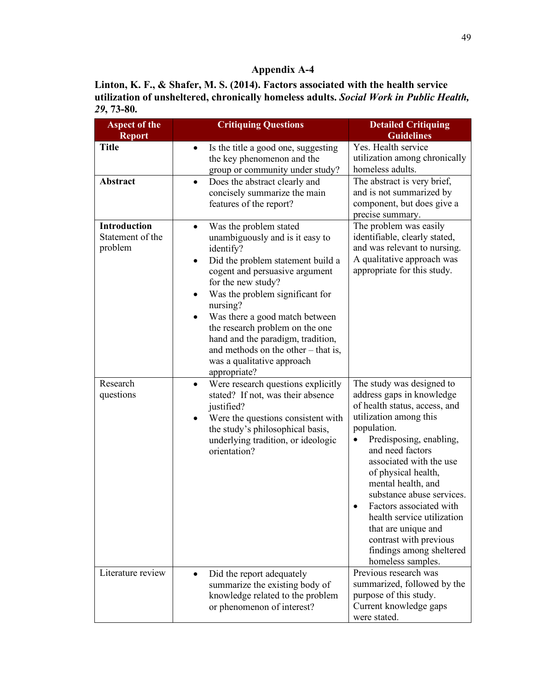**Linton, K. F., & Shafer, M. S. (2014). Factors associated with the health service utilization of unsheltered, chronically homeless adults.** *Social Work in Public Health, 29***, 73-80.**

| <b>Aspect of the</b><br><b>Report</b>              | <b>Critiquing Questions</b>                                                                                                                                                                                                                                                                                                                                                                                                                              | <b>Detailed Critiquing</b><br><b>Guidelines</b>                                                                                                                                                                                                                                                                                                                                                                                                              |  |  |
|----------------------------------------------------|----------------------------------------------------------------------------------------------------------------------------------------------------------------------------------------------------------------------------------------------------------------------------------------------------------------------------------------------------------------------------------------------------------------------------------------------------------|--------------------------------------------------------------------------------------------------------------------------------------------------------------------------------------------------------------------------------------------------------------------------------------------------------------------------------------------------------------------------------------------------------------------------------------------------------------|--|--|
| <b>Title</b>                                       | Is the title a good one, suggesting<br>$\bullet$<br>the key phenomenon and the<br>group or community under study?                                                                                                                                                                                                                                                                                                                                        | Yes. Health service<br>utilization among chronically<br>homeless adults.                                                                                                                                                                                                                                                                                                                                                                                     |  |  |
| Abstract                                           | Does the abstract clearly and<br>$\bullet$<br>concisely summarize the main<br>features of the report?                                                                                                                                                                                                                                                                                                                                                    | The abstract is very brief,<br>and is not summarized by<br>component, but does give a<br>precise summary.                                                                                                                                                                                                                                                                                                                                                    |  |  |
| <b>Introduction</b><br>Statement of the<br>problem | Was the problem stated<br>$\bullet$<br>unambiguously and is it easy to<br>identify?<br>Did the problem statement build a<br>$\bullet$<br>cogent and persuasive argument<br>for the new study?<br>Was the problem significant for<br>$\bullet$<br>nursing?<br>Was there a good match between<br>the research problem on the one<br>hand and the paradigm, tradition,<br>and methods on the other – that is,<br>was a qualitative approach<br>appropriate? | The problem was easily<br>identifiable, clearly stated,<br>and was relevant to nursing.<br>A qualitative approach was<br>appropriate for this study.                                                                                                                                                                                                                                                                                                         |  |  |
| Research<br>questions                              | Were research questions explicitly<br>$\bullet$<br>stated? If not, was their absence<br>justified?<br>Were the questions consistent with<br>٠<br>the study's philosophical basis,<br>underlying tradition, or ideologic<br>orientation?                                                                                                                                                                                                                  | The study was designed to<br>address gaps in knowledge<br>of health status, access, and<br>utilization among this<br>population.<br>Predisposing, enabling,<br>$\bullet$<br>and need factors<br>associated with the use<br>of physical health,<br>mental health, and<br>substance abuse services.<br>Factors associated with<br>health service utilization<br>that are unique and<br>contrast with previous<br>findings among sheltered<br>homeless samples. |  |  |
| Literature review                                  | Did the report adequately<br>$\bullet$<br>summarize the existing body of<br>knowledge related to the problem<br>or phenomenon of interest?                                                                                                                                                                                                                                                                                                               | Previous research was<br>summarized, followed by the<br>purpose of this study.<br>Current knowledge gaps<br>were stated.                                                                                                                                                                                                                                                                                                                                     |  |  |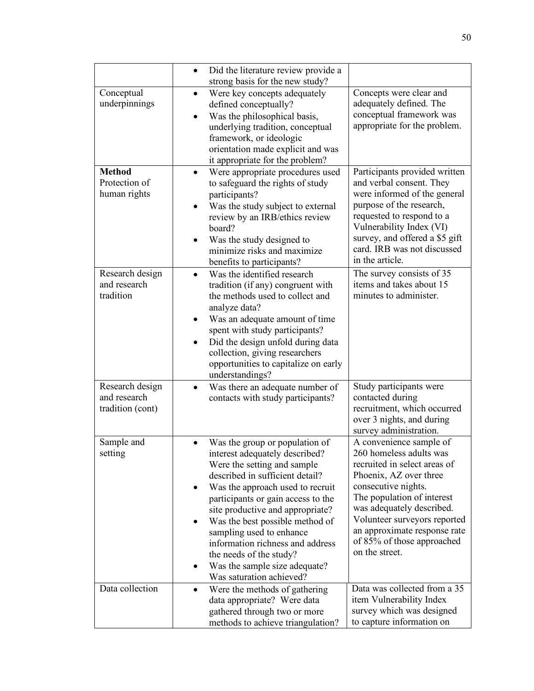|                                                     | Did the literature review provide a<br>$\bullet$<br>strong basis for the new study?                                                                                                                                                                                                                                                                                                                                                                      |                                                                                                                                                                                                                                                                                                                |
|-----------------------------------------------------|----------------------------------------------------------------------------------------------------------------------------------------------------------------------------------------------------------------------------------------------------------------------------------------------------------------------------------------------------------------------------------------------------------------------------------------------------------|----------------------------------------------------------------------------------------------------------------------------------------------------------------------------------------------------------------------------------------------------------------------------------------------------------------|
| Conceptual<br>underpinnings                         | Were key concepts adequately<br>defined conceptually?<br>Was the philosophical basis,<br>$\bullet$<br>underlying tradition, conceptual<br>framework, or ideologic<br>orientation made explicit and was<br>it appropriate for the problem?                                                                                                                                                                                                                | Concepts were clear and<br>adequately defined. The<br>conceptual framework was<br>appropriate for the problem.                                                                                                                                                                                                 |
| <b>Method</b><br>Protection of<br>human rights      | Were appropriate procedures used<br>$\bullet$<br>to safeguard the rights of study<br>participants?<br>Was the study subject to external<br>$\bullet$<br>review by an IRB/ethics review<br>board?<br>Was the study designed to<br>minimize risks and maximize<br>benefits to participants?                                                                                                                                                                | Participants provided written<br>and verbal consent. They<br>were informed of the general<br>purpose of the research,<br>requested to respond to a<br>Vulnerability Index (VI)<br>survey, and offered a \$5 gift<br>card. IRB was not discussed<br>in the article.                                             |
| Research design<br>and research<br>tradition        | Was the identified research<br>$\bullet$<br>tradition (if any) congruent with<br>the methods used to collect and<br>analyze data?<br>Was an adequate amount of time<br>spent with study participants?<br>Did the design unfold during data<br>$\bullet$<br>collection, giving researchers<br>opportunities to capitalize on early<br>understandings?                                                                                                     | The survey consists of 35<br>items and takes about 15<br>minutes to administer.                                                                                                                                                                                                                                |
| Research design<br>and research<br>tradition (cont) | Was there an adequate number of<br>$\bullet$<br>contacts with study participants?                                                                                                                                                                                                                                                                                                                                                                        | Study participants were<br>contacted during<br>recruitment, which occurred<br>over 3 nights, and during<br>survey administration.                                                                                                                                                                              |
| Sample and<br>setting                               | Was the group or population of<br>interest adequately described?<br>Were the setting and sample<br>described in sufficient detail?<br>Was the approach used to recruit<br>$\bullet$<br>participants or gain access to the<br>site productive and appropriate?<br>Was the best possible method of<br>sampling used to enhance<br>information richness and address<br>the needs of the study?<br>Was the sample size adequate?<br>Was saturation achieved? | A convenience sample of<br>260 homeless adults was<br>recruited in select areas of<br>Phoenix, AZ over three<br>consecutive nights.<br>The population of interest<br>was adequately described.<br>Volunteer surveyors reported<br>an approximate response rate<br>of 85% of those approached<br>on the street. |
| Data collection                                     | Were the methods of gathering<br>$\bullet$<br>data appropriate? Were data<br>gathered through two or more<br>methods to achieve triangulation?                                                                                                                                                                                                                                                                                                           | Data was collected from a 35<br>item Vulnerability Index<br>survey which was designed<br>to capture information on                                                                                                                                                                                             |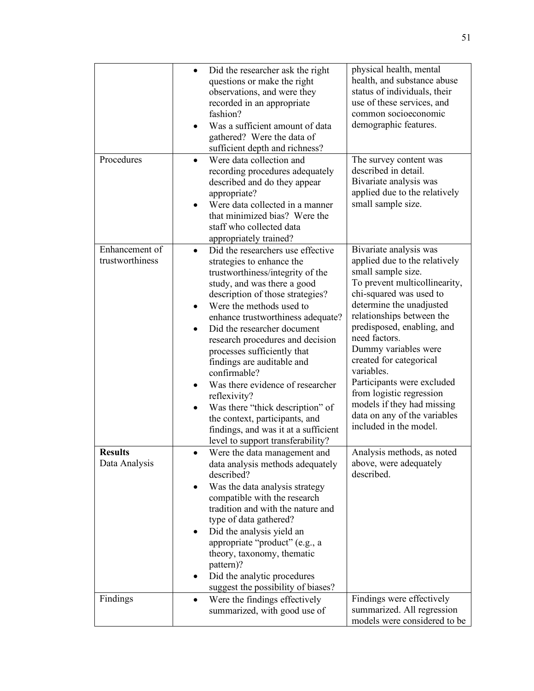| Procedures                        | Did the researcher ask the right<br>$\bullet$<br>questions or make the right<br>observations, and were they<br>recorded in an appropriate<br>fashion?<br>Was a sufficient amount of data<br>gathered? Were the data of<br>sufficient depth and richness?<br>Were data collection and<br>$\bullet$<br>recording procedures adequately<br>described and do they appear<br>appropriate?<br>Were data collected in a manner<br>that minimized bias? Were the                                                                                                                                                                | physical health, mental<br>health, and substance abuse<br>status of individuals, their<br>use of these services, and<br>common socioeconomic<br>demographic features.<br>The survey content was<br>described in detail.<br>Bivariate analysis was<br>applied due to the relatively<br>small sample size.                                                                                                                                                             |
|-----------------------------------|-------------------------------------------------------------------------------------------------------------------------------------------------------------------------------------------------------------------------------------------------------------------------------------------------------------------------------------------------------------------------------------------------------------------------------------------------------------------------------------------------------------------------------------------------------------------------------------------------------------------------|----------------------------------------------------------------------------------------------------------------------------------------------------------------------------------------------------------------------------------------------------------------------------------------------------------------------------------------------------------------------------------------------------------------------------------------------------------------------|
|                                   | staff who collected data                                                                                                                                                                                                                                                                                                                                                                                                                                                                                                                                                                                                |                                                                                                                                                                                                                                                                                                                                                                                                                                                                      |
| Enhancement of<br>trustworthiness | appropriately trained?<br>Did the researchers use effective<br>strategies to enhance the<br>trustworthiness/integrity of the<br>study, and was there a good<br>description of those strategies?<br>Were the methods used to<br>enhance trustworthiness adequate?<br>Did the researcher document<br>research procedures and decision<br>processes sufficiently that<br>findings are auditable and<br>confirmable?<br>Was there evidence of researcher<br>reflexivity?<br>Was there "thick description" of<br>the context, participants, and<br>findings, and was it at a sufficient<br>level to support transferability? | Bivariate analysis was<br>applied due to the relatively<br>small sample size.<br>To prevent multicollinearity,<br>chi-squared was used to<br>determine the unadjusted<br>relationships between the<br>predisposed, enabling, and<br>need factors.<br>Dummy variables were<br>created for categorical<br>variables.<br>Participants were excluded<br>from logistic regression<br>models if they had missing<br>data on any of the variables<br>included in the model. |
| <b>Results</b><br>Data Analysis   | Were the data management and<br>data analysis methods adequately<br>described?<br>Was the data analysis strategy<br>compatible with the research<br>tradition and with the nature and<br>type of data gathered?<br>Did the analysis yield an<br>٠<br>appropriate "product" (e.g., a<br>theory, taxonomy, thematic<br>pattern)?<br>Did the analytic procedures<br>suggest the possibility of biases?                                                                                                                                                                                                                     | Analysis methods, as noted<br>above, were adequately<br>described.                                                                                                                                                                                                                                                                                                                                                                                                   |
| Findings                          | Were the findings effectively<br>$\bullet$<br>summarized, with good use of                                                                                                                                                                                                                                                                                                                                                                                                                                                                                                                                              | Findings were effectively<br>summarized. All regression<br>models were considered to be                                                                                                                                                                                                                                                                                                                                                                              |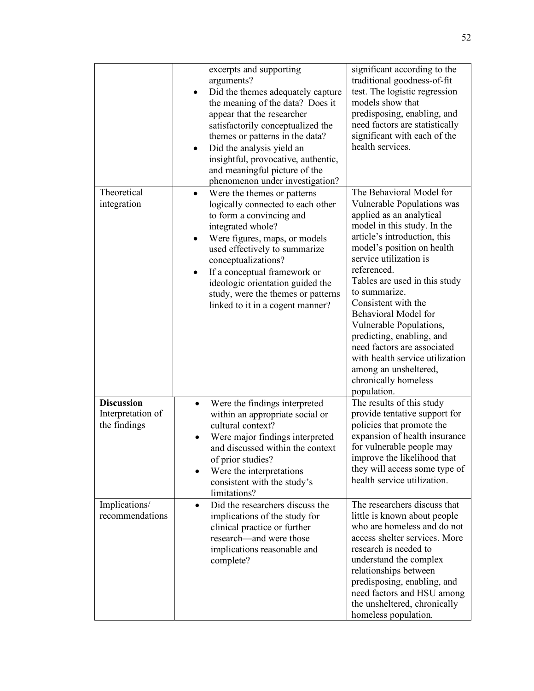|                                                        | excerpts and supporting<br>arguments?<br>Did the themes adequately capture<br>$\bullet$<br>the meaning of the data? Does it<br>appear that the researcher<br>satisfactorily conceptualized the<br>themes or patterns in the data?<br>Did the analysis yield an<br>٠<br>insightful, provocative, authentic,<br>and meaningful picture of the<br>phenomenon under investigation? | significant according to the<br>traditional goodness-of-fit<br>test. The logistic regression<br>models show that<br>predisposing, enabling, and<br>need factors are statistically<br>significant with each of the<br>health services.                                                                                                                                                                                                                                                                               |
|--------------------------------------------------------|--------------------------------------------------------------------------------------------------------------------------------------------------------------------------------------------------------------------------------------------------------------------------------------------------------------------------------------------------------------------------------|---------------------------------------------------------------------------------------------------------------------------------------------------------------------------------------------------------------------------------------------------------------------------------------------------------------------------------------------------------------------------------------------------------------------------------------------------------------------------------------------------------------------|
| Theoretical<br>integration                             | Were the themes or patterns<br>$\bullet$<br>logically connected to each other<br>to form a convincing and<br>integrated whole?<br>Were figures, maps, or models<br>٠<br>used effectively to summarize<br>conceptualizations?<br>If a conceptual framework or<br>ideologic orientation guided the<br>study, were the themes or patterns<br>linked to it in a cogent manner?     | The Behavioral Model for<br>Vulnerable Populations was<br>applied as an analytical<br>model in this study. In the<br>article's introduction, this<br>model's position on health<br>service utilization is<br>referenced.<br>Tables are used in this study<br>to summarize.<br>Consistent with the<br>Behavioral Model for<br>Vulnerable Populations,<br>predicting, enabling, and<br>need factors are associated<br>with health service utilization<br>among an unsheltered,<br>chronically homeless<br>population. |
| <b>Discussion</b><br>Interpretation of<br>the findings | Were the findings interpreted<br>$\bullet$<br>within an appropriate social or<br>cultural context?<br>Were major findings interpreted<br>and discussed within the context<br>of prior studies?<br>Were the interpretations<br>consistent with the study's<br>limitations?                                                                                                      | The results of this study<br>provide tentative support for<br>policies that promote the<br>expansion of health insurance<br>for vulnerable people may<br>improve the likelihood that<br>they will access some type of<br>health service utilization.                                                                                                                                                                                                                                                                |
| Implications/<br>recommendations                       | Did the researchers discuss the<br>$\bullet$<br>implications of the study for<br>clinical practice or further<br>research—and were those<br>implications reasonable and<br>complete?                                                                                                                                                                                           | The researchers discuss that<br>little is known about people<br>who are homeless and do not<br>access shelter services. More<br>research is needed to<br>understand the complex<br>relationships between<br>predisposing, enabling, and<br>need factors and HSU among<br>the unsheltered, chronically<br>homeless population.                                                                                                                                                                                       |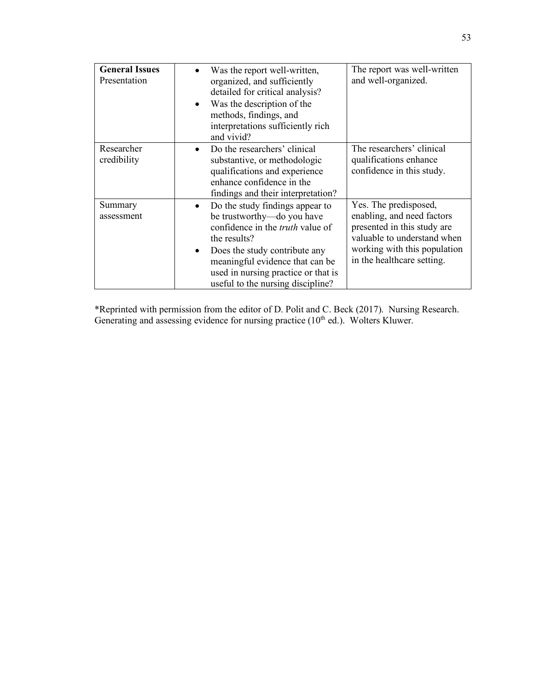| <b>General Issues</b><br>Presentation | Was the report well-written,<br>organized, and sufficiently<br>detailed for critical analysis?<br>Was the description of the<br>$\bullet$<br>methods, findings, and<br>interpretations sufficiently rich<br>and vivid?                                                                | The report was well-written<br>and well-organized.                                                                                                                              |
|---------------------------------------|---------------------------------------------------------------------------------------------------------------------------------------------------------------------------------------------------------------------------------------------------------------------------------------|---------------------------------------------------------------------------------------------------------------------------------------------------------------------------------|
| Researcher<br>credibility             | Do the researchers' clinical<br>$\bullet$<br>substantive, or methodologic<br>qualifications and experience<br>enhance confidence in the<br>findings and their interpretation?                                                                                                         | The researchers' clinical<br>qualifications enhance<br>confidence in this study.                                                                                                |
| Summary<br>assessment                 | Do the study findings appear to<br>be trustworthy-do you have<br>confidence in the <i>truth</i> value of<br>the results?<br>Does the study contribute any<br>$\bullet$<br>meaningful evidence that can be<br>used in nursing practice or that is<br>useful to the nursing discipline? | Yes. The predisposed,<br>enabling, and need factors<br>presented in this study are<br>valuable to understand when<br>working with this population<br>in the healthcare setting. |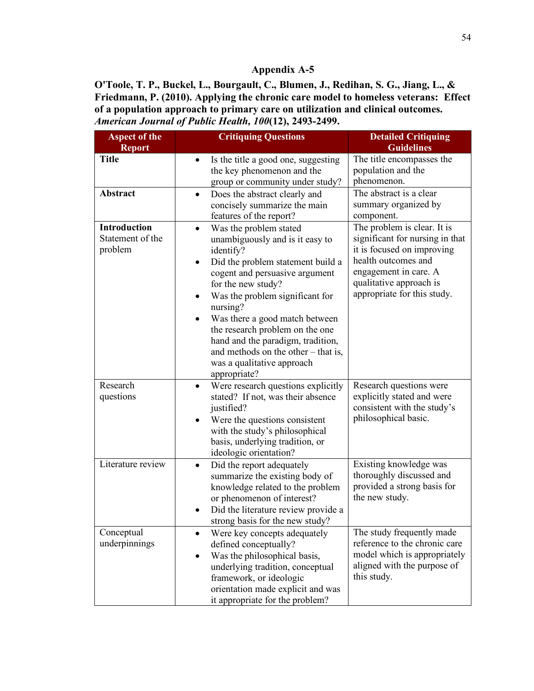**O'Toole, T. P., Buckel, L., Bourgault, C., Blumen, J., Redihan, S. G., Jiang, L., & Friedmann, P. (2010). Applying the chronic care model to homeless veterans: Effect of a population approach to primary care on utilization and clinical outcomes.**  *American Journal of Public Health, 100***(12), 2493-2499.**

| <b>Aspect of the</b><br><b>Report</b>              | <b>Critiquing Questions</b>                                                                                                                                                                                                                                                                                                                                                                                                                        | <b>Detailed Critiquing</b><br><b>Guidelines</b>                                                                                                                                                        |
|----------------------------------------------------|----------------------------------------------------------------------------------------------------------------------------------------------------------------------------------------------------------------------------------------------------------------------------------------------------------------------------------------------------------------------------------------------------------------------------------------------------|--------------------------------------------------------------------------------------------------------------------------------------------------------------------------------------------------------|
| <b>Title</b>                                       | Is the title a good one, suggesting<br>$\bullet$<br>the key phenomenon and the<br>group or community under study?                                                                                                                                                                                                                                                                                                                                  | The title encompasses the<br>population and the<br>phenomenon.                                                                                                                                         |
| <b>Abstract</b>                                    | Does the abstract clearly and<br>$\bullet$<br>concisely summarize the main<br>features of the report?                                                                                                                                                                                                                                                                                                                                              | The abstract is a clear<br>summary organized by<br>component.                                                                                                                                          |
| <b>Introduction</b><br>Statement of the<br>problem | Was the problem stated<br>$\bullet$<br>unambiguously and is it easy to<br>identify?<br>Did the problem statement build a<br>$\bullet$<br>cogent and persuasive argument<br>for the new study?<br>Was the problem significant for<br>nursing?<br>Was there a good match between<br>٠<br>the research problem on the one<br>hand and the paradigm, tradition,<br>and methods on the other $-$ that is,<br>was a qualitative approach<br>appropriate? | The problem is clear. It is<br>significant for nursing in that<br>it is focused on improving<br>health outcomes and<br>engagement in care. A<br>qualitative approach is<br>appropriate for this study. |
| Research<br>questions                              | Were research questions explicitly<br>$\bullet$<br>stated? If not, was their absence<br>justified?<br>Were the questions consistent<br>with the study's philosophical<br>basis, underlying tradition, or<br>ideologic orientation?                                                                                                                                                                                                                 | Research questions were<br>explicitly stated and were<br>consistent with the study's<br>philosophical basic.                                                                                           |
| Literature review                                  | Did the report adequately<br>$\bullet$<br>summarize the existing body of<br>knowledge related to the problem<br>or phenomenon of interest?<br>Did the literature review provide a<br>$\bullet$<br>strong basis for the new study?                                                                                                                                                                                                                  | Existing knowledge was<br>thoroughly discussed and<br>provided a strong basis for<br>the new study.                                                                                                    |
| Conceptual<br>underpinnings                        | Were key concepts adequately<br>defined conceptually?<br>Was the philosophical basis,<br>underlying tradition, conceptual<br>framework, or ideologic<br>orientation made explicit and was<br>it appropriate for the problem?                                                                                                                                                                                                                       | The study frequently made<br>reference to the chronic care<br>model which is appropriately<br>aligned with the purpose of<br>this study.                                                               |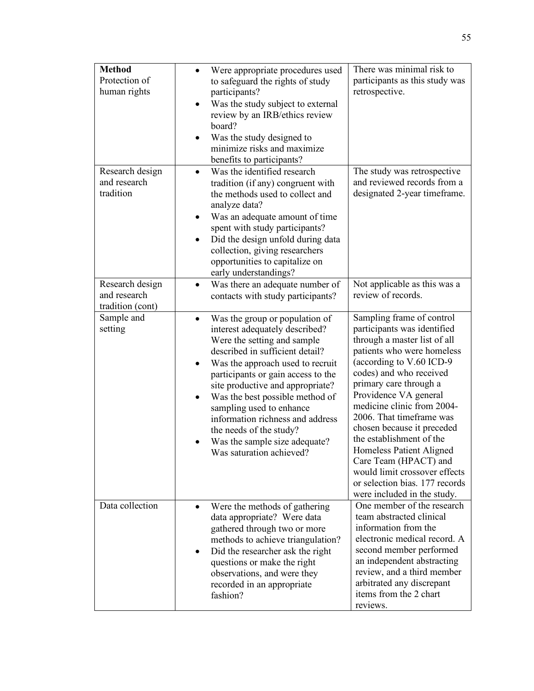| <b>Method</b><br>Protection of<br>human rights      | Were appropriate procedures used<br>$\bullet$<br>to safeguard the rights of study<br>participants?<br>Was the study subject to external<br>$\bullet$<br>review by an IRB/ethics review<br>board?<br>Was the study designed to<br>٠<br>minimize risks and maximize<br>benefits to participants?                                                                                                                                                                             | There was minimal risk to<br>participants as this study was<br>retrospective.                                                                                                                                                                                                                                                                                                                                                                                                                               |
|-----------------------------------------------------|----------------------------------------------------------------------------------------------------------------------------------------------------------------------------------------------------------------------------------------------------------------------------------------------------------------------------------------------------------------------------------------------------------------------------------------------------------------------------|-------------------------------------------------------------------------------------------------------------------------------------------------------------------------------------------------------------------------------------------------------------------------------------------------------------------------------------------------------------------------------------------------------------------------------------------------------------------------------------------------------------|
| Research design<br>and research<br>tradition        | Was the identified research<br>$\bullet$<br>tradition (if any) congruent with<br>the methods used to collect and<br>analyze data?<br>Was an adequate amount of time<br>$\bullet$<br>spent with study participants?<br>Did the design unfold during data<br>$\bullet$<br>collection, giving researchers<br>opportunities to capitalize on<br>early understandings?                                                                                                          | The study was retrospective<br>and reviewed records from a<br>designated 2-year timeframe.                                                                                                                                                                                                                                                                                                                                                                                                                  |
| Research design<br>and research<br>tradition (cont) | Was there an adequate number of<br>$\bullet$<br>contacts with study participants?                                                                                                                                                                                                                                                                                                                                                                                          | Not applicable as this was a<br>review of records.                                                                                                                                                                                                                                                                                                                                                                                                                                                          |
| Sample and<br>setting                               | Was the group or population of<br>$\bullet$<br>interest adequately described?<br>Were the setting and sample<br>described in sufficient detail?<br>Was the approach used to recruit<br>٠<br>participants or gain access to the<br>site productive and appropriate?<br>Was the best possible method of<br>$\bullet$<br>sampling used to enhance<br>information richness and address<br>the needs of the study?<br>Was the sample size adequate?<br>Was saturation achieved? | Sampling frame of control<br>participants was identified<br>through a master list of all<br>patients who were homeless<br>(according to V.60 ICD-9<br>codes) and who received<br>primary care through a<br>Providence VA general<br>medicine clinic from 2004-<br>2006. That timeframe was<br>chosen because it preceded<br>the establishment of the<br>Homeless Patient Aligned<br>Care Team (HPACT) and<br>would limit crossover effects<br>or selection bias. 177 records<br>were included in the study. |
| Data collection                                     | Were the methods of gathering<br>$\bullet$<br>data appropriate? Were data<br>gathered through two or more<br>methods to achieve triangulation?<br>Did the researcher ask the right<br>$\bullet$<br>questions or make the right<br>observations, and were they<br>recorded in an appropriate<br>fashion?                                                                                                                                                                    | One member of the research<br>team abstracted clinical<br>information from the<br>electronic medical record. A<br>second member performed<br>an independent abstracting<br>review, and a third member<br>arbitrated any discrepant<br>items from the 2 chart<br>reviews.                                                                                                                                                                                                                                    |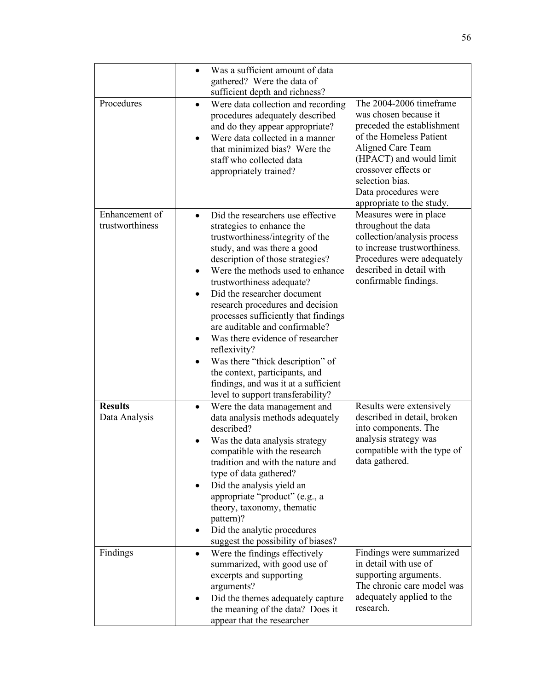|                                   | Was a sufficient amount of data<br>$\bullet$<br>gathered? Were the data of<br>sufficient depth and richness?                                                                                                                                                                                                                                                                                                                                                                                                                                                                                            |                                                                                                                                                                                                                                                           |
|-----------------------------------|---------------------------------------------------------------------------------------------------------------------------------------------------------------------------------------------------------------------------------------------------------------------------------------------------------------------------------------------------------------------------------------------------------------------------------------------------------------------------------------------------------------------------------------------------------------------------------------------------------|-----------------------------------------------------------------------------------------------------------------------------------------------------------------------------------------------------------------------------------------------------------|
| Procedures                        | Were data collection and recording<br>$\bullet$<br>procedures adequately described<br>and do they appear appropriate?<br>Were data collected in a manner<br>$\bullet$<br>that minimized bias? Were the<br>staff who collected data<br>appropriately trained?                                                                                                                                                                                                                                                                                                                                            | The 2004-2006 timeframe<br>was chosen because it<br>preceded the establishment<br>of the Homeless Patient<br>Aligned Care Team<br>(HPACT) and would limit<br>crossover effects or<br>selection bias.<br>Data procedures were<br>appropriate to the study. |
| Enhancement of<br>trustworthiness | Did the researchers use effective<br>$\bullet$<br>strategies to enhance the<br>trustworthiness/integrity of the<br>study, and was there a good<br>description of those strategies?<br>Were the methods used to enhance<br>trustworthiness adequate?<br>Did the researcher document<br>research procedures and decision<br>processes sufficiently that findings<br>are auditable and confirmable?<br>Was there evidence of researcher<br>reflexivity?<br>Was there "thick description" of<br>the context, participants, and<br>findings, and was it at a sufficient<br>level to support transferability? | Measures were in place<br>throughout the data<br>collection/analysis process<br>to increase trustworthiness.<br>Procedures were adequately<br>described in detail with<br>confirmable findings.                                                           |
| <b>Results</b><br>Data Analysis   | Were the data management and<br>$\bullet$<br>data analysis methods adequately<br>described?<br>Was the data analysis strategy<br>compatible with the research<br>tradition and with the nature and<br>type of data gathered?<br>Did the analysis yield an<br>appropriate "product" (e.g., a<br>theory, taxonomy, thematic<br>pattern)?<br>Did the analytic procedures<br>٠<br>suggest the possibility of biases?                                                                                                                                                                                        | Results were extensively<br>described in detail, broken<br>into components. The<br>analysis strategy was<br>compatible with the type of<br>data gathered.                                                                                                 |
| Findings                          | Were the findings effectively<br>$\bullet$<br>summarized, with good use of<br>excerpts and supporting<br>arguments?<br>Did the themes adequately capture<br>the meaning of the data? Does it<br>appear that the researcher                                                                                                                                                                                                                                                                                                                                                                              | Findings were summarized<br>in detail with use of<br>supporting arguments.<br>The chronic care model was<br>adequately applied to the<br>research.                                                                                                        |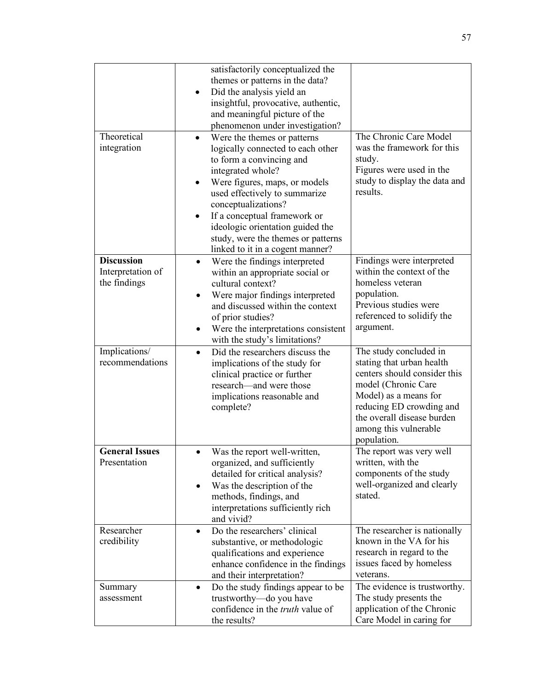| Theoretical<br>integration                             | satisfactorily conceptualized the<br>themes or patterns in the data?<br>Did the analysis yield an<br>insightful, provocative, authentic,<br>and meaningful picture of the<br>phenomenon under investigation?<br>Were the themes or patterns<br>$\bullet$<br>logically connected to each other<br>to form a convincing and<br>integrated whole?<br>Were figures, maps, or models<br>used effectively to summarize<br>conceptualizations?<br>If a conceptual framework or<br>$\bullet$<br>ideologic orientation guided the | The Chronic Care Model<br>was the framework for this<br>study.<br>Figures were used in the<br>study to display the data and<br>results.                                                                                               |
|--------------------------------------------------------|--------------------------------------------------------------------------------------------------------------------------------------------------------------------------------------------------------------------------------------------------------------------------------------------------------------------------------------------------------------------------------------------------------------------------------------------------------------------------------------------------------------------------|---------------------------------------------------------------------------------------------------------------------------------------------------------------------------------------------------------------------------------------|
|                                                        | study, were the themes or patterns<br>linked to it in a cogent manner?                                                                                                                                                                                                                                                                                                                                                                                                                                                   |                                                                                                                                                                                                                                       |
| <b>Discussion</b><br>Interpretation of<br>the findings | Were the findings interpreted<br>$\bullet$<br>within an appropriate social or<br>cultural context?<br>Were major findings interpreted<br>$\bullet$<br>and discussed within the context<br>of prior studies?<br>Were the interpretations consistent<br>with the study's limitations?                                                                                                                                                                                                                                      | Findings were interpreted<br>within the context of the<br>homeless veteran<br>population.<br>Previous studies were<br>referenced to solidify the<br>argument.                                                                         |
| Implications/<br>recommendations                       | Did the researchers discuss the<br>$\bullet$<br>implications of the study for<br>clinical practice or further<br>research-and were those<br>implications reasonable and<br>complete?                                                                                                                                                                                                                                                                                                                                     | The study concluded in<br>stating that urban health<br>centers should consider this<br>model (Chronic Care<br>Model) as a means for<br>reducing ED crowding and<br>the overall disease burden<br>among this vulnerable<br>population. |
| <b>General Issues</b><br>Presentation                  | Was the report well-written,<br>$\bullet$<br>organized, and sufficiently<br>detailed for critical analysis?<br>Was the description of the<br>$\bullet$<br>methods, findings, and<br>interpretations sufficiently rich<br>and vivid?                                                                                                                                                                                                                                                                                      | The report was very well<br>written, with the<br>components of the study<br>well-organized and clearly<br>stated.                                                                                                                     |
| Researcher<br>credibility                              | Do the researchers' clinical<br>$\bullet$<br>substantive, or methodologic<br>qualifications and experience<br>enhance confidence in the findings<br>and their interpretation?                                                                                                                                                                                                                                                                                                                                            | The researcher is nationally<br>known in the VA for his<br>research in regard to the<br>issues faced by homeless<br>veterans.                                                                                                         |
| Summary<br>assessment                                  | Do the study findings appear to be<br>$\bullet$<br>trustworthy-do you have<br>confidence in the <i>truth</i> value of<br>the results?                                                                                                                                                                                                                                                                                                                                                                                    | The evidence is trustworthy.<br>The study presents the<br>application of the Chronic<br>Care Model in caring for                                                                                                                      |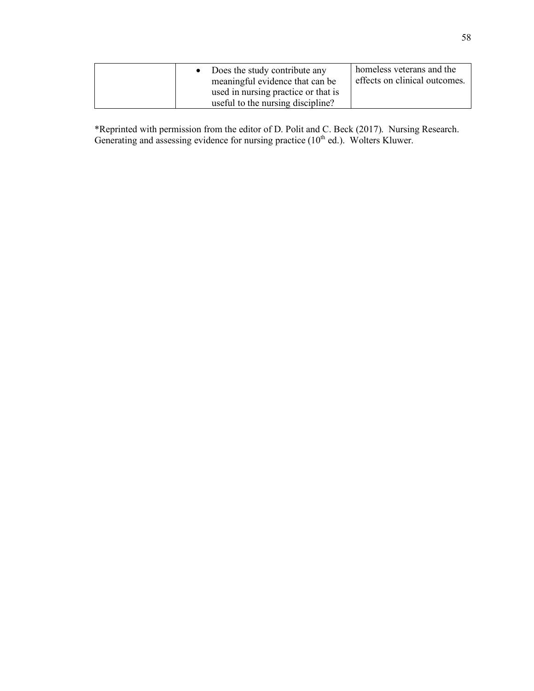|  | • Does the study contribute any<br>meaningful evidence that can be<br>used in nursing practice or that is | homeless veterans and the<br>effects on clinical outcomes. |
|--|-----------------------------------------------------------------------------------------------------------|------------------------------------------------------------|
|  | useful to the nursing discipline?                                                                         |                                                            |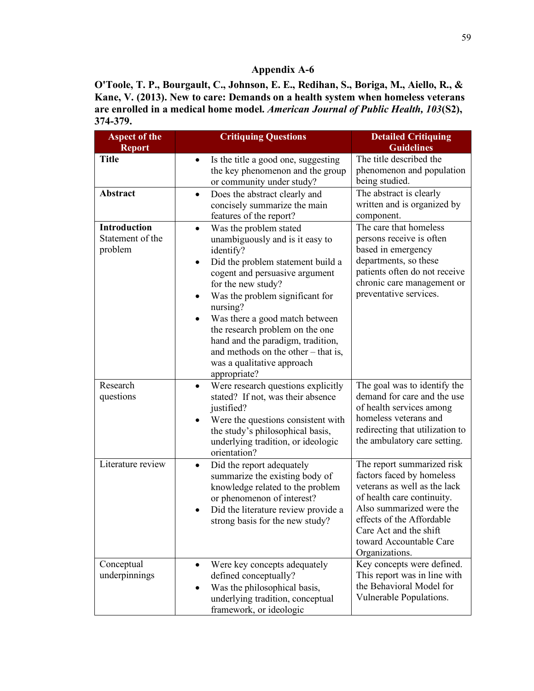**O'Toole, T. P., Bourgault, C., Johnson, E. E., Redihan, S., Boriga, M., Aiello, R., & Kane, V. (2013). New to care: Demands on a health system when homeless veterans are enrolled in a medical home model.** *American Journal of Public Health, 103***(S2), 374-379.**

| <b>Aspect of the</b><br><b>Report</b>              | <b>Critiquing Questions</b>                                                                                                                                                                                                                                                                                                                                                                                                                   | <b>Detailed Critiquing</b><br><b>Guidelines</b>                                                                                                                                                                                                       |
|----------------------------------------------------|-----------------------------------------------------------------------------------------------------------------------------------------------------------------------------------------------------------------------------------------------------------------------------------------------------------------------------------------------------------------------------------------------------------------------------------------------|-------------------------------------------------------------------------------------------------------------------------------------------------------------------------------------------------------------------------------------------------------|
| <b>Title</b>                                       | Is the title a good one, suggesting<br>$\bullet$<br>the key phenomenon and the group<br>or community under study?                                                                                                                                                                                                                                                                                                                             | The title described the<br>phenomenon and population<br>being studied.                                                                                                                                                                                |
| Abstract                                           | Does the abstract clearly and<br>$\bullet$<br>concisely summarize the main<br>features of the report?                                                                                                                                                                                                                                                                                                                                         | The abstract is clearly<br>written and is organized by<br>component.                                                                                                                                                                                  |
| <b>Introduction</b><br>Statement of the<br>problem | Was the problem stated<br>$\bullet$<br>unambiguously and is it easy to<br>identify?<br>Did the problem statement build a<br>$\bullet$<br>cogent and persuasive argument<br>for the new study?<br>Was the problem significant for<br>nursing?<br>Was there a good match between<br>the research problem on the one<br>hand and the paradigm, tradition,<br>and methods on the other $-$ that is,<br>was a qualitative approach<br>appropriate? | The care that homeless<br>persons receive is often<br>based in emergency<br>departments, so these<br>patients often do not receive<br>chronic care management or<br>preventative services.                                                            |
| Research<br>questions                              | Were research questions explicitly<br>$\bullet$<br>stated? If not, was their absence<br>justified?<br>Were the questions consistent with<br>the study's philosophical basis,<br>underlying tradition, or ideologic<br>orientation?                                                                                                                                                                                                            | The goal was to identify the<br>demand for care and the use<br>of health services among<br>homeless veterans and<br>redirecting that utilization to<br>the ambulatory care setting.                                                                   |
| Literature review                                  | Did the report adequately<br>$\bullet$<br>summarize the existing body of<br>knowledge related to the problem<br>or phenomenon of interest?<br>Did the literature review provide a<br>strong basis for the new study?                                                                                                                                                                                                                          | The report summarized risk<br>factors faced by homeless<br>veterans as well as the lack<br>of health care continuity.<br>Also summarized were the<br>effects of the Affordable<br>Care Act and the shift<br>toward Accountable Care<br>Organizations. |
| Conceptual<br>underpinnings                        | Were key concepts adequately<br>defined conceptually?<br>Was the philosophical basis,<br>underlying tradition, conceptual<br>framework, or ideologic                                                                                                                                                                                                                                                                                          | Key concepts were defined.<br>This report was in line with<br>the Behavioral Model for<br>Vulnerable Populations.                                                                                                                                     |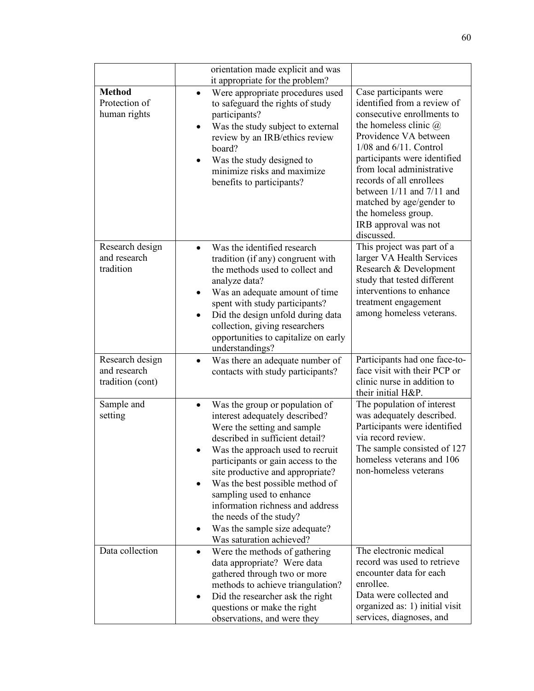|                                                     | orientation made explicit and was<br>it appropriate for the problem?                                                                                                                                                                                                                                                                                                                                                                                          |                                                                                                                                                                                                                                                                                                                                                                                                |
|-----------------------------------------------------|---------------------------------------------------------------------------------------------------------------------------------------------------------------------------------------------------------------------------------------------------------------------------------------------------------------------------------------------------------------------------------------------------------------------------------------------------------------|------------------------------------------------------------------------------------------------------------------------------------------------------------------------------------------------------------------------------------------------------------------------------------------------------------------------------------------------------------------------------------------------|
| <b>Method</b><br>Protection of<br>human rights      | Were appropriate procedures used<br>$\bullet$<br>to safeguard the rights of study<br>participants?<br>Was the study subject to external<br>$\bullet$<br>review by an IRB/ethics review<br>board?<br>Was the study designed to<br>$\bullet$<br>minimize risks and maximize<br>benefits to participants?                                                                                                                                                        | Case participants were<br>identified from a review of<br>consecutive enrollments to<br>the homeless clinic $\omega$<br>Providence VA between<br>$1/08$ and $6/11$ . Control<br>participants were identified<br>from local administrative<br>records of all enrollees<br>between $1/11$ and $7/11$ and<br>matched by age/gender to<br>the homeless group.<br>IRB approval was not<br>discussed. |
| Research design<br>and research<br>tradition        | Was the identified research<br>$\bullet$<br>tradition (if any) congruent with<br>the methods used to collect and<br>analyze data?<br>Was an adequate amount of time<br>spent with study participants?<br>Did the design unfold during data<br>$\bullet$<br>collection, giving researchers<br>opportunities to capitalize on early<br>understandings?                                                                                                          | This project was part of a<br>larger VA Health Services<br>Research & Development<br>study that tested different<br>interventions to enhance<br>treatment engagement<br>among homeless veterans.                                                                                                                                                                                               |
| Research design<br>and research<br>tradition (cont) | Was there an adequate number of<br>$\bullet$<br>contacts with study participants?                                                                                                                                                                                                                                                                                                                                                                             | Participants had one face-to-<br>face visit with their PCP or<br>clinic nurse in addition to<br>their initial H&P.                                                                                                                                                                                                                                                                             |
| Sample and<br>setting                               | Was the group or population of<br>$\bullet$<br>interest adequately described?<br>Were the setting and sample<br>described in sufficient detail?<br>Was the approach used to recruit<br>participants or gain access to the<br>site productive and appropriate?<br>Was the best possible method of<br>٠<br>sampling used to enhance<br>information richness and address<br>the needs of the study?<br>Was the sample size adequate?<br>Was saturation achieved? | The population of interest<br>was adequately described.<br>Participants were identified<br>via record review.<br>The sample consisted of 127<br>homeless veterans and 106<br>non-homeless veterans                                                                                                                                                                                             |
| Data collection                                     | Were the methods of gathering<br>$\bullet$<br>data appropriate? Were data<br>gathered through two or more<br>methods to achieve triangulation?<br>Did the researcher ask the right<br>$\bullet$<br>questions or make the right<br>observations, and were they                                                                                                                                                                                                 | The electronic medical<br>record was used to retrieve<br>encounter data for each<br>enrollee.<br>Data were collected and<br>organized as: 1) initial visit<br>services, diagnoses, and                                                                                                                                                                                                         |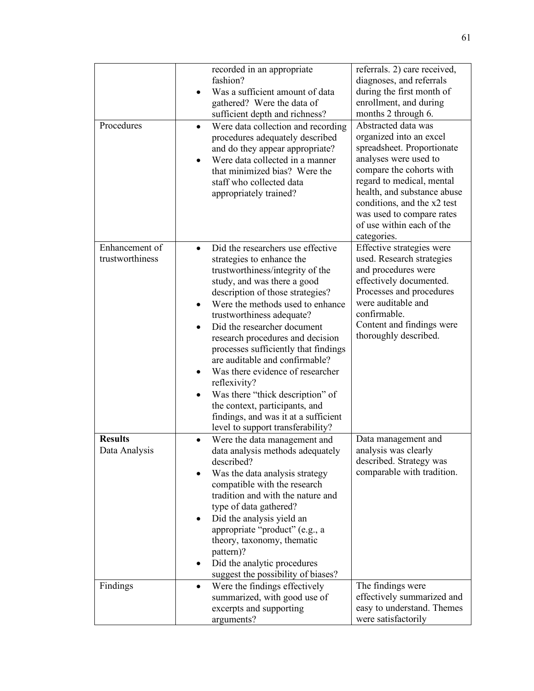|                                   | recorded in an appropriate<br>fashion?<br>Was a sufficient amount of data<br>gathered? Were the data of<br>sufficient depth and richness?                                                                                                                                                                                                                                                                                                                                                                                                                                                               | referrals. 2) care received,<br>diagnoses, and referrals<br>during the first month of<br>enrollment, and during<br>months 2 through 6.                                                                                                                                                                |
|-----------------------------------|---------------------------------------------------------------------------------------------------------------------------------------------------------------------------------------------------------------------------------------------------------------------------------------------------------------------------------------------------------------------------------------------------------------------------------------------------------------------------------------------------------------------------------------------------------------------------------------------------------|-------------------------------------------------------------------------------------------------------------------------------------------------------------------------------------------------------------------------------------------------------------------------------------------------------|
| Procedures                        | Were data collection and recording<br>$\bullet$<br>procedures adequately described<br>and do they appear appropriate?<br>Were data collected in a manner<br>that minimized bias? Were the<br>staff who collected data<br>appropriately trained?                                                                                                                                                                                                                                                                                                                                                         | Abstracted data was<br>organized into an excel<br>spreadsheet. Proportionate<br>analyses were used to<br>compare the cohorts with<br>regard to medical, mental<br>health, and substance abuse<br>conditions, and the x2 test<br>was used to compare rates<br>of use within each of the<br>categories. |
| Enhancement of<br>trustworthiness | Did the researchers use effective<br>strategies to enhance the<br>trustworthiness/integrity of the<br>study, and was there a good<br>description of those strategies?<br>Were the methods used to enhance<br>trustworthiness adequate?<br>Did the researcher document<br>$\bullet$<br>research procedures and decision<br>processes sufficiently that findings<br>are auditable and confirmable?<br>Was there evidence of researcher<br>reflexivity?<br>Was there "thick description" of<br>the context, participants, and<br>findings, and was it at a sufficient<br>level to support transferability? | Effective strategies were<br>used. Research strategies<br>and procedures were<br>effectively documented.<br>Processes and procedures<br>were auditable and<br>confirmable.<br>Content and findings were<br>thoroughly described.                                                                      |
| <b>Results</b><br>Data Analysis   | Were the data management and<br>data analysis methods adequately<br>described?<br>Was the data analysis strategy<br>compatible with the research<br>tradition and with the nature and<br>type of data gathered?<br>Did the analysis yield an<br>٠<br>appropriate "product" (e.g., a<br>theory, taxonomy, thematic<br>pattern)?<br>Did the analytic procedures<br>suggest the possibility of biases?                                                                                                                                                                                                     | Data management and<br>analysis was clearly<br>described. Strategy was<br>comparable with tradition.                                                                                                                                                                                                  |
| Findings                          | Were the findings effectively<br>$\bullet$<br>summarized, with good use of<br>excerpts and supporting<br>arguments?                                                                                                                                                                                                                                                                                                                                                                                                                                                                                     | The findings were<br>effectively summarized and<br>easy to understand. Themes<br>were satisfactorily                                                                                                                                                                                                  |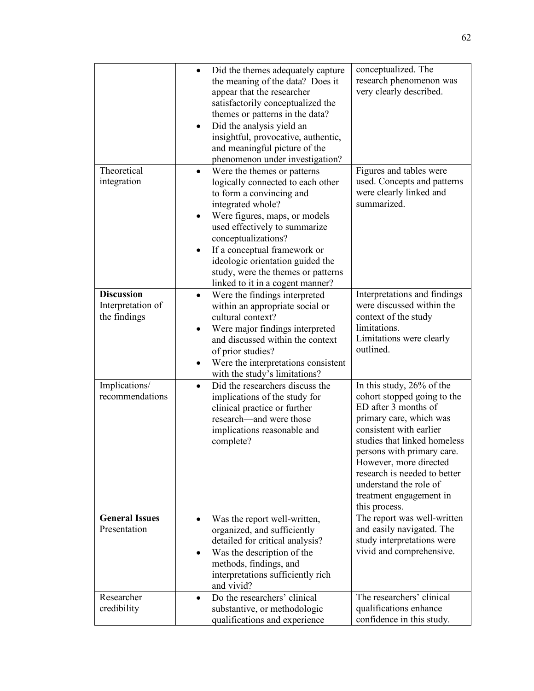|                                                        | Did the themes adequately capture<br>the meaning of the data? Does it<br>appear that the researcher<br>satisfactorily conceptualized the<br>themes or patterns in the data?<br>Did the analysis yield an<br>٠<br>insightful, provocative, authentic,<br>and meaningful picture of the<br>phenomenon under investigation?                                              | conceptualized. The<br>research phenomenon was<br>very clearly described.                                                                                                                                                                                                                                                            |
|--------------------------------------------------------|-----------------------------------------------------------------------------------------------------------------------------------------------------------------------------------------------------------------------------------------------------------------------------------------------------------------------------------------------------------------------|--------------------------------------------------------------------------------------------------------------------------------------------------------------------------------------------------------------------------------------------------------------------------------------------------------------------------------------|
| Theoretical<br>integration                             | Were the themes or patterns<br>$\bullet$<br>logically connected to each other<br>to form a convincing and<br>integrated whole?<br>Were figures, maps, or models<br>used effectively to summarize<br>conceptualizations?<br>If a conceptual framework or<br>ideologic orientation guided the<br>study, were the themes or patterns<br>linked to it in a cogent manner? | Figures and tables were<br>used. Concepts and patterns<br>were clearly linked and<br>summarized.                                                                                                                                                                                                                                     |
| <b>Discussion</b><br>Interpretation of<br>the findings | Were the findings interpreted<br>$\bullet$<br>within an appropriate social or<br>cultural context?<br>Were major findings interpreted<br>and discussed within the context<br>of prior studies?<br>Were the interpretations consistent<br>with the study's limitations?                                                                                                | Interpretations and findings<br>were discussed within the<br>context of the study<br>limitations.<br>Limitations were clearly<br>outlined.                                                                                                                                                                                           |
| Implications/<br>recommendations                       | Did the researchers discuss the<br>$\bullet$<br>implications of the study for<br>clinical practice or further<br>research—and were those<br>implications reasonable and<br>complete?                                                                                                                                                                                  | In this study, 26% of the<br>cohort stopped going to the<br>ED after 3 months of<br>primary care, which was<br>consistent with earlier<br>studies that linked homeless<br>persons with primary care.<br>However, more directed<br>research is needed to better<br>understand the role of<br>treatment engagement in<br>this process. |
| <b>General Issues</b><br>Presentation                  | Was the report well-written,<br>organized, and sufficiently<br>detailed for critical analysis?<br>Was the description of the<br>٠<br>methods, findings, and<br>interpretations sufficiently rich<br>and vivid?                                                                                                                                                        | The report was well-written<br>and easily navigated. The<br>study interpretations were<br>vivid and comprehensive.                                                                                                                                                                                                                   |
| Researcher<br>credibility                              | Do the researchers' clinical<br>$\bullet$<br>substantive, or methodologic<br>qualifications and experience                                                                                                                                                                                                                                                            | The researchers' clinical<br>qualifications enhance<br>confidence in this study.                                                                                                                                                                                                                                                     |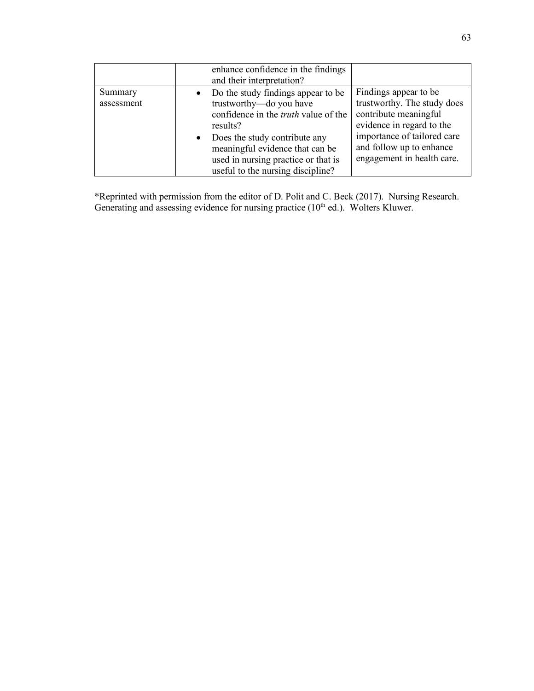|                       | enhance confidence in the findings<br>and their interpretation?                                                                                                                                                                                                                        |                                                                                                                                                                                                      |
|-----------------------|----------------------------------------------------------------------------------------------------------------------------------------------------------------------------------------------------------------------------------------------------------------------------------------|------------------------------------------------------------------------------------------------------------------------------------------------------------------------------------------------------|
| Summary<br>assessment | Do the study findings appear to be.<br>trustworthy-do you have<br>confidence in the <i>truth</i> value of the<br>results?<br>Does the study contribute any<br>$\bullet$<br>meaningful evidence that can be<br>used in nursing practice or that is<br>useful to the nursing discipline? | Findings appear to be.<br>trustworthy. The study does<br>contribute meaningful<br>evidence in regard to the<br>importance of tailored care<br>and follow up to enhance<br>engagement in health care. |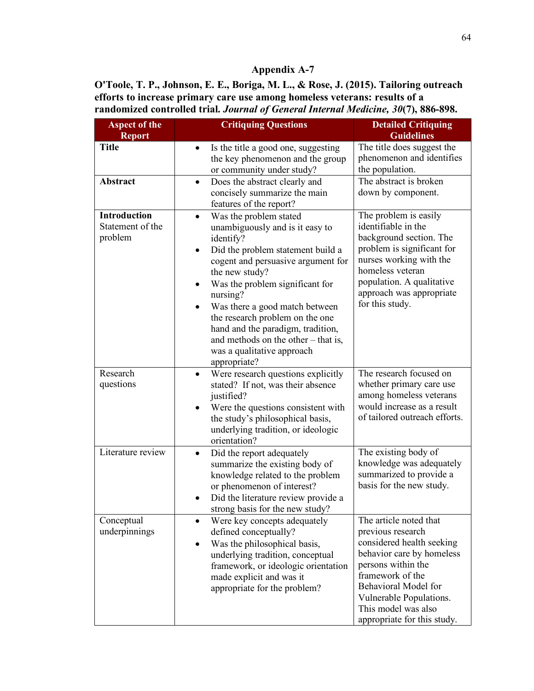**O'Toole, T. P., Johnson, E. E., Boriga, M. L., & Rose, J. (2015). Tailoring outreach efforts to increase primary care use among homeless veterans: results of a randomized controlled trial.** *Journal of General Internal Medicine, 30***(7), 886-898.**

| <b>Aspect of the</b><br><b>Report</b>              | <b>Critiquing Questions</b>                                                                                                                                                                                                                                                                                                                                                                                                                      | <b>Detailed Critiquing</b><br><b>Guidelines</b>                                                                                                                                                                                                          |
|----------------------------------------------------|--------------------------------------------------------------------------------------------------------------------------------------------------------------------------------------------------------------------------------------------------------------------------------------------------------------------------------------------------------------------------------------------------------------------------------------------------|----------------------------------------------------------------------------------------------------------------------------------------------------------------------------------------------------------------------------------------------------------|
| <b>Title</b>                                       | Is the title a good one, suggesting<br>$\bullet$<br>the key phenomenon and the group<br>or community under study?                                                                                                                                                                                                                                                                                                                                | The title does suggest the<br>phenomenon and identifies<br>the population.                                                                                                                                                                               |
| Abstract                                           | Does the abstract clearly and<br>$\bullet$<br>concisely summarize the main<br>features of the report?                                                                                                                                                                                                                                                                                                                                            | The abstract is broken<br>down by component.                                                                                                                                                                                                             |
| <b>Introduction</b><br>Statement of the<br>problem | Was the problem stated<br>$\bullet$<br>unambiguously and is it easy to<br>identify?<br>Did the problem statement build a<br>$\bullet$<br>cogent and persuasive argument for<br>the new study?<br>Was the problem significant for<br>nursing?<br>Was there a good match between<br>٠<br>the research problem on the one<br>hand and the paradigm, tradition,<br>and methods on the other – that is,<br>was a qualitative approach<br>appropriate? | The problem is easily<br>identifiable in the<br>background section. The<br>problem is significant for<br>nurses working with the<br>homeless veteran<br>population. A qualitative<br>approach was appropriate<br>for this study.                         |
| Research<br>questions                              | Were research questions explicitly<br>$\bullet$<br>stated? If not, was their absence<br>justified?<br>Were the questions consistent with<br>$\bullet$<br>the study's philosophical basis,<br>underlying tradition, or ideologic<br>orientation?                                                                                                                                                                                                  | The research focused on<br>whether primary care use<br>among homeless veterans<br>would increase as a result<br>of tailored outreach efforts.                                                                                                            |
| Literature review                                  | Did the report adequately<br>٠<br>summarize the existing body of<br>knowledge related to the problem<br>or phenomenon of interest?<br>Did the literature review provide a<br>strong basis for the new study?                                                                                                                                                                                                                                     | The existing body of<br>knowledge was adequately<br>summarized to provide a<br>basis for the new study.                                                                                                                                                  |
| Conceptual<br>underpinnings                        | Were key concepts adequately<br>defined conceptually?<br>Was the philosophical basis,<br>$\bullet$<br>underlying tradition, conceptual<br>framework, or ideologic orientation<br>made explicit and was it<br>appropriate for the problem?                                                                                                                                                                                                        | The article noted that<br>previous research<br>considered health seeking<br>behavior care by homeless<br>persons within the<br>framework of the<br>Behavioral Model for<br>Vulnerable Populations.<br>This model was also<br>appropriate for this study. |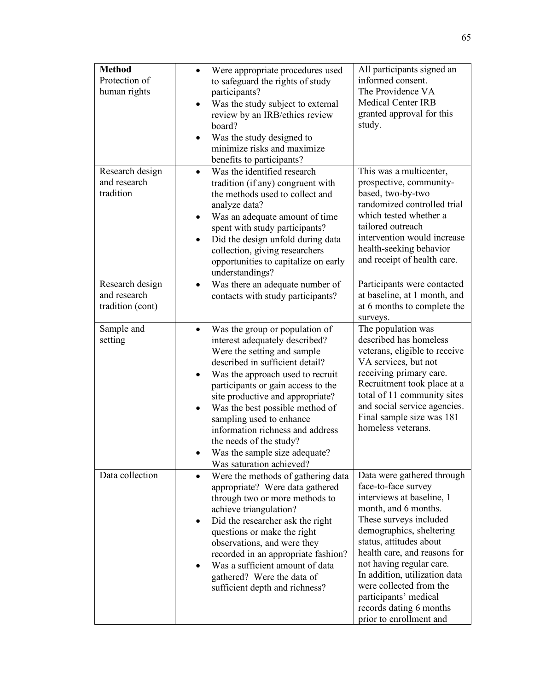| <b>Method</b><br>Protection of<br>human rights      | Were appropriate procedures used<br>to safeguard the rights of study<br>participants?<br>Was the study subject to external<br>review by an IRB/ethics review<br>board?<br>Was the study designed to<br>minimize risks and maximize<br>benefits to participants?                                                                                                                                                                                  | All participants signed an<br>informed consent.<br>The Providence VA<br><b>Medical Center IRB</b><br>granted approval for this<br>study.                                                                                                                                                                                                                                                       |
|-----------------------------------------------------|--------------------------------------------------------------------------------------------------------------------------------------------------------------------------------------------------------------------------------------------------------------------------------------------------------------------------------------------------------------------------------------------------------------------------------------------------|------------------------------------------------------------------------------------------------------------------------------------------------------------------------------------------------------------------------------------------------------------------------------------------------------------------------------------------------------------------------------------------------|
| Research design<br>and research<br>tradition        | Was the identified research<br>$\bullet$<br>tradition (if any) congruent with<br>the methods used to collect and<br>analyze data?<br>Was an adequate amount of time<br>spent with study participants?<br>Did the design unfold during data<br>$\bullet$<br>collection, giving researchers<br>opportunities to capitalize on early<br>understandings?                                                                                             | This was a multicenter,<br>prospective, community-<br>based, two-by-two<br>randomized controlled trial<br>which tested whether a<br>tailored outreach<br>intervention would increase<br>health-seeking behavior<br>and receipt of health care.                                                                                                                                                 |
| Research design<br>and research<br>tradition (cont) | Was there an adequate number of<br>$\bullet$<br>contacts with study participants?                                                                                                                                                                                                                                                                                                                                                                | Participants were contacted<br>at baseline, at 1 month, and<br>at 6 months to complete the<br>surveys.                                                                                                                                                                                                                                                                                         |
| Sample and<br>setting                               | Was the group or population of<br>interest adequately described?<br>Were the setting and sample<br>described in sufficient detail?<br>Was the approach used to recruit<br>٠<br>participants or gain access to the<br>site productive and appropriate?<br>Was the best possible method of<br>sampling used to enhance<br>information richness and address<br>the needs of the study?<br>Was the sample size adequate?<br>Was saturation achieved? | The population was<br>described has homeless<br>veterans, eligible to receive<br>VA services, but not<br>receiving primary care.<br>Recruitment took place at a<br>total of 11 community sites<br>and social service agencies.<br>Final sample size was 181<br>homeless veterans.                                                                                                              |
| Data collection                                     | Were the methods of gathering data<br>appropriate? Were data gathered<br>through two or more methods to<br>achieve triangulation?<br>Did the researcher ask the right<br>$\bullet$<br>questions or make the right<br>observations, and were they<br>recorded in an appropriate fashion?<br>Was a sufficient amount of data<br>gathered? Were the data of<br>sufficient depth and richness?                                                       | Data were gathered through<br>face-to-face survey<br>interviews at baseline, 1<br>month, and 6 months.<br>These surveys included<br>demographics, sheltering<br>status, attitudes about<br>health care, and reasons for<br>not having regular care.<br>In addition, utilization data<br>were collected from the<br>participants' medical<br>records dating 6 months<br>prior to enrollment and |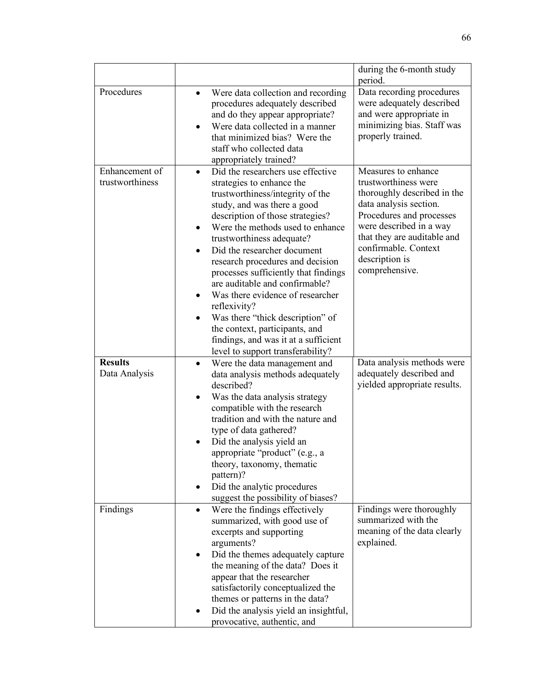|                                   |                                                                                                                                                                                                                                                                                                                                                                                                                                                                                                                                                                                                         | during the 6-month study<br>period.                                                                                                                                                                                                                    |
|-----------------------------------|---------------------------------------------------------------------------------------------------------------------------------------------------------------------------------------------------------------------------------------------------------------------------------------------------------------------------------------------------------------------------------------------------------------------------------------------------------------------------------------------------------------------------------------------------------------------------------------------------------|--------------------------------------------------------------------------------------------------------------------------------------------------------------------------------------------------------------------------------------------------------|
| Procedures                        | Were data collection and recording<br>$\bullet$<br>procedures adequately described<br>and do they appear appropriate?<br>Were data collected in a manner<br>that minimized bias? Were the<br>staff who collected data<br>appropriately trained?                                                                                                                                                                                                                                                                                                                                                         | Data recording procedures<br>were adequately described<br>and were appropriate in<br>minimizing bias. Staff was<br>properly trained.                                                                                                                   |
| Enhancement of<br>trustworthiness | Did the researchers use effective<br>$\bullet$<br>strategies to enhance the<br>trustworthiness/integrity of the<br>study, and was there a good<br>description of those strategies?<br>Were the methods used to enhance<br>trustworthiness adequate?<br>Did the researcher document<br>research procedures and decision<br>processes sufficiently that findings<br>are auditable and confirmable?<br>Was there evidence of researcher<br>reflexivity?<br>Was there "thick description" of<br>the context, participants, and<br>findings, and was it at a sufficient<br>level to support transferability? | Measures to enhance<br>trustworthiness were<br>thoroughly described in the<br>data analysis section.<br>Procedures and processes<br>were described in a way<br>that they are auditable and<br>confirmable. Context<br>description is<br>comprehensive. |
| <b>Results</b><br>Data Analysis   | Were the data management and<br>$\bullet$<br>data analysis methods adequately                                                                                                                                                                                                                                                                                                                                                                                                                                                                                                                           | Data analysis methods were<br>adequately described and                                                                                                                                                                                                 |
|                                   | described?<br>Was the data analysis strategy<br>compatible with the research<br>tradition and with the nature and<br>type of data gathered?<br>Did the analysis yield an<br>appropriate "product" (e.g., a<br>theory, taxonomy, thematic<br>pattern)?<br>Did the analytic procedures<br>suggest the possibility of biases?                                                                                                                                                                                                                                                                              | yielded appropriate results.                                                                                                                                                                                                                           |
| Findings                          | Were the findings effectively<br>$\bullet$<br>summarized, with good use of<br>excerpts and supporting<br>arguments?<br>Did the themes adequately capture<br>٠<br>the meaning of the data? Does it<br>appear that the researcher<br>satisfactorily conceptualized the<br>themes or patterns in the data?<br>Did the analysis yield an insightful,<br>provocative, authentic, and                                                                                                                                                                                                                         | Findings were thoroughly<br>summarized with the<br>meaning of the data clearly<br>explained.                                                                                                                                                           |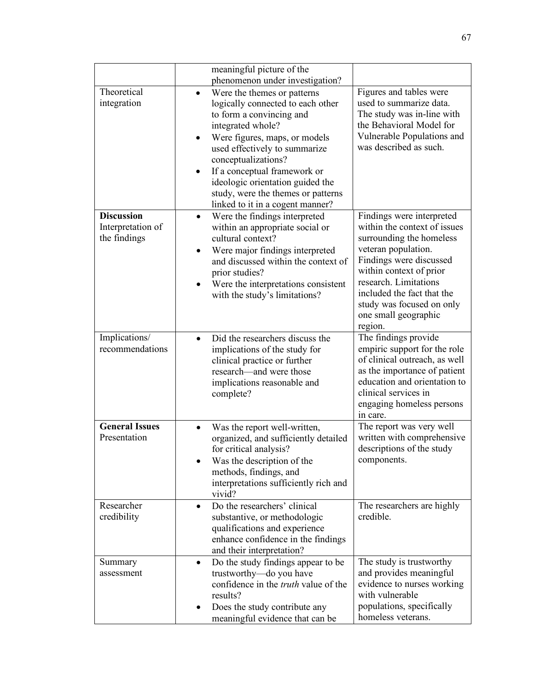|                                                        | meaningful picture of the<br>phenomenon under investigation?                                                                                                                                                                                                                                                                                             |                                                                                                                                                                                                                                                                                           |
|--------------------------------------------------------|----------------------------------------------------------------------------------------------------------------------------------------------------------------------------------------------------------------------------------------------------------------------------------------------------------------------------------------------------------|-------------------------------------------------------------------------------------------------------------------------------------------------------------------------------------------------------------------------------------------------------------------------------------------|
| Theoretical<br>integration                             | Were the themes or patterns<br>logically connected to each other<br>to form a convincing and<br>integrated whole?<br>Were figures, maps, or models<br>used effectively to summarize<br>conceptualizations?<br>If a conceptual framework or<br>ideologic orientation guided the<br>study, were the themes or patterns<br>linked to it in a cogent manner? | Figures and tables were<br>used to summarize data.<br>The study was in-line with<br>the Behavioral Model for<br>Vulnerable Populations and<br>was described as such.                                                                                                                      |
| <b>Discussion</b><br>Interpretation of<br>the findings | Were the findings interpreted<br>$\bullet$<br>within an appropriate social or<br>cultural context?<br>Were major findings interpreted<br>and discussed within the context of<br>prior studies?<br>Were the interpretations consistent<br>with the study's limitations?                                                                                   | Findings were interpreted<br>within the context of issues<br>surrounding the homeless<br>veteran population.<br>Findings were discussed<br>within context of prior<br>research. Limitations<br>included the fact that the<br>study was focused on only<br>one small geographic<br>region. |
| Implications/<br>recommendations                       | Did the researchers discuss the<br>$\bullet$<br>implications of the study for<br>clinical practice or further<br>research—and were those<br>implications reasonable and<br>complete?                                                                                                                                                                     | The findings provide<br>empiric support for the role<br>of clinical outreach, as well<br>as the importance of patient<br>education and orientation to<br>clinical services in<br>engaging homeless persons<br>in care.                                                                    |
| <b>General Issues</b><br>Presentation                  | Was the report well-written,<br>organized, and sufficiently detailed<br>for critical analysis?<br>Was the description of the<br>methods, findings, and<br>interpretations sufficiently rich and<br>vivid?                                                                                                                                                | The report was very well<br>written with comprehensive<br>descriptions of the study<br>components.                                                                                                                                                                                        |
| Researcher<br>credibility                              | Do the researchers' clinical<br>$\bullet$<br>substantive, or methodologic<br>qualifications and experience<br>enhance confidence in the findings<br>and their interpretation?                                                                                                                                                                            | The researchers are highly<br>credible.                                                                                                                                                                                                                                                   |
| Summary<br>assessment                                  | Do the study findings appear to be<br>$\bullet$<br>trustworthy-do you have<br>confidence in the <i>truth</i> value of the<br>results?<br>Does the study contribute any<br>٠<br>meaningful evidence that can be                                                                                                                                           | The study is trustworthy<br>and provides meaningful<br>evidence to nurses working<br>with vulnerable<br>populations, specifically<br>homeless veterans.                                                                                                                                   |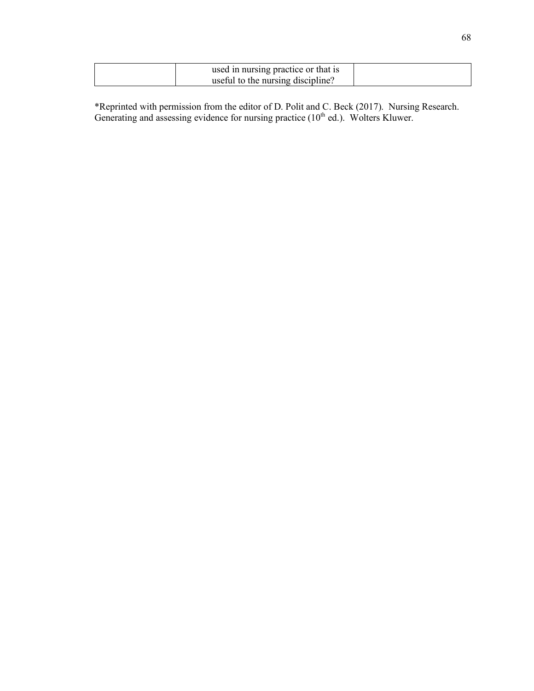| used in nursing practice or that is |  |
|-------------------------------------|--|
| useful to the nursing discipline?   |  |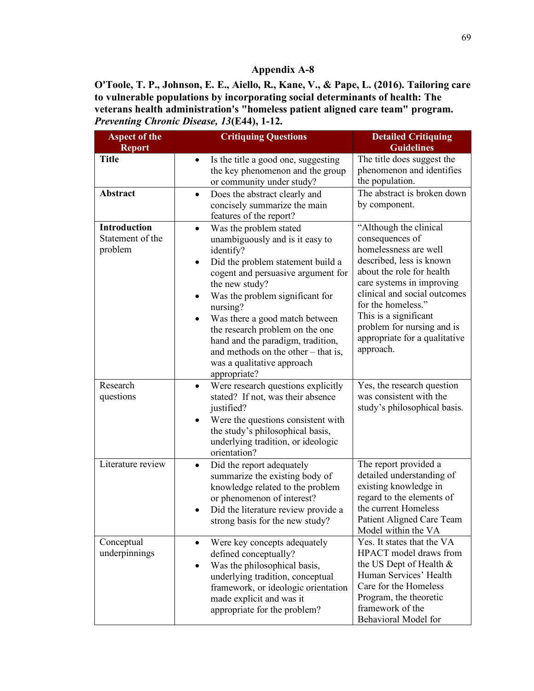**O'Toole, T. P., Johnson, E. E., Aiello, R., Kane, V., & Pape, L. (2016). Tailoring care to vulnerable populations by incorporating social determinants of health: The veterans health administration's "homeless patient aligned care team" program.**  *Preventing Chronic Disease, 13***(E44), 1-12.**

| <b>Aspect of the</b><br><b>Report</b>       | <b>Critiquing Questions</b>                                                                                                                                                                                                                                                                                                                                                                                                                              | <b>Detailed Critiquing</b><br><b>Guidelines</b>                                                                                                                                                                                                                                                                     |
|---------------------------------------------|----------------------------------------------------------------------------------------------------------------------------------------------------------------------------------------------------------------------------------------------------------------------------------------------------------------------------------------------------------------------------------------------------------------------------------------------------------|---------------------------------------------------------------------------------------------------------------------------------------------------------------------------------------------------------------------------------------------------------------------------------------------------------------------|
| <b>Title</b><br>Abstract                    | Is the title a good one, suggesting<br>$\bullet$<br>the key phenomenon and the group<br>or community under study?<br>Does the abstract clearly and<br>$\bullet$                                                                                                                                                                                                                                                                                          | The title does suggest the<br>phenomenon and identifies<br>the population.<br>The abstract is broken down                                                                                                                                                                                                           |
|                                             | concisely summarize the main<br>features of the report?                                                                                                                                                                                                                                                                                                                                                                                                  | by component.                                                                                                                                                                                                                                                                                                       |
| Introduction<br>Statement of the<br>problem | Was the problem stated<br>$\bullet$<br>unambiguously and is it easy to<br>identify?<br>Did the problem statement build a<br>$\bullet$<br>cogent and persuasive argument for<br>the new study?<br>Was the problem significant for<br>$\bullet$<br>nursing?<br>Was there a good match between<br>the research problem on the one<br>hand and the paradigm, tradition,<br>and methods on the other – that is,<br>was a qualitative approach<br>appropriate? | "Although the clinical<br>consequences of<br>homelessness are well<br>described, less is known<br>about the role for health<br>care systems in improving<br>clinical and social outcomes<br>for the homeless."<br>This is a significant<br>problem for nursing and is<br>appropriate for a qualitative<br>approach. |
| Research<br>questions                       | Were research questions explicitly<br>$\bullet$<br>stated? If not, was their absence<br>justified?<br>Were the questions consistent with<br>the study's philosophical basis,<br>underlying tradition, or ideologic<br>orientation?                                                                                                                                                                                                                       | Yes, the research question<br>was consistent with the<br>study's philosophical basis.                                                                                                                                                                                                                               |
| Literature review                           | Did the report adequately<br>$\bullet$<br>summarize the existing body of<br>knowledge related to the problem<br>or phenomenon of interest?<br>Did the literature review provide a<br>strong basis for the new study?                                                                                                                                                                                                                                     | The report provided a<br>detailed understanding of<br>existing knowledge in<br>regard to the elements of<br>the current Homeless<br>Patient Aligned Care Team<br>Model within the VA                                                                                                                                |
| Conceptual<br>underpinnings                 | Were key concepts adequately<br>$\bullet$<br>defined conceptually?<br>Was the philosophical basis,<br>$\bullet$<br>underlying tradition, conceptual<br>framework, or ideologic orientation<br>made explicit and was it<br>appropriate for the problem?                                                                                                                                                                                                   | Yes. It states that the VA<br>HPACT model draws from<br>the US Dept of Health $&$<br>Human Services' Health<br>Care for the Homeless<br>Program, the theoretic<br>framework of the<br>Behavioral Model for                                                                                                          |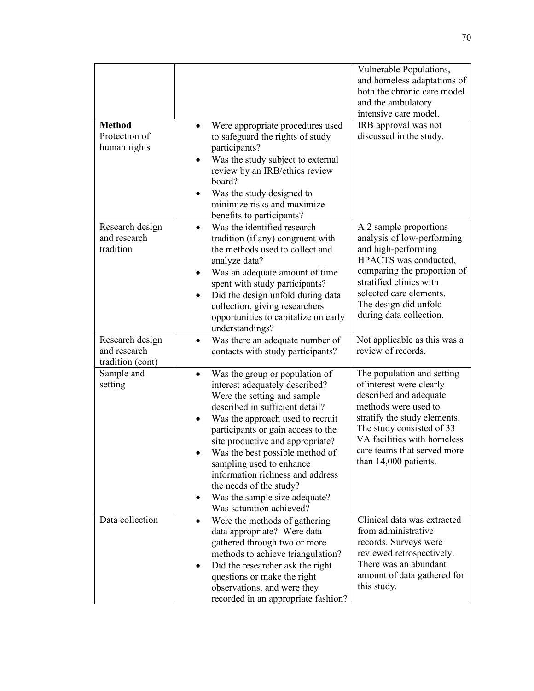|                                 |                                                                               | Vulnerable Populations,                                    |
|---------------------------------|-------------------------------------------------------------------------------|------------------------------------------------------------|
|                                 |                                                                               | and homeless adaptations of<br>both the chronic care model |
|                                 |                                                                               | and the ambulatory                                         |
|                                 |                                                                               | intensive care model.                                      |
| <b>Method</b>                   | Were appropriate procedures used                                              | IRB approval was not                                       |
| Protection of                   | to safeguard the rights of study                                              | discussed in the study.                                    |
| human rights                    | participants?                                                                 |                                                            |
|                                 | Was the study subject to external<br>$\bullet$                                |                                                            |
|                                 | review by an IRB/ethics review                                                |                                                            |
|                                 | board?                                                                        |                                                            |
|                                 | Was the study designed to                                                     |                                                            |
|                                 | minimize risks and maximize                                                   |                                                            |
|                                 | benefits to participants?                                                     |                                                            |
| Research design<br>and research | Was the identified research<br>$\bullet$                                      | A 2 sample proportions                                     |
| tradition                       | tradition (if any) congruent with<br>the methods used to collect and          | analysis of low-performing<br>and high-performing          |
|                                 | analyze data?                                                                 | HPACTS was conducted,                                      |
|                                 | Was an adequate amount of time                                                | comparing the proportion of                                |
|                                 | spent with study participants?                                                | stratified clinics with                                    |
|                                 | Did the design unfold during data<br>$\bullet$                                | selected care elements.                                    |
|                                 | collection, giving researchers                                                | The design did unfold                                      |
|                                 | opportunities to capitalize on early                                          | during data collection.                                    |
|                                 | understandings?                                                               |                                                            |
| Research design                 | Was there an adequate number of                                               | Not applicable as this was a                               |
| and research                    | contacts with study participants?                                             | review of records.                                         |
| tradition (cont)                |                                                                               | The population and setting                                 |
| Sample and<br>setting           | Was the group or population of<br>$\bullet$<br>interest adequately described? | of interest were clearly                                   |
|                                 | Were the setting and sample                                                   | described and adequate                                     |
|                                 | described in sufficient detail?                                               | methods were used to                                       |
|                                 | Was the approach used to recruit                                              | stratify the study elements.                               |
|                                 | participants or gain access to the                                            | The study consisted of 33                                  |
|                                 | site productive and appropriate?                                              | VA facilities with homeless                                |
|                                 | Was the best possible method of                                               | care teams that served more                                |
|                                 | sampling used to enhance                                                      | than 14,000 patients.                                      |
|                                 | information richness and address                                              |                                                            |
|                                 | the needs of the study?                                                       |                                                            |
|                                 | Was the sample size adequate?<br>Was saturation achieved?                     |                                                            |
| Data collection                 | Were the methods of gathering<br>$\bullet$                                    | Clinical data was extracted                                |
|                                 | data appropriate? Were data                                                   | from administrative                                        |
|                                 | gathered through two or more                                                  | records. Surveys were                                      |
|                                 | methods to achieve triangulation?                                             | reviewed retrospectively.                                  |
|                                 | Did the researcher ask the right<br>٠                                         | There was an abundant                                      |
|                                 | questions or make the right                                                   | amount of data gathered for                                |
|                                 | observations, and were they                                                   | this study.                                                |
|                                 | recorded in an appropriate fashion?                                           |                                                            |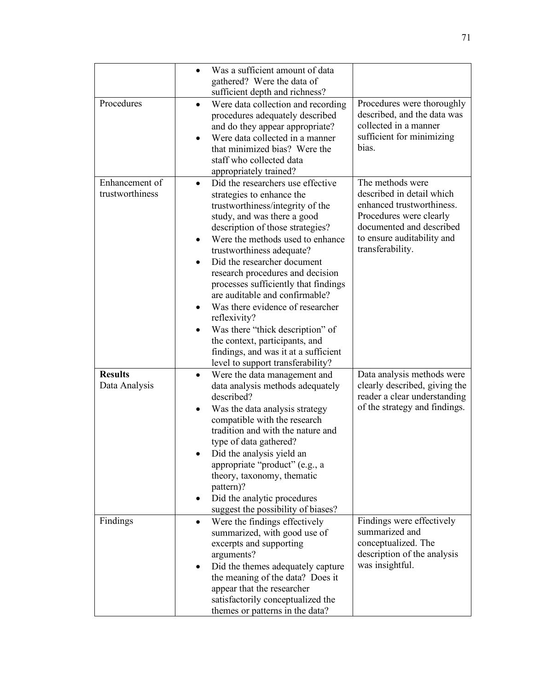|                                   | Was a sufficient amount of data<br>$\bullet$<br>gathered? Were the data of<br>sufficient depth and richness?                                                                                                                                                                                                                                                                                                                                                                                                                                                                                                         |                                                                                                                                                                                     |
|-----------------------------------|----------------------------------------------------------------------------------------------------------------------------------------------------------------------------------------------------------------------------------------------------------------------------------------------------------------------------------------------------------------------------------------------------------------------------------------------------------------------------------------------------------------------------------------------------------------------------------------------------------------------|-------------------------------------------------------------------------------------------------------------------------------------------------------------------------------------|
| Procedures                        | Were data collection and recording<br>$\bullet$<br>procedures adequately described<br>and do they appear appropriate?<br>Were data collected in a manner<br>$\bullet$<br>that minimized bias? Were the<br>staff who collected data<br>appropriately trained?                                                                                                                                                                                                                                                                                                                                                         | Procedures were thoroughly<br>described, and the data was<br>collected in a manner<br>sufficient for minimizing<br>bias.                                                            |
| Enhancement of<br>trustworthiness | Did the researchers use effective<br>$\bullet$<br>strategies to enhance the<br>trustworthiness/integrity of the<br>study, and was there a good<br>description of those strategies?<br>Were the methods used to enhance<br>trustworthiness adequate?<br>Did the researcher document<br>research procedures and decision<br>processes sufficiently that findings<br>are auditable and confirmable?<br>Was there evidence of researcher<br>$\bullet$<br>reflexivity?<br>Was there "thick description" of<br>the context, participants, and<br>findings, and was it at a sufficient<br>level to support transferability? | The methods were<br>described in detail which<br>enhanced trustworthiness.<br>Procedures were clearly<br>documented and described<br>to ensure auditability and<br>transferability. |
| <b>Results</b><br>Data Analysis   | Were the data management and<br>$\bullet$<br>data analysis methods adequately<br>described?<br>Was the data analysis strategy<br>٠<br>compatible with the research<br>tradition and with the nature and<br>type of data gathered?<br>Did the analysis yield an<br>appropriate "product" (e.g., a<br>theory, taxonomy, thematic<br>pattern)?<br>Did the analytic procedures<br>٠<br>suggest the possibility of biases?                                                                                                                                                                                                | Data analysis methods were<br>clearly described, giving the<br>reader a clear understanding<br>of the strategy and findings.                                                        |
| Findings                          | Were the findings effectively<br>$\bullet$<br>summarized, with good use of<br>excerpts and supporting<br>arguments?<br>Did the themes adequately capture<br>the meaning of the data? Does it<br>appear that the researcher<br>satisfactorily conceptualized the<br>themes or patterns in the data?                                                                                                                                                                                                                                                                                                                   | Findings were effectively<br>summarized and<br>conceptualized. The<br>description of the analysis<br>was insightful.                                                                |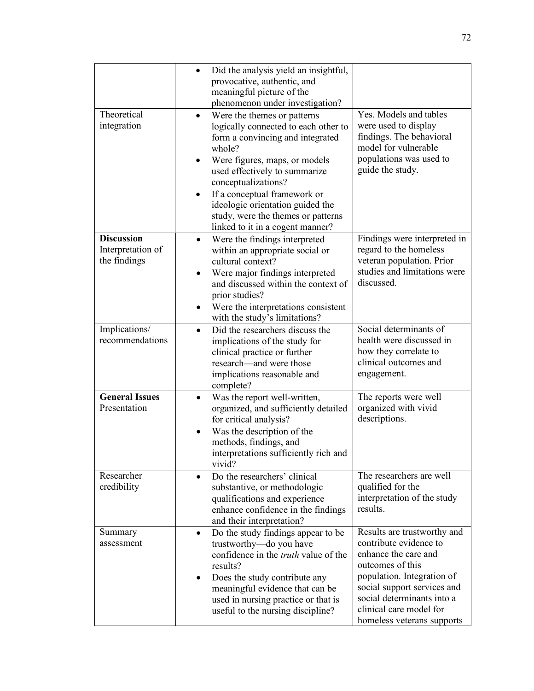|                                                        | Did the analysis yield an insightful,<br>$\bullet$<br>provocative, authentic, and<br>meaningful picture of the                                                                                                                                                                                                                                           |                                                                                                                                                                                                                                                       |
|--------------------------------------------------------|----------------------------------------------------------------------------------------------------------------------------------------------------------------------------------------------------------------------------------------------------------------------------------------------------------------------------------------------------------|-------------------------------------------------------------------------------------------------------------------------------------------------------------------------------------------------------------------------------------------------------|
|                                                        | phenomenon under investigation?                                                                                                                                                                                                                                                                                                                          |                                                                                                                                                                                                                                                       |
| Theoretical<br>integration                             | Were the themes or patterns<br>logically connected to each other to<br>form a convincing and integrated<br>whole?<br>Were figures, maps, or models<br>used effectively to summarize<br>conceptualizations?<br>If a conceptual framework or<br>ideologic orientation guided the<br>study, were the themes or patterns<br>linked to it in a cogent manner? | Yes. Models and tables<br>were used to display<br>findings. The behavioral<br>model for vulnerable<br>populations was used to<br>guide the study.                                                                                                     |
| <b>Discussion</b><br>Interpretation of<br>the findings | Were the findings interpreted<br>within an appropriate social or<br>cultural context?<br>Were major findings interpreted<br>٠<br>and discussed within the context of<br>prior studies?<br>Were the interpretations consistent<br>with the study's limitations?                                                                                           | Findings were interpreted in<br>regard to the homeless<br>veteran population. Prior<br>studies and limitations were<br>discussed.                                                                                                                     |
| Implications/<br>recommendations                       | Did the researchers discuss the<br>$\bullet$<br>implications of the study for<br>clinical practice or further<br>research—and were those<br>implications reasonable and<br>complete?                                                                                                                                                                     | Social determinants of<br>health were discussed in<br>how they correlate to<br>clinical outcomes and<br>engagement.                                                                                                                                   |
| <b>General Issues</b><br>Presentation                  | Was the report well-written,<br>organized, and sufficiently detailed<br>for critical analysis?<br>Was the description of the<br>$\bullet$<br>methods, findings, and<br>interpretations sufficiently rich and<br>vivid?                                                                                                                                   | The reports were well<br>organized with vivid<br>descriptions.                                                                                                                                                                                        |
| Researcher<br>credibility                              | Do the researchers' clinical<br>$\bullet$<br>substantive, or methodologic<br>qualifications and experience<br>enhance confidence in the findings<br>and their interpretation?                                                                                                                                                                            | The researchers are well<br>qualified for the<br>interpretation of the study<br>results.                                                                                                                                                              |
| Summary<br>assessment                                  | Do the study findings appear to be.<br>$\bullet$<br>trustworthy-do you have<br>confidence in the <i>truth</i> value of the<br>results?<br>Does the study contribute any<br>٠<br>meaningful evidence that can be<br>used in nursing practice or that is<br>useful to the nursing discipline?                                                              | Results are trustworthy and<br>contribute evidence to<br>enhance the care and<br>outcomes of this<br>population. Integration of<br>social support services and<br>social determinants into a<br>clinical care model for<br>homeless veterans supports |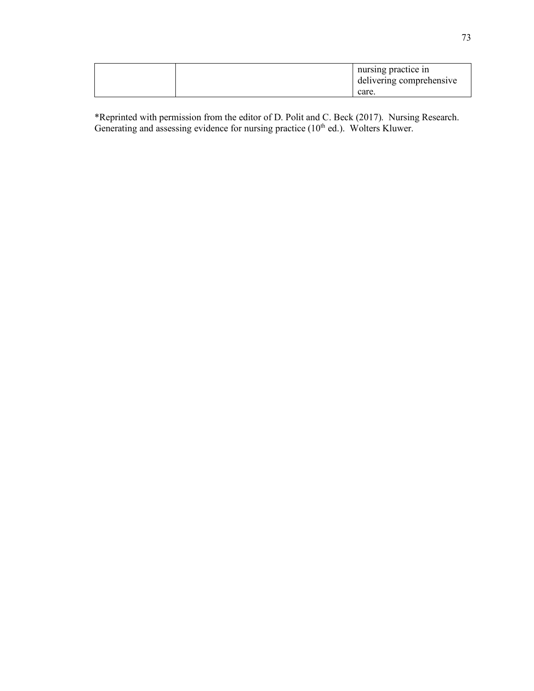|  | nursing practice in      |
|--|--------------------------|
|  | delivering comprehensive |
|  | care.                    |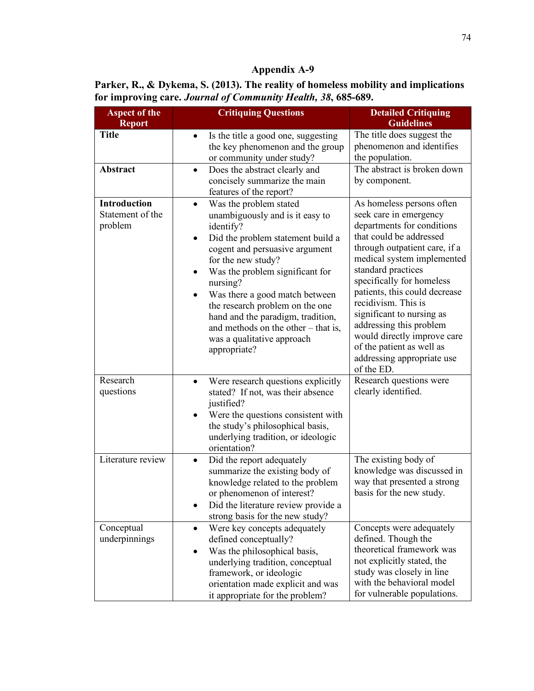**Parker, R., & Dykema, S. (2013). The reality of homeless mobility and implications for improving care.** *Journal of Community Health, 38***, 685-689.**

| <b>Aspect of the</b><br><b>Report</b>              | <b>Critiquing Questions</b>                                                                                                                                                                                                                                                                                                                                                                                                                                | <b>Detailed Critiquing</b><br><b>Guidelines</b>                                                                                                                                                                                                                                                                                                                                                                                                        |
|----------------------------------------------------|------------------------------------------------------------------------------------------------------------------------------------------------------------------------------------------------------------------------------------------------------------------------------------------------------------------------------------------------------------------------------------------------------------------------------------------------------------|--------------------------------------------------------------------------------------------------------------------------------------------------------------------------------------------------------------------------------------------------------------------------------------------------------------------------------------------------------------------------------------------------------------------------------------------------------|
| <b>Title</b>                                       | Is the title a good one, suggesting<br>$\bullet$<br>the key phenomenon and the group<br>or community under study?                                                                                                                                                                                                                                                                                                                                          | The title does suggest the<br>phenomenon and identifies<br>the population.                                                                                                                                                                                                                                                                                                                                                                             |
| <b>Abstract</b>                                    | Does the abstract clearly and<br>$\bullet$<br>concisely summarize the main<br>features of the report?                                                                                                                                                                                                                                                                                                                                                      | The abstract is broken down<br>by component.                                                                                                                                                                                                                                                                                                                                                                                                           |
| <b>Introduction</b><br>Statement of the<br>problem | Was the problem stated<br>$\bullet$<br>unambiguously and is it easy to<br>identify?<br>Did the problem statement build a<br>$\bullet$<br>cogent and persuasive argument<br>for the new study?<br>Was the problem significant for<br>$\bullet$<br>nursing?<br>Was there a good match between<br>the research problem on the one<br>hand and the paradigm, tradition,<br>and methods on the other $-$ that is,<br>was a qualitative approach<br>appropriate? | As homeless persons often<br>seek care in emergency<br>departments for conditions<br>that could be addressed<br>through outpatient care, if a<br>medical system implemented<br>standard practices<br>specifically for homeless<br>patients, this could decrease<br>recidivism. This is<br>significant to nursing as<br>addressing this problem<br>would directly improve care<br>of the patient as well as<br>addressing appropriate use<br>of the ED. |
| Research<br>questions                              | Were research questions explicitly<br>$\bullet$<br>stated? If not, was their absence<br>justified?<br>Were the questions consistent with<br>the study's philosophical basis,<br>underlying tradition, or ideologic<br>orientation?                                                                                                                                                                                                                         | Research questions were<br>clearly identified.                                                                                                                                                                                                                                                                                                                                                                                                         |
| Literature review                                  | Did the report adequately<br>$\bullet$<br>summarize the existing body of<br>knowledge related to the problem<br>or phenomenon of interest?<br>Did the literature review provide a<br>strong basis for the new study?                                                                                                                                                                                                                                       | The existing body of<br>knowledge was discussed in<br>way that presented a strong<br>basis for the new study.                                                                                                                                                                                                                                                                                                                                          |
| Conceptual<br>underpinnings                        | Were key concepts adequately<br>$\bullet$<br>defined conceptually?<br>Was the philosophical basis,<br>underlying tradition, conceptual<br>framework, or ideologic<br>orientation made explicit and was<br>it appropriate for the problem?                                                                                                                                                                                                                  | Concepts were adequately<br>defined. Though the<br>theoretical framework was<br>not explicitly stated, the<br>study was closely in line<br>with the behavioral model<br>for vulnerable populations.                                                                                                                                                                                                                                                    |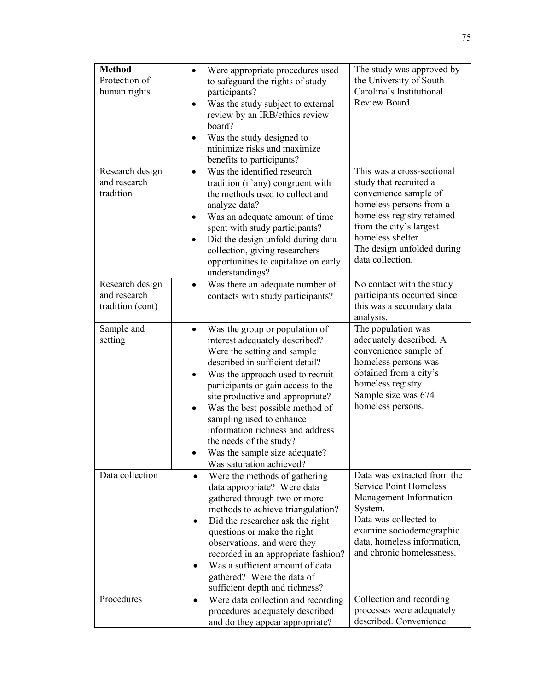| <b>Method</b><br>Protection of<br>human rights      | Were appropriate procedures used<br>to safeguard the rights of study<br>participants?<br>Was the study subject to external<br>review by an IRB/ethics review<br>board?<br>Was the study designed to<br>minimize risks and maximize<br>benefits to participants?                                                                                                                                                                                  | The study was approved by<br>the University of South<br>Carolina's Institutional<br>Review Board.                                                                                                                                        |
|-----------------------------------------------------|--------------------------------------------------------------------------------------------------------------------------------------------------------------------------------------------------------------------------------------------------------------------------------------------------------------------------------------------------------------------------------------------------------------------------------------------------|------------------------------------------------------------------------------------------------------------------------------------------------------------------------------------------------------------------------------------------|
| Research design<br>and research<br>tradition        | Was the identified research<br>tradition (if any) congruent with<br>the methods used to collect and<br>analyze data?<br>Was an adequate amount of time<br>$\bullet$<br>spent with study participants?<br>Did the design unfold during data<br>$\bullet$<br>collection, giving researchers<br>opportunities to capitalize on early<br>understandings?                                                                                             | This was a cross-sectional<br>study that recruited a<br>convenience sample of<br>homeless persons from a<br>homeless registry retained<br>from the city's largest<br>homeless shelter.<br>The design unfolded during<br>data collection. |
| Research design<br>and research<br>tradition (cont) | Was there an adequate number of<br>$\bullet$<br>contacts with study participants?                                                                                                                                                                                                                                                                                                                                                                | No contact with the study<br>participants occurred since<br>this was a secondary data<br>analysis.                                                                                                                                       |
| Sample and<br>setting                               | Was the group or population of<br>interest adequately described?<br>Were the setting and sample<br>described in sufficient detail?<br>Was the approach used to recruit<br>٠<br>participants or gain access to the<br>site productive and appropriate?<br>Was the best possible method of<br>sampling used to enhance<br>information richness and address<br>the needs of the study?<br>Was the sample size adequate?<br>Was saturation achieved? | The population was<br>adequately described. A<br>convenience sample of<br>homeless persons was<br>obtained from a city's<br>homeless registry.<br>Sample size was 674<br>homeless persons.                                               |
| Data collection                                     | Were the methods of gathering<br>$\bullet$<br>data appropriate? Were data<br>gathered through two or more<br>methods to achieve triangulation?<br>Did the researcher ask the right<br>٠<br>questions or make the right<br>observations, and were they<br>recorded in an appropriate fashion?<br>Was a sufficient amount of data<br>gathered? Were the data of<br>sufficient depth and richness?                                                  | Data was extracted from the<br><b>Service Point Homeless</b><br>Management Information<br>System.<br>Data was collected to<br>examine sociodemographic<br>data, homeless information,<br>and chronic homelessness.                       |
| Procedures                                          | Were data collection and recording<br>$\bullet$<br>procedures adequately described<br>and do they appear appropriate?                                                                                                                                                                                                                                                                                                                            | Collection and recording<br>processes were adequately<br>described. Convenience                                                                                                                                                          |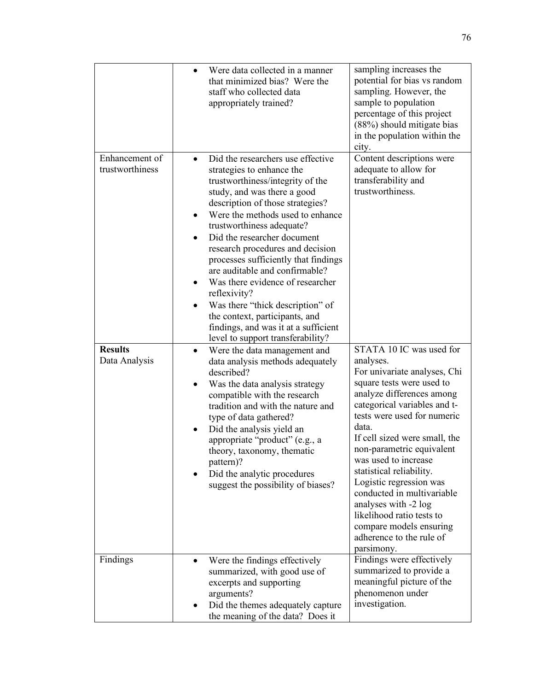|                                   | Were data collected in a manner<br>$\bullet$<br>that minimized bias? Were the<br>staff who collected data<br>appropriately trained?                                                                                                                                                                                                                                                                                                                                                                                                                                                                                  | sampling increases the<br>potential for bias vs random<br>sampling. However, the<br>sample to population<br>percentage of this project<br>(88%) should mitigate bias<br>in the population within the<br>city.                                                                                                                                                                                                                                                                                                |
|-----------------------------------|----------------------------------------------------------------------------------------------------------------------------------------------------------------------------------------------------------------------------------------------------------------------------------------------------------------------------------------------------------------------------------------------------------------------------------------------------------------------------------------------------------------------------------------------------------------------------------------------------------------------|--------------------------------------------------------------------------------------------------------------------------------------------------------------------------------------------------------------------------------------------------------------------------------------------------------------------------------------------------------------------------------------------------------------------------------------------------------------------------------------------------------------|
| Enhancement of<br>trustworthiness | Did the researchers use effective<br>$\bullet$<br>strategies to enhance the<br>trustworthiness/integrity of the<br>study, and was there a good<br>description of those strategies?<br>Were the methods used to enhance<br>trustworthiness adequate?<br>Did the researcher document<br>$\bullet$<br>research procedures and decision<br>processes sufficiently that findings<br>are auditable and confirmable?<br>Was there evidence of researcher<br>reflexivity?<br>Was there "thick description" of<br>the context, participants, and<br>findings, and was it at a sufficient<br>level to support transferability? | Content descriptions were<br>adequate to allow for<br>transferability and<br>trustworthiness.                                                                                                                                                                                                                                                                                                                                                                                                                |
| <b>Results</b><br>Data Analysis   | Were the data management and<br>$\bullet$<br>data analysis methods adequately<br>described?<br>Was the data analysis strategy<br>compatible with the research<br>tradition and with the nature and<br>type of data gathered?<br>Did the analysis yield an<br>appropriate "product" (e.g., a<br>theory, taxonomy, thematic<br>pattern)?<br>Did the analytic procedures<br>suggest the possibility of biases?                                                                                                                                                                                                          | STATA 10 IC was used for<br>analyses.<br>For univariate analyses, Chi<br>square tests were used to<br>analyze differences among<br>categorical variables and t-<br>tests were used for numeric<br>data.<br>If cell sized were small, the<br>non-parametric equivalent<br>was used to increase<br>statistical reliability.<br>Logistic regression was<br>conducted in multivariable<br>analyses with -2 log<br>likelihood ratio tests to<br>compare models ensuring<br>adherence to the rule of<br>parsimony. |
| Findings                          | Were the findings effectively<br>٠<br>summarized, with good use of<br>excerpts and supporting<br>arguments?<br>Did the themes adequately capture<br>the meaning of the data? Does it                                                                                                                                                                                                                                                                                                                                                                                                                                 | Findings were effectively<br>summarized to provide a<br>meaningful picture of the<br>phenomenon under<br>investigation.                                                                                                                                                                                                                                                                                                                                                                                      |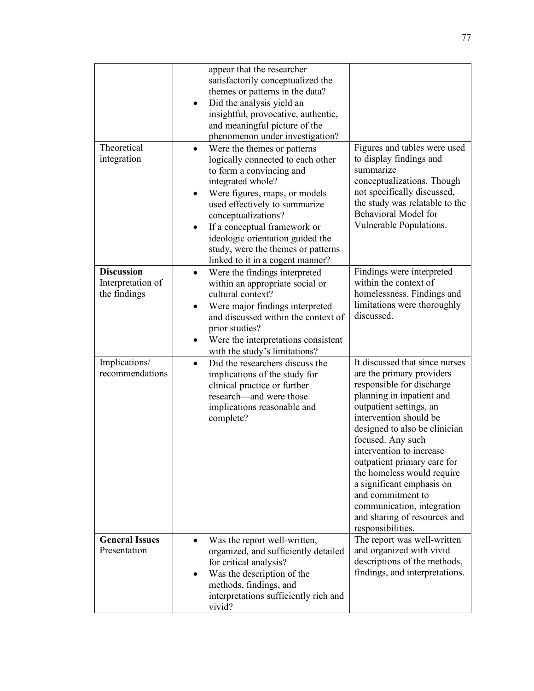| Theoretical<br>integration                             | appear that the researcher<br>satisfactorily conceptualized the<br>themes or patterns in the data?<br>Did the analysis yield an<br>٠<br>insightful, provocative, authentic,<br>and meaningful picture of the<br>phenomenon under investigation?<br>Were the themes or patterns<br>$\bullet$<br>logically connected to each other<br>to form a convincing and<br>integrated whole?<br>Were figures, maps, or models<br>used effectively to summarize<br>conceptualizations?<br>If a conceptual framework or<br>$\bullet$<br>ideologic orientation guided the<br>study, were the themes or patterns<br>linked to it in a cogent manner? | Figures and tables were used<br>to display findings and<br>summarize<br>conceptualizations. Though<br>not specifically discussed,<br>the study was relatable to the<br>Behavioral Model for<br>Vulnerable Populations.                                                                                                                                                                                                                                         |
|--------------------------------------------------------|---------------------------------------------------------------------------------------------------------------------------------------------------------------------------------------------------------------------------------------------------------------------------------------------------------------------------------------------------------------------------------------------------------------------------------------------------------------------------------------------------------------------------------------------------------------------------------------------------------------------------------------|----------------------------------------------------------------------------------------------------------------------------------------------------------------------------------------------------------------------------------------------------------------------------------------------------------------------------------------------------------------------------------------------------------------------------------------------------------------|
| <b>Discussion</b><br>Interpretation of<br>the findings | Were the findings interpreted<br>$\bullet$<br>within an appropriate social or<br>cultural context?<br>Were major findings interpreted<br>٠<br>and discussed within the context of<br>prior studies?<br>Were the interpretations consistent<br>with the study's limitations?                                                                                                                                                                                                                                                                                                                                                           | Findings were interpreted<br>within the context of<br>homelessness. Findings and<br>limitations were thoroughly<br>discussed.                                                                                                                                                                                                                                                                                                                                  |
| Implications/<br>recommendations                       | Did the researchers discuss the<br>$\bullet$<br>implications of the study for<br>clinical practice or further<br>research—and were those<br>implications reasonable and<br>complete?                                                                                                                                                                                                                                                                                                                                                                                                                                                  | It discussed that since nurses<br>are the primary providers<br>responsible for discharge<br>planning in inpatient and<br>outpatient settings, an<br>intervention should be<br>designed to also be clinician<br>focused. Any such<br>intervention to increase<br>outpatient primary care for<br>the homeless would require<br>a significant emphasis on<br>and commitment to<br>communication, integration<br>and sharing of resources and<br>responsibilities. |
| <b>General Issues</b><br>Presentation                  | Was the report well-written,<br>$\bullet$<br>organized, and sufficiently detailed<br>for critical analysis?<br>Was the description of the<br>methods, findings, and<br>interpretations sufficiently rich and<br>vivid?                                                                                                                                                                                                                                                                                                                                                                                                                | The report was well-written<br>and organized with vivid<br>descriptions of the methods,<br>findings, and interpretations.                                                                                                                                                                                                                                                                                                                                      |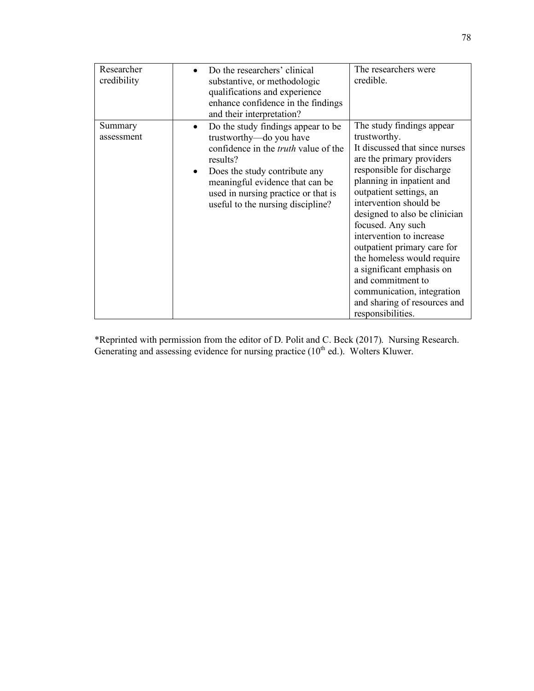| Researcher<br>credibility | Do the researchers' clinical<br>substantive, or methodologic<br>qualifications and experience<br>enhance confidence in the findings<br>and their interpretation?                                                                                                                                   | The researchers were<br>credible.                                                                                                                                                                                                                                                                                                                                                                                                                                                                           |
|---------------------------|----------------------------------------------------------------------------------------------------------------------------------------------------------------------------------------------------------------------------------------------------------------------------------------------------|-------------------------------------------------------------------------------------------------------------------------------------------------------------------------------------------------------------------------------------------------------------------------------------------------------------------------------------------------------------------------------------------------------------------------------------------------------------------------------------------------------------|
| Summary<br>assessment     | Do the study findings appear to be<br>$\bullet$<br>trustworthy-do you have<br>confidence in the <i>truth</i> value of the<br>results?<br>Does the study contribute any<br>$\bullet$<br>meaningful evidence that can be<br>used in nursing practice or that is<br>useful to the nursing discipline? | The study findings appear<br>trustworthy.<br>It discussed that since nurses<br>are the primary providers<br>responsible for discharge<br>planning in inpatient and<br>outpatient settings, an<br>intervention should be<br>designed to also be clinician<br>focused. Any such<br>intervention to increase<br>outpatient primary care for<br>the homeless would require<br>a significant emphasis on<br>and commitment to<br>communication, integration<br>and sharing of resources and<br>responsibilities. |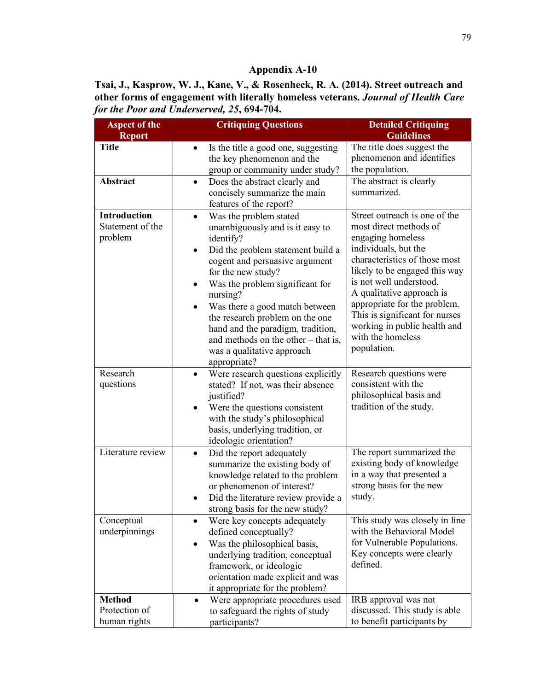**Tsai, J., Kasprow, W. J., Kane, V., & Rosenheck, R. A. (2014). Street outreach and other forms of engagement with literally homeless veterans.** *Journal of Health Care for the Poor and Underserved, 25***, 694-704.**

| <b>Aspect of the</b>                               | <b>Critiquing Questions</b>                                                                                                                                                                                                                                                                                                                                                                                                      | <b>Detailed Critiquing</b>                                                                                                                                                                                                                                                                                                                                           |
|----------------------------------------------------|----------------------------------------------------------------------------------------------------------------------------------------------------------------------------------------------------------------------------------------------------------------------------------------------------------------------------------------------------------------------------------------------------------------------------------|----------------------------------------------------------------------------------------------------------------------------------------------------------------------------------------------------------------------------------------------------------------------------------------------------------------------------------------------------------------------|
| <b>Report</b>                                      |                                                                                                                                                                                                                                                                                                                                                                                                                                  | <b>Guidelines</b>                                                                                                                                                                                                                                                                                                                                                    |
| <b>Title</b>                                       | Is the title a good one, suggesting<br>$\bullet$<br>the key phenomenon and the<br>group or community under study?                                                                                                                                                                                                                                                                                                                | The title does suggest the<br>phenomenon and identifies<br>the population.                                                                                                                                                                                                                                                                                           |
| Abstract                                           | Does the abstract clearly and<br>$\bullet$<br>concisely summarize the main<br>features of the report?                                                                                                                                                                                                                                                                                                                            | The abstract is clearly<br>summarized.                                                                                                                                                                                                                                                                                                                               |
| <b>Introduction</b><br>Statement of the<br>problem | Was the problem stated<br>$\bullet$<br>unambiguously and is it easy to<br>identify?<br>Did the problem statement build a<br>cogent and persuasive argument<br>for the new study?<br>Was the problem significant for<br>nursing?<br>Was there a good match between<br>the research problem on the one<br>hand and the paradigm, tradition,<br>and methods on the other $-$ that is,<br>was a qualitative approach<br>appropriate? | Street outreach is one of the<br>most direct methods of<br>engaging homeless<br>individuals, but the<br>characteristics of those most<br>likely to be engaged this way<br>is not well understood.<br>A qualitative approach is<br>appropriate for the problem.<br>This is significant for nurses<br>working in public health and<br>with the homeless<br>population. |
| Research<br>questions                              | Were research questions explicitly<br>$\bullet$<br>stated? If not, was their absence<br>justified?<br>Were the questions consistent<br>with the study's philosophical<br>basis, underlying tradition, or<br>ideologic orientation?                                                                                                                                                                                               | Research questions were<br>consistent with the<br>philosophical basis and<br>tradition of the study.                                                                                                                                                                                                                                                                 |
| Literature review                                  | Did the report adequately<br>$\bullet$<br>summarize the existing body of<br>knowledge related to the problem<br>or phenomenon of interest?<br>Did the literature review provide a<br>strong basis for the new study?                                                                                                                                                                                                             | The report summarized the<br>existing body of knowledge<br>in a way that presented a<br>strong basis for the new<br>study.                                                                                                                                                                                                                                           |
| Conceptual<br>underpinnings                        | Were key concepts adequately<br>defined conceptually?<br>Was the philosophical basis,<br>underlying tradition, conceptual<br>framework, or ideologic<br>orientation made explicit and was<br>it appropriate for the problem?                                                                                                                                                                                                     | This study was closely in line<br>with the Behavioral Model<br>for Vulnerable Populations.<br>Key concepts were clearly<br>defined.                                                                                                                                                                                                                                  |
| <b>Method</b><br>Protection of<br>human rights     | Were appropriate procedures used<br>$\bullet$<br>to safeguard the rights of study<br>participants?                                                                                                                                                                                                                                                                                                                               | IRB approval was not<br>discussed. This study is able<br>to benefit participants by                                                                                                                                                                                                                                                                                  |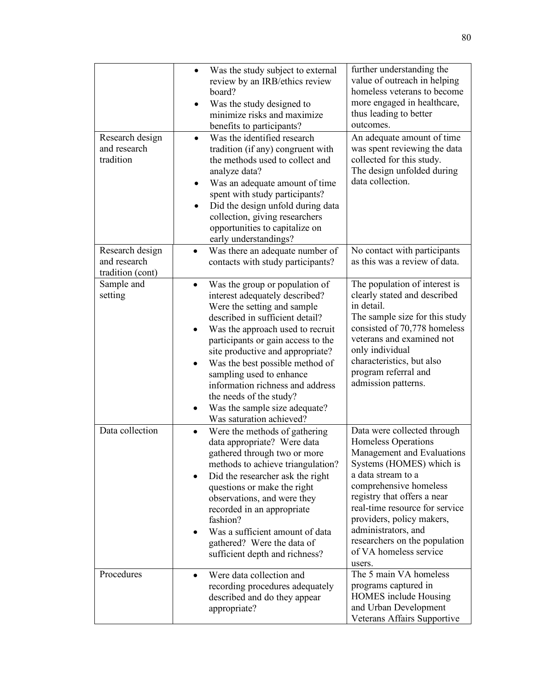|                                                     | Was the study subject to external<br>$\bullet$<br>review by an IRB/ethics review<br>board?<br>Was the study designed to<br>minimize risks and maximize<br>benefits to participants?                                                                                                                                                                                                                                                                                   | further understanding the<br>value of outreach in helping<br>homeless veterans to become<br>more engaged in healthcare,<br>thus leading to better<br>outcomes.                                                                                                                                                                                         |
|-----------------------------------------------------|-----------------------------------------------------------------------------------------------------------------------------------------------------------------------------------------------------------------------------------------------------------------------------------------------------------------------------------------------------------------------------------------------------------------------------------------------------------------------|--------------------------------------------------------------------------------------------------------------------------------------------------------------------------------------------------------------------------------------------------------------------------------------------------------------------------------------------------------|
| Research design<br>and research<br>tradition        | Was the identified research<br>$\bullet$<br>tradition (if any) congruent with<br>the methods used to collect and<br>analyze data?<br>Was an adequate amount of time<br>٠<br>spent with study participants?<br>Did the design unfold during data<br>collection, giving researchers<br>opportunities to capitalize on<br>early understandings?                                                                                                                          | An adequate amount of time<br>was spent reviewing the data<br>collected for this study.<br>The design unfolded during<br>data collection.                                                                                                                                                                                                              |
| Research design<br>and research<br>tradition (cont) | Was there an adequate number of<br>contacts with study participants?                                                                                                                                                                                                                                                                                                                                                                                                  | No contact with participants<br>as this was a review of data.                                                                                                                                                                                                                                                                                          |
| Sample and<br>setting                               | Was the group or population of<br>$\bullet$<br>interest adequately described?<br>Were the setting and sample<br>described in sufficient detail?<br>Was the approach used to recruit<br>participants or gain access to the<br>site productive and appropriate?<br>Was the best possible method of<br>$\bullet$<br>sampling used to enhance<br>information richness and address<br>the needs of the study?<br>Was the sample size adequate?<br>Was saturation achieved? | The population of interest is<br>clearly stated and described<br>in detail.<br>The sample size for this study<br>consisted of 70,778 homeless<br>veterans and examined not<br>only individual<br>characteristics, but also<br>program referral and<br>admission patterns.                                                                              |
| Data collection                                     | Were the methods of gathering<br>$\bullet$<br>data appropriate? Were data<br>gathered through two or more<br>methods to achieve triangulation?<br>Did the researcher ask the right<br>questions or make the right<br>observations, and were they<br>recorded in an appropriate<br>fashion?<br>Was a sufficient amount of data<br>gathered? Were the data of<br>sufficient depth and richness?                                                                         | Data were collected through<br>Homeless Operations<br>Management and Evaluations<br>Systems (HOMES) which is<br>a data stream to a<br>comprehensive homeless<br>registry that offers a near<br>real-time resource for service<br>providers, policy makers,<br>administrators, and<br>researchers on the population<br>of VA homeless service<br>users. |
| Procedures                                          | Were data collection and<br>$\bullet$<br>recording procedures adequately<br>described and do they appear<br>appropriate?                                                                                                                                                                                                                                                                                                                                              | The 5 main VA homeless<br>programs captured in<br><b>HOMES</b> include Housing<br>and Urban Development<br>Veterans Affairs Supportive                                                                                                                                                                                                                 |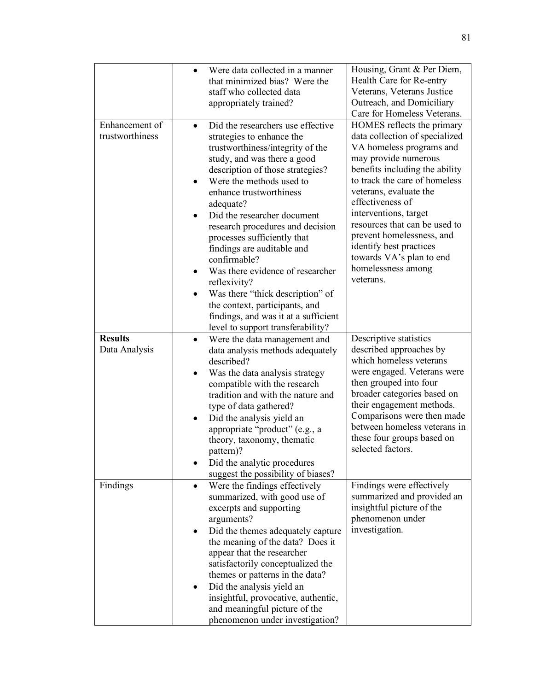|                                   | Were data collected in a manner<br>$\bullet$<br>that minimized bias? Were the<br>staff who collected data<br>appropriately trained?                                                                                                                                                                                                                                                                                                                                                                                                                                                                           | Housing, Grant & Per Diem,<br>Health Care for Re-entry<br>Veterans, Veterans Justice<br>Outreach, and Domiciliary<br>Care for Homeless Veterans.                                                                                                                                                                                                                                                                   |
|-----------------------------------|---------------------------------------------------------------------------------------------------------------------------------------------------------------------------------------------------------------------------------------------------------------------------------------------------------------------------------------------------------------------------------------------------------------------------------------------------------------------------------------------------------------------------------------------------------------------------------------------------------------|--------------------------------------------------------------------------------------------------------------------------------------------------------------------------------------------------------------------------------------------------------------------------------------------------------------------------------------------------------------------------------------------------------------------|
| Enhancement of<br>trustworthiness | Did the researchers use effective<br>$\bullet$<br>strategies to enhance the<br>trustworthiness/integrity of the<br>study, and was there a good<br>description of those strategies?<br>Were the methods used to<br>enhance trustworthiness<br>adequate?<br>Did the researcher document<br>research procedures and decision<br>processes sufficiently that<br>findings are auditable and<br>confirmable?<br>Was there evidence of researcher<br>reflexivity?<br>Was there "thick description" of<br>the context, participants, and<br>findings, and was it at a sufficient<br>level to support transferability? | HOMES reflects the primary<br>data collection of specialized<br>VA homeless programs and<br>may provide numerous<br>benefits including the ability<br>to track the care of homeless<br>veterans, evaluate the<br>effectiveness of<br>interventions, target<br>resources that can be used to<br>prevent homelessness, and<br>identify best practices<br>towards VA's plan to end<br>homelessness among<br>veterans. |
| <b>Results</b><br>Data Analysis   | Were the data management and<br>$\bullet$<br>data analysis methods adequately<br>described?<br>Was the data analysis strategy<br>compatible with the research<br>tradition and with the nature and<br>type of data gathered?<br>Did the analysis yield an<br>appropriate "product" (e.g., a<br>theory, taxonomy, thematic<br>pattern)?<br>Did the analytic procedures<br>suggest the possibility of biases?                                                                                                                                                                                                   | Descriptive statistics<br>described approaches by<br>which homeless veterans<br>were engaged. Veterans were<br>then grouped into four<br>broader categories based on<br>their engagement methods.<br>Comparisons were then made<br>between homeless veterans in<br>these four groups based on<br>selected factors.                                                                                                 |
| Findings                          | Were the findings effectively<br>summarized, with good use of<br>excerpts and supporting<br>arguments?<br>Did the themes adequately capture<br>the meaning of the data? Does it<br>appear that the researcher<br>satisfactorily conceptualized the<br>themes or patterns in the data?<br>Did the analysis yield an<br>insightful, provocative, authentic,<br>and meaningful picture of the<br>phenomenon under investigation?                                                                                                                                                                                 | Findings were effectively<br>summarized and provided an<br>insightful picture of the<br>phenomenon under<br>investigation.                                                                                                                                                                                                                                                                                         |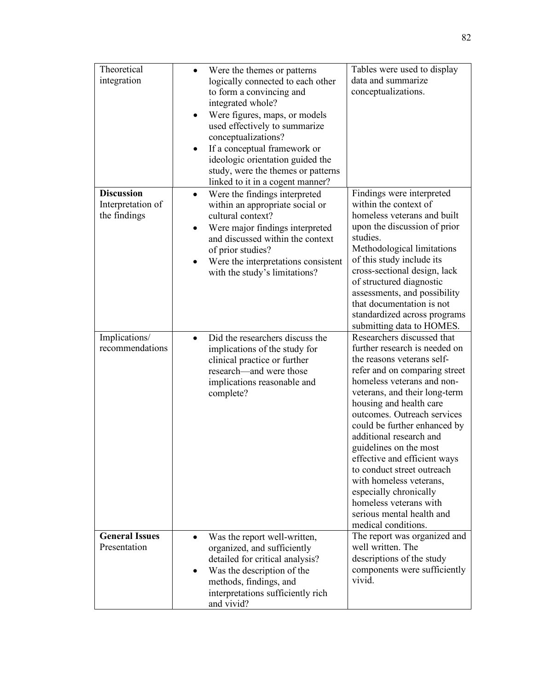| Theoretical<br>integration                             | Were the themes or patterns<br>logically connected to each other<br>to form a convincing and<br>integrated whole?<br>Were figures, maps, or models<br>used effectively to summarize<br>conceptualizations?<br>If a conceptual framework or<br>ideologic orientation guided the<br>study, were the themes or patterns<br>linked to it in a cogent manner? | Tables were used to display<br>data and summarize<br>conceptualizations.                                                                                                                                                                                                                                                                                                                                                                                                                                                                  |
|--------------------------------------------------------|----------------------------------------------------------------------------------------------------------------------------------------------------------------------------------------------------------------------------------------------------------------------------------------------------------------------------------------------------------|-------------------------------------------------------------------------------------------------------------------------------------------------------------------------------------------------------------------------------------------------------------------------------------------------------------------------------------------------------------------------------------------------------------------------------------------------------------------------------------------------------------------------------------------|
| <b>Discussion</b><br>Interpretation of<br>the findings | Were the findings interpreted<br>within an appropriate social or<br>cultural context?<br>Were major findings interpreted<br>and discussed within the context<br>of prior studies?<br>Were the interpretations consistent<br>with the study's limitations?                                                                                                | Findings were interpreted<br>within the context of<br>homeless veterans and built<br>upon the discussion of prior<br>studies.<br>Methodological limitations<br>of this study include its<br>cross-sectional design, lack<br>of structured diagnostic<br>assessments, and possibility<br>that documentation is not<br>standardized across programs<br>submitting data to HOMES.                                                                                                                                                            |
| Implications/<br>recommendations                       | Did the researchers discuss the<br>$\bullet$<br>implications of the study for<br>clinical practice or further<br>research—and were those<br>implications reasonable and<br>complete?                                                                                                                                                                     | Researchers discussed that<br>further research is needed on<br>the reasons veterans self-<br>refer and on comparing street<br>homeless veterans and non-<br>veterans, and their long-term<br>housing and health care<br>outcomes. Outreach services<br>could be further enhanced by<br>additional research and<br>guidelines on the most<br>effective and efficient ways<br>to conduct street outreach<br>with homeless veterans,<br>especially chronically<br>homeless veterans with<br>serious mental health and<br>medical conditions. |
| <b>General Issues</b><br>Presentation                  | Was the report well-written,<br>organized, and sufficiently<br>detailed for critical analysis?<br>Was the description of the<br>methods, findings, and<br>interpretations sufficiently rich<br>and vivid?                                                                                                                                                | The report was organized and<br>well written. The<br>descriptions of the study<br>components were sufficiently<br>vivid.                                                                                                                                                                                                                                                                                                                                                                                                                  |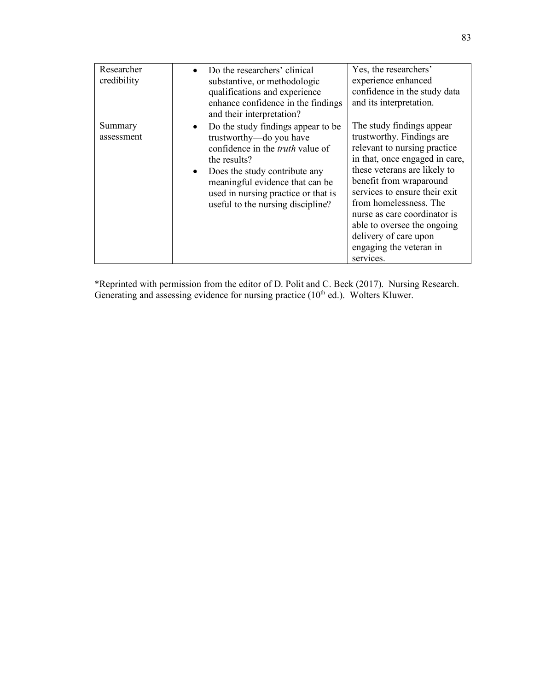| Researcher<br>credibility | Do the researchers' clinical<br>substantive, or methodologic<br>qualifications and experience<br>enhance confidence in the findings<br>and their interpretation?                                                                                                                      | Yes, the researchers'<br>experience enhanced<br>confidence in the study data<br>and its interpretation.                                                                                                                                                                                                                                                                        |
|---------------------------|---------------------------------------------------------------------------------------------------------------------------------------------------------------------------------------------------------------------------------------------------------------------------------------|--------------------------------------------------------------------------------------------------------------------------------------------------------------------------------------------------------------------------------------------------------------------------------------------------------------------------------------------------------------------------------|
| Summary<br>assessment     | Do the study findings appear to be<br>trustworthy-do you have<br>confidence in the <i>truth</i> value of<br>the results?<br>Does the study contribute any<br>$\bullet$<br>meaningful evidence that can be<br>used in nursing practice or that is<br>useful to the nursing discipline? | The study findings appear<br>trustworthy. Findings are<br>relevant to nursing practice<br>in that, once engaged in care,<br>these veterans are likely to<br>benefit from wraparound<br>services to ensure their exit<br>from homelessness. The<br>nurse as care coordinator is<br>able to oversee the ongoing<br>delivery of care upon<br>engaging the veteran in<br>services. |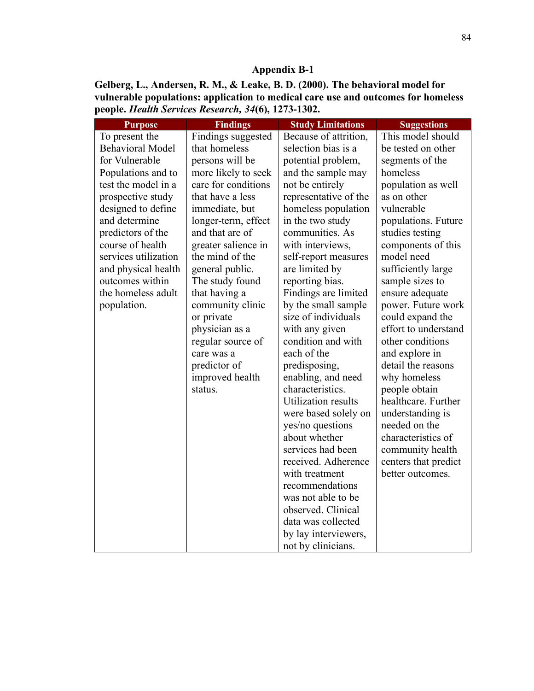**Gelberg, L., Andersen, R. M., & Leake, B. D. (2000). The behavioral model for vulnerable populations: application to medical care use and outcomes for homeless people.** *Health Services Research, 34***(6), 1273-1302.**

| <b>Purpose</b>          | <b>Findings</b>     | <b>Study Limitations</b>              | <b>Suggestions</b>   |
|-------------------------|---------------------|---------------------------------------|----------------------|
| To present the          | Findings suggested  | Because of attrition,                 | This model should    |
| <b>Behavioral Model</b> | that homeless       | selection bias is a                   | be tested on other   |
| for Vulnerable          | persons will be     | potential problem,                    | segments of the      |
| Populations and to      | more likely to seek | and the sample may                    | homeless             |
| test the model in a     | care for conditions | not be entirely                       | population as well   |
| prospective study       | that have a less    | representative of the                 | as on other          |
| designed to define      | immediate, but      | homeless population                   | vulnerable           |
| and determine           | longer-term, effect | in the two study                      | populations. Future  |
| predictors of the       | and that are of     | communities. As                       | studies testing      |
| course of health        | greater salience in | with interviews,                      | components of this   |
| services utilization    | the mind of the     | self-report measures                  | model need           |
| and physical health     | general public.     | are limited by                        | sufficiently large   |
| outcomes within         | The study found     | reporting bias.                       | sample sizes to      |
| the homeless adult      | that having a       | Findings are limited                  | ensure adequate      |
| population.             | community clinic    | by the small sample                   | power. Future work   |
|                         | or private          | size of individuals                   | could expand the     |
|                         | physician as a      | with any given                        | effort to understand |
|                         | regular source of   | condition and with                    | other conditions     |
|                         | care was a          | each of the                           | and explore in       |
|                         | predictor of        | predisposing,                         | detail the reasons   |
|                         | improved health     | enabling, and need                    | why homeless         |
|                         | status.             | characteristics.                      | people obtain        |
|                         |                     | <b>Utilization results</b>            | healthcare. Further  |
|                         |                     | were based solely on                  | understanding is     |
|                         |                     | yes/no questions                      | needed on the        |
|                         |                     | about whether                         | characteristics of   |
|                         |                     | services had been                     | community health     |
|                         |                     | received. Adherence                   | centers that predict |
|                         |                     | with treatment                        | better outcomes.     |
|                         |                     | recommendations<br>was not able to be |                      |
|                         |                     | observed. Clinical                    |                      |
|                         |                     | data was collected                    |                      |
|                         |                     | by lay interviewers,                  |                      |
|                         |                     | not by clinicians.                    |                      |
|                         |                     |                                       |                      |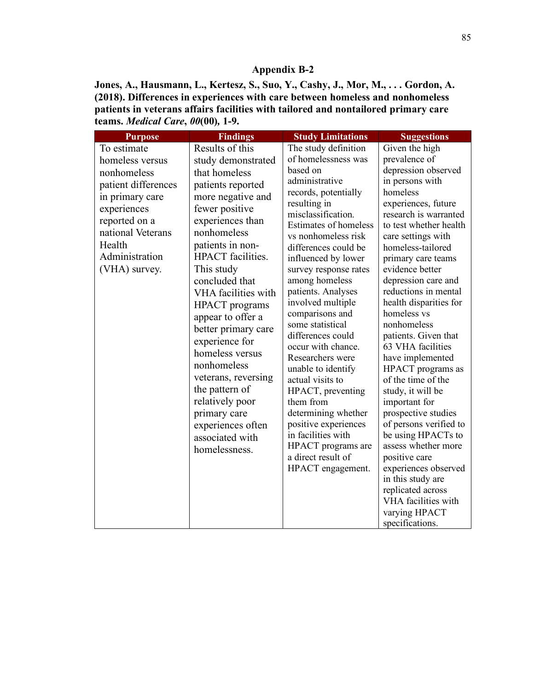**Jones, A., Hausmann, L., Kertesz, S., Suo, Y., Cashy, J., Mor, M., . . . Gordon, A. (2018). Differences in experiences with care between homeless and nonhomeless patients in veterans affairs facilities with tailored and nontailored primary care teams.** *Medical Care***,** *00***(00)***,* **1-9.**

| <b>Purpose</b>                                                                                                                                                                            | <b>Findings</b>                                                                                                                                                                                                                                                                                                                                                                                                                                                                                              | <b>Study Limitations</b>                                                                                                                                                                                                                                                                                                                                                                                                                                                                                                                                                                                                                             | <b>Suggestions</b>                                                                                                                                                                                                                                                                                                                                                                                                                                                                                                                                                                                                                                                                            |
|-------------------------------------------------------------------------------------------------------------------------------------------------------------------------------------------|--------------------------------------------------------------------------------------------------------------------------------------------------------------------------------------------------------------------------------------------------------------------------------------------------------------------------------------------------------------------------------------------------------------------------------------------------------------------------------------------------------------|------------------------------------------------------------------------------------------------------------------------------------------------------------------------------------------------------------------------------------------------------------------------------------------------------------------------------------------------------------------------------------------------------------------------------------------------------------------------------------------------------------------------------------------------------------------------------------------------------------------------------------------------------|-----------------------------------------------------------------------------------------------------------------------------------------------------------------------------------------------------------------------------------------------------------------------------------------------------------------------------------------------------------------------------------------------------------------------------------------------------------------------------------------------------------------------------------------------------------------------------------------------------------------------------------------------------------------------------------------------|
| To estimate<br>homeless versus<br>nonhomeless<br>patient differences<br>in primary care<br>experiences<br>reported on a<br>national Veterans<br>Health<br>Administration<br>(VHA) survey. | Results of this<br>study demonstrated<br>that homeless<br>patients reported<br>more negative and<br>fewer positive<br>experiences than<br>nonhomeless<br>patients in non-<br>HPACT facilities.<br>This study<br>concluded that<br>VHA facilities with<br>HPACT programs<br>appear to offer a<br>better primary care<br>experience for<br>homeless versus<br>nonhomeless<br>veterans, reversing<br>the pattern of<br>relatively poor<br>primary care<br>experiences often<br>associated with<br>homelessness. | The study definition<br>of homelessness was<br>based on<br>administrative<br>records, potentially<br>resulting in<br>misclassification.<br>Estimates of homeless<br>vs nonhomeless risk<br>differences could be<br>influenced by lower<br>survey response rates<br>among homeless<br>patients. Analyses<br>involved multiple<br>comparisons and<br>some statistical<br>differences could<br>occur with chance.<br>Researchers were<br>unable to identify<br>actual visits to<br>HPACT, preventing<br>them from<br>determining whether<br>positive experiences<br>in facilities with<br>HPACT programs are<br>a direct result of<br>HPACT engagement. | Given the high<br>prevalence of<br>depression observed<br>in persons with<br>homeless<br>experiences, future<br>research is warranted<br>to test whether health<br>care settings with<br>homeless-tailored<br>primary care teams<br>evidence better<br>depression care and<br>reductions in mental<br>health disparities for<br>homeless vs<br>nonhomeless<br>patients. Given that<br>63 VHA facilities<br>have implemented<br>HPACT programs as<br>of the time of the<br>study, it will be<br>important for<br>prospective studies<br>of persons verified to<br>be using HPACTs to<br>assess whether more<br>positive care<br>experiences observed<br>in this study are<br>replicated across |
|                                                                                                                                                                                           |                                                                                                                                                                                                                                                                                                                                                                                                                                                                                                              |                                                                                                                                                                                                                                                                                                                                                                                                                                                                                                                                                                                                                                                      | VHA facilities with<br>varying HPACT<br>specifications.                                                                                                                                                                                                                                                                                                                                                                                                                                                                                                                                                                                                                                       |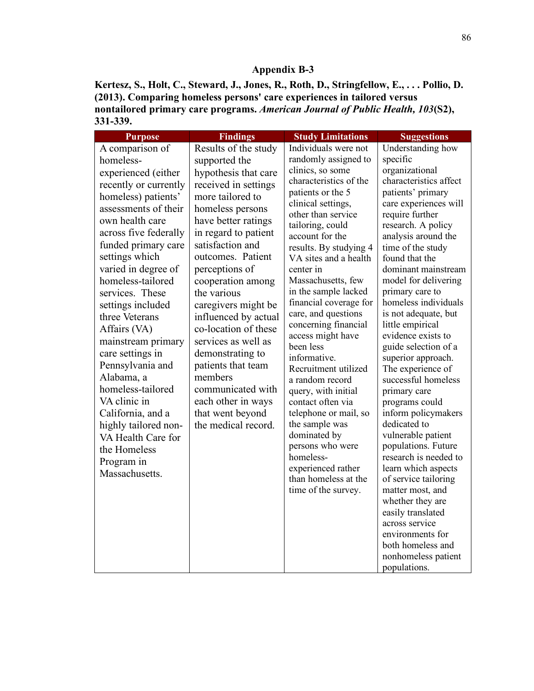**Kertesz, S., Holt, C., Steward, J., Jones, R., Roth, D., Stringfellow, E., . . . Pollio, D. (2013). Comparing homeless persons' care experiences in tailored versus nontailored primary care programs.** *American Journal of Public Health, 103***(S2), 331-339.**

| <b>Purpose</b>                                                                                                                                                                                                                                                                                                                                                                                                                                                                                       | <b>Findings</b>                                                                                                                                                                                                                                                                                                                                                                                                                                                                                                      | <b>Study Limitations</b>                                                                                                                                                                                                                                                                                                                                                                                                                                                                                                                                                      | <b>Suggestions</b>                                                                                                                                                                                                                                                                                                                                                                                                                                                                                                                                            |
|------------------------------------------------------------------------------------------------------------------------------------------------------------------------------------------------------------------------------------------------------------------------------------------------------------------------------------------------------------------------------------------------------------------------------------------------------------------------------------------------------|----------------------------------------------------------------------------------------------------------------------------------------------------------------------------------------------------------------------------------------------------------------------------------------------------------------------------------------------------------------------------------------------------------------------------------------------------------------------------------------------------------------------|-------------------------------------------------------------------------------------------------------------------------------------------------------------------------------------------------------------------------------------------------------------------------------------------------------------------------------------------------------------------------------------------------------------------------------------------------------------------------------------------------------------------------------------------------------------------------------|---------------------------------------------------------------------------------------------------------------------------------------------------------------------------------------------------------------------------------------------------------------------------------------------------------------------------------------------------------------------------------------------------------------------------------------------------------------------------------------------------------------------------------------------------------------|
| A comparison of<br>homeless-<br>experienced (either<br>recently or currently<br>homeless) patients'<br>assessments of their<br>own health care<br>across five federally<br>funded primary care<br>settings which<br>varied in degree of<br>homeless-tailored<br>services. These<br>settings included<br>three Veterans<br>Affairs (VA)<br>mainstream primary<br>care settings in<br>Pennsylvania and<br>Alabama, a<br>homeless-tailored<br>VA clinic in<br>California, and a<br>highly tailored non- | Results of the study<br>supported the<br>hypothesis that care<br>received in settings<br>more tailored to<br>homeless persons<br>have better ratings<br>in regard to patient<br>satisfaction and<br>outcomes. Patient<br>perceptions of<br>cooperation among<br>the various<br>caregivers might be<br>influenced by actual<br>co-location of these<br>services as well as<br>demonstrating to<br>patients that team<br>members<br>communicated with<br>each other in ways<br>that went beyond<br>the medical record. | Individuals were not<br>randomly assigned to<br>clinics, so some<br>characteristics of the<br>patients or the 5<br>clinical settings,<br>other than service<br>tailoring, could<br>account for the<br>results. By studying 4<br>VA sites and a health<br>center in<br>Massachusetts, few<br>in the sample lacked<br>financial coverage for<br>care, and questions<br>concerning financial<br>access might have<br>been less<br>informative.<br>Recruitment utilized<br>a random record<br>query, with initial<br>contact often via<br>telephone or mail, so<br>the sample was | Understanding how<br>specific<br>organizational<br>characteristics affect<br>patients' primary<br>care experiences will<br>require further<br>research. A policy<br>analysis around the<br>time of the study<br>found that the<br>dominant mainstream<br>model for delivering<br>primary care to<br>homeless individuals<br>is not adequate, but<br>little empirical<br>evidence exists to<br>guide selection of a<br>superior approach.<br>The experience of<br>successful homeless<br>primary care<br>programs could<br>inform policymakers<br>dedicated to |
| VA Health Care for<br>the Homeless<br>Program in<br>Massachusetts.                                                                                                                                                                                                                                                                                                                                                                                                                                   |                                                                                                                                                                                                                                                                                                                                                                                                                                                                                                                      | dominated by<br>persons who were<br>homeless-<br>experienced rather<br>than homeless at the<br>time of the survey.                                                                                                                                                                                                                                                                                                                                                                                                                                                            | vulnerable patient<br>populations. Future<br>research is needed to<br>learn which aspects<br>of service tailoring<br>matter most, and<br>whether they are<br>easily translated<br>across service                                                                                                                                                                                                                                                                                                                                                              |
|                                                                                                                                                                                                                                                                                                                                                                                                                                                                                                      |                                                                                                                                                                                                                                                                                                                                                                                                                                                                                                                      |                                                                                                                                                                                                                                                                                                                                                                                                                                                                                                                                                                               | environments for<br>both homeless and<br>nonhomeless patient<br>populations.                                                                                                                                                                                                                                                                                                                                                                                                                                                                                  |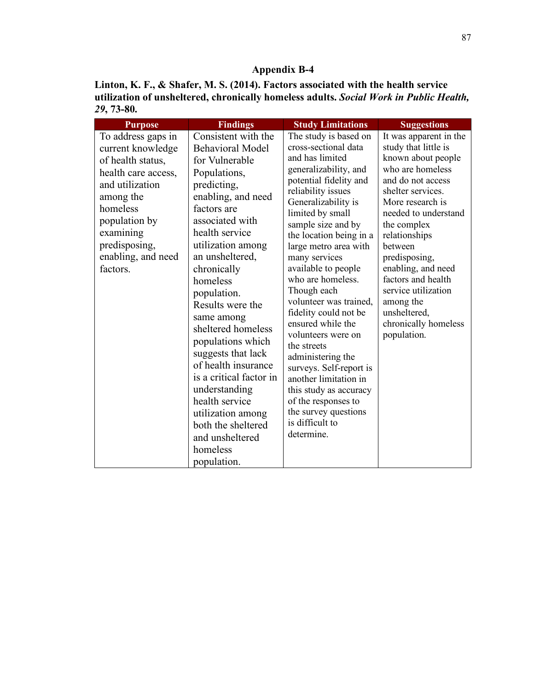**Linton, K. F., & Shafer, M. S. (2014). Factors associated with the health service utilization of unsheltered, chronically homeless adults.** *Social Work in Public Health, 29***, 73-80.**

| <b>Purpose</b>                                                                                                                                                                                                   | <b>Findings</b>                                                                                                                                                                                                                                                                                                                                                                                                                                                                                                                              | <b>Study Limitations</b>                                                                                                                                                                                                                                                                                                                                                                                                                                                                                                                                                                                                                   | <b>Suggestions</b>                                                                                                                                                                                                                                                                                                                                                                |
|------------------------------------------------------------------------------------------------------------------------------------------------------------------------------------------------------------------|----------------------------------------------------------------------------------------------------------------------------------------------------------------------------------------------------------------------------------------------------------------------------------------------------------------------------------------------------------------------------------------------------------------------------------------------------------------------------------------------------------------------------------------------|--------------------------------------------------------------------------------------------------------------------------------------------------------------------------------------------------------------------------------------------------------------------------------------------------------------------------------------------------------------------------------------------------------------------------------------------------------------------------------------------------------------------------------------------------------------------------------------------------------------------------------------------|-----------------------------------------------------------------------------------------------------------------------------------------------------------------------------------------------------------------------------------------------------------------------------------------------------------------------------------------------------------------------------------|
| To address gaps in<br>current knowledge<br>of health status,<br>health care access,<br>and utilization<br>among the<br>homeless<br>population by<br>examining<br>predisposing,<br>enabling, and need<br>factors. | Consistent with the<br><b>Behavioral Model</b><br>for Vulnerable<br>Populations,<br>predicting,<br>enabling, and need<br>factors are<br>associated with<br>health service<br>utilization among<br>an unsheltered,<br>chronically<br>homeless<br>population.<br>Results were the<br>same among<br>sheltered homeless<br>populations which<br>suggests that lack<br>of health insurance<br>is a critical factor in<br>understanding<br>health service<br>utilization among<br>both the sheltered<br>and unsheltered<br>homeless<br>population. | The study is based on<br>cross-sectional data<br>and has limited<br>generalizability, and<br>potential fidelity and<br>reliability issues<br>Generalizability is<br>limited by small<br>sample size and by<br>the location being in a<br>large metro area with<br>many services<br>available to people<br>who are homeless.<br>Though each<br>volunteer was trained,<br>fidelity could not be<br>ensured while the<br>volunteers were on<br>the streets<br>administering the<br>surveys. Self-report is<br>another limitation in<br>this study as accuracy<br>of the responses to<br>the survey questions<br>is difficult to<br>determine. | It was apparent in the<br>study that little is<br>known about people<br>who are homeless<br>and do not access<br>shelter services.<br>More research is<br>needed to understand<br>the complex<br>relationships<br>between<br>predisposing,<br>enabling, and need<br>factors and health<br>service utilization<br>among the<br>unsheltered,<br>chronically homeless<br>population. |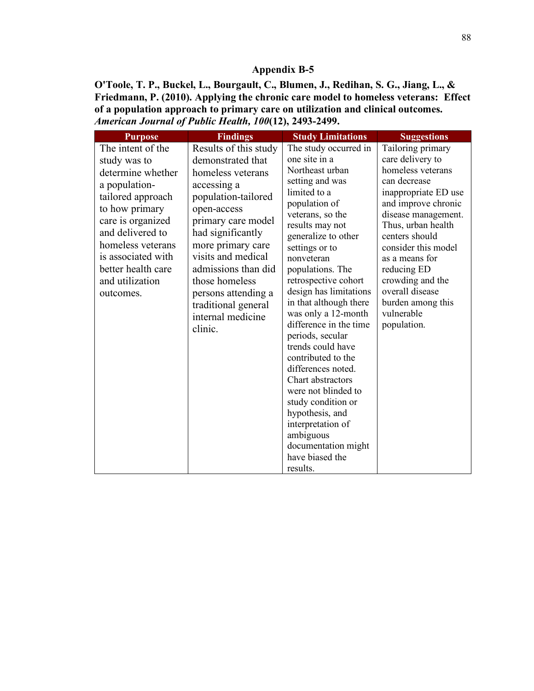**O'Toole, T. P., Buckel, L., Bourgault, C., Blumen, J., Redihan, S. G., Jiang, L., & Friedmann, P. (2010). Applying the chronic care model to homeless veterans: Effect of a population approach to primary care on utilization and clinical outcomes.**  *American Journal of Public Health, 100***(12), 2493-2499.**

| <b>Purpose</b>                                                                                                                                                                | <b>Findings</b>                                                                                                                                                                                                                                 | <b>Study Limitations</b>                                                                                                                                                                                                                                                                                                                                                                                                                                                                                        | <b>Suggestions</b>                                                                                                                                                                                                                                          |
|-------------------------------------------------------------------------------------------------------------------------------------------------------------------------------|-------------------------------------------------------------------------------------------------------------------------------------------------------------------------------------------------------------------------------------------------|-----------------------------------------------------------------------------------------------------------------------------------------------------------------------------------------------------------------------------------------------------------------------------------------------------------------------------------------------------------------------------------------------------------------------------------------------------------------------------------------------------------------|-------------------------------------------------------------------------------------------------------------------------------------------------------------------------------------------------------------------------------------------------------------|
| The intent of the<br>study was to<br>determine whether<br>a population-                                                                                                       | Results of this study<br>demonstrated that<br>homeless veterans<br>accessing a                                                                                                                                                                  | The study occurred in<br>one site in a<br>Northeast urban<br>setting and was                                                                                                                                                                                                                                                                                                                                                                                                                                    | Tailoring primary<br>care delivery to<br>homeless veterans<br>can decrease                                                                                                                                                                                  |
| tailored approach<br>to how primary<br>care is organized<br>and delivered to<br>homeless veterans<br>is associated with<br>better health care<br>and utilization<br>outcomes. | population-tailored<br>open-access<br>primary care model<br>had significantly<br>more primary care<br>visits and medical<br>admissions than did<br>those homeless<br>persons attending a<br>traditional general<br>internal medicine<br>clinic. | limited to a<br>population of<br>veterans, so the<br>results may not<br>generalize to other<br>settings or to<br>nonveteran<br>populations. The<br>retrospective cohort<br>design has limitations<br>in that although there<br>was only a 12-month<br>difference in the time<br>periods, secular<br>trends could have<br>contributed to the<br>differences noted.<br>Chart abstractors<br>were not blinded to<br>study condition or<br>hypothesis, and<br>interpretation of<br>ambiguous<br>documentation might | inappropriate ED use<br>and improve chronic<br>disease management.<br>Thus, urban health<br>centers should<br>consider this model<br>as a means for<br>reducing ED<br>crowding and the<br>overall disease<br>burden among this<br>vulnerable<br>population. |
|                                                                                                                                                                               |                                                                                                                                                                                                                                                 | have biased the<br>results.                                                                                                                                                                                                                                                                                                                                                                                                                                                                                     |                                                                                                                                                                                                                                                             |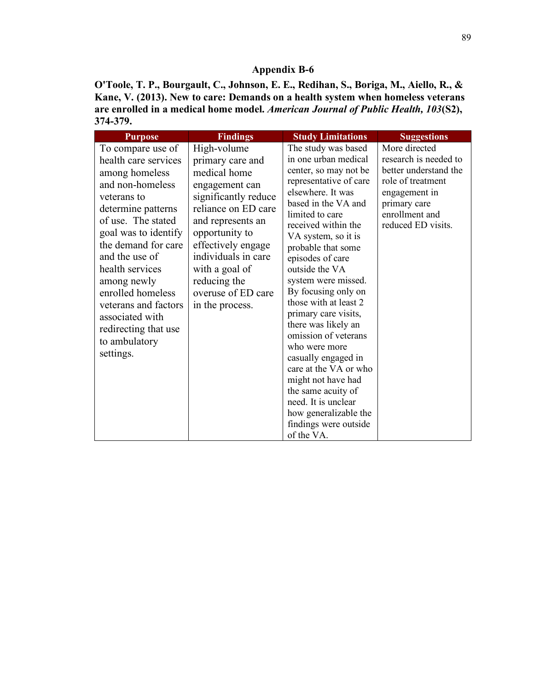**O'Toole, T. P., Bourgault, C., Johnson, E. E., Redihan, S., Boriga, M., Aiello, R., & Kane, V. (2013). New to care: Demands on a health system when homeless veterans are enrolled in a medical home model.** *American Journal of Public Health, 103***(S2), 374-379.**

| <b>Purpose</b>       | <b>Findings</b>      | <b>Study Limitations</b>                     | <b>Suggestions</b>                 |
|----------------------|----------------------|----------------------------------------------|------------------------------------|
| To compare use of    | High-volume          | The study was based                          | More directed                      |
| health care services | primary care and     | in one urban medical                         | research is needed to              |
| among homeless       | medical home         | center, so may not be                        | better understand the              |
| and non-homeless     | engagement can       | representative of care<br>elsewhere. It was  | role of treatment<br>engagement in |
| veterans to          | significantly reduce | based in the VA and                          | primary care                       |
| determine patterns   | reliance on ED care  | limited to care                              | enrollment and                     |
| of use. The stated   | and represents an    | received within the                          | reduced ED visits.                 |
| goal was to identify | opportunity to       | VA system, so it is                          |                                    |
| the demand for care  | effectively engage   | probable that some                           |                                    |
| and the use of       | individuals in care  | episodes of care                             |                                    |
| health services      | with a goal of       | outside the VA                               |                                    |
| among newly          | reducing the         | system were missed.                          |                                    |
| enrolled homeless    | overuse of ED care   | By focusing only on<br>those with at least 2 |                                    |
| veterans and factors | in the process.      | primary care visits,                         |                                    |
| associated with      |                      | there was likely an                          |                                    |
| redirecting that use |                      | omission of veterans                         |                                    |
| to ambulatory        |                      | who were more                                |                                    |
| settings.            |                      | casually engaged in                          |                                    |
|                      |                      | care at the VA or who                        |                                    |
|                      |                      | might not have had                           |                                    |
|                      |                      | the same acuity of                           |                                    |
|                      |                      | need. It is unclear<br>how generalizable the |                                    |
|                      |                      | findings were outside                        |                                    |
|                      |                      | of the VA.                                   |                                    |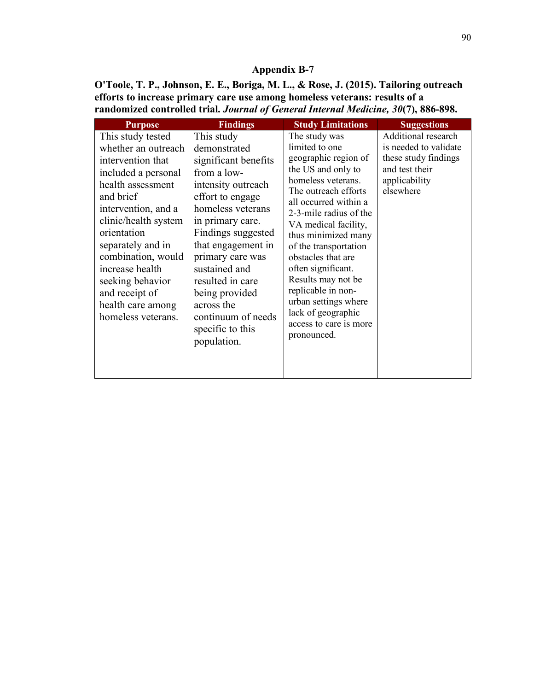**O'Toole, T. P., Johnson, E. E., Boriga, M. L., & Rose, J. (2015). Tailoring outreach efforts to increase primary care use among homeless veterans: results of a randomized controlled trial.** *Journal of General Internal Medicine, 30***(7), 886-898.**

| <b>Purpose</b>                                                                                                                                                                                                                                                                                                                      | <b>Findings</b>                                                                                                                                                                                                                                                                                                                                    | <b>Study Limitations</b>                                                                                                                                                                                                                                                                                                                                                                                                              | <b>Suggestions</b>                                                                                                   |
|-------------------------------------------------------------------------------------------------------------------------------------------------------------------------------------------------------------------------------------------------------------------------------------------------------------------------------------|----------------------------------------------------------------------------------------------------------------------------------------------------------------------------------------------------------------------------------------------------------------------------------------------------------------------------------------------------|---------------------------------------------------------------------------------------------------------------------------------------------------------------------------------------------------------------------------------------------------------------------------------------------------------------------------------------------------------------------------------------------------------------------------------------|----------------------------------------------------------------------------------------------------------------------|
| This study tested<br>whether an outreach<br>intervention that<br>included a personal<br>health assessment<br>and brief<br>intervention, and a<br>clinic/health system<br>orientation<br>separately and in<br>combination, would<br>increase health<br>seeking behavior<br>and receipt of<br>health care among<br>homeless veterans. | This study<br>demonstrated<br>significant benefits<br>from a low-<br>intensity outreach<br>effort to engage<br>homeless veterans<br>in primary care.<br>Findings suggested<br>that engagement in<br>primary care was<br>sustained and<br>resulted in care<br>being provided<br>across the<br>continuum of needs<br>specific to this<br>population. | The study was<br>limited to one<br>geographic region of<br>the US and only to<br>homeless veterans.<br>The outreach efforts<br>all occurred within a<br>2-3-mile radius of the<br>VA medical facility,<br>thus minimized many<br>of the transportation<br>obstacles that are<br>often significant.<br>Results may not be<br>replicable in non-<br>urban settings where<br>lack of geographic<br>access to care is more<br>pronounced. | Additional research<br>is needed to validate<br>these study findings<br>and test their<br>applicability<br>elsewhere |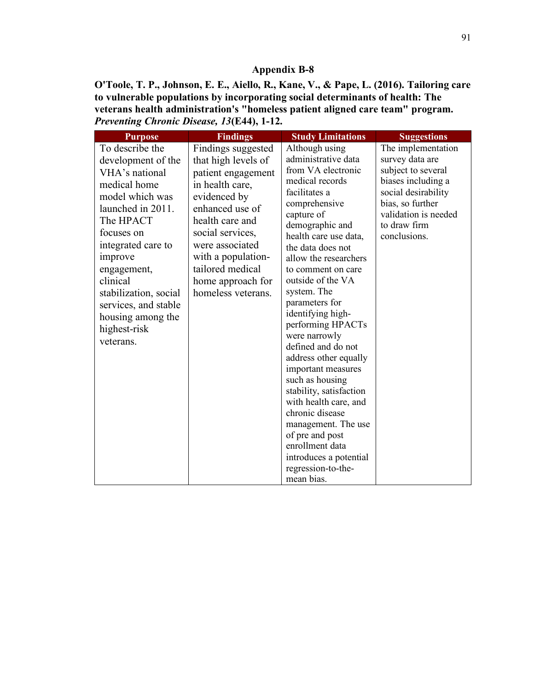**O'Toole, T. P., Johnson, E. E., Aiello, R., Kane, V., & Pape, L. (2016). Tailoring care to vulnerable populations by incorporating social determinants of health: The veterans health administration's "homeless patient aligned care team" program.**  *Preventing Chronic Disease, 13***(E44), 1-12.**

| <b>Purpose</b>                                                                                                                                                                                                                                                                                            | <b>Findings</b>                                                                                                                                                                                                                                                      | <b>Study Limitations</b>                                                                                                                                                                                                                                                                                                                                                                                                                                                                                                                                                                                                                                  | <b>Suggestions</b>                                                                                                                                                                   |
|-----------------------------------------------------------------------------------------------------------------------------------------------------------------------------------------------------------------------------------------------------------------------------------------------------------|----------------------------------------------------------------------------------------------------------------------------------------------------------------------------------------------------------------------------------------------------------------------|-----------------------------------------------------------------------------------------------------------------------------------------------------------------------------------------------------------------------------------------------------------------------------------------------------------------------------------------------------------------------------------------------------------------------------------------------------------------------------------------------------------------------------------------------------------------------------------------------------------------------------------------------------------|--------------------------------------------------------------------------------------------------------------------------------------------------------------------------------------|
| To describe the<br>development of the<br>VHA's national<br>medical home<br>model which was<br>launched in 2011.<br>The HPACT<br>focuses on<br>integrated care to<br>improve<br>engagement,<br>clinical<br>stabilization, social<br>services, and stable<br>housing among the<br>highest-risk<br>veterans. | Findings suggested<br>that high levels of<br>patient engagement<br>in health care,<br>evidenced by<br>enhanced use of<br>health care and<br>social services,<br>were associated<br>with a population-<br>tailored medical<br>home approach for<br>homeless veterans. | Although using<br>administrative data<br>from VA electronic<br>medical records<br>facilitates a<br>comprehensive<br>capture of<br>demographic and<br>health care use data,<br>the data does not<br>allow the researchers<br>to comment on care<br>outside of the VA<br>system. The<br>parameters for<br>identifying high-<br>performing HPACTs<br>were narrowly<br>defined and do not<br>address other equally<br>important measures<br>such as housing<br>stability, satisfaction<br>with health care, and<br>chronic disease<br>management. The use<br>of pre and post<br>enrollment data<br>introduces a potential<br>regression-to-the-<br>mean bias. | The implementation<br>survey data are<br>subject to several<br>biases including a<br>social desirability<br>bias, so further<br>validation is needed<br>to draw firm<br>conclusions. |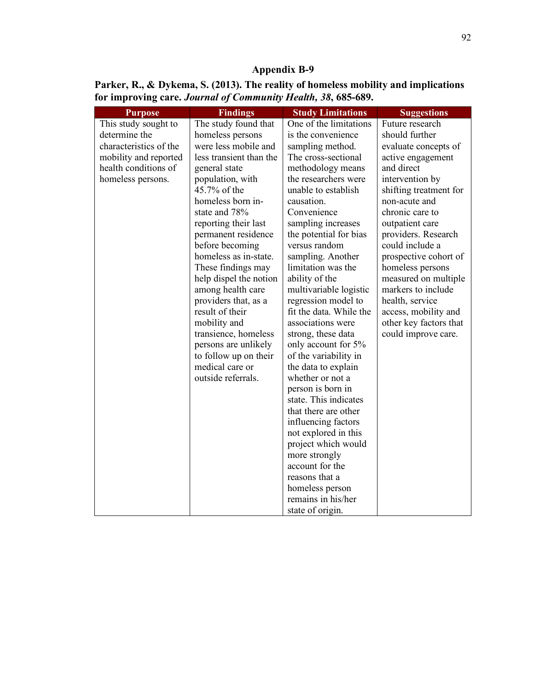| Parker, R., & Dykema, S. (2013). The reality of homeless mobility and implications |
|------------------------------------------------------------------------------------|
| for improving care. Journal of Community Health, 38, 685-689.                      |

| <b>Purpose</b>         | <b>Findings</b>         | <b>Study Limitations</b> | <b>Suggestions</b>     |
|------------------------|-------------------------|--------------------------|------------------------|
| This study sought to   | The study found that    | One of the limitations   | Future research        |
| determine the          | homeless persons        | is the convenience       | should further         |
| characteristics of the | were less mobile and    | sampling method.         | evaluate concepts of   |
| mobility and reported  | less transient than the | The cross-sectional      | active engagement      |
| health conditions of   | general state           | methodology means        | and direct             |
| homeless persons.      | population, with        | the researchers were     | intervention by        |
|                        | 45.7% of the            | unable to establish      | shifting treatment for |
|                        | homeless born in-       | causation.               | non-acute and          |
|                        | state and 78%           | Convenience              | chronic care to        |
|                        | reporting their last    | sampling increases       | outpatient care        |
|                        | permanent residence     | the potential for bias   | providers. Research    |
|                        | before becoming         | versus random            | could include a        |
|                        | homeless as in-state.   | sampling. Another        | prospective cohort of  |
|                        | These findings may      | limitation was the       | homeless persons       |
|                        | help dispel the notion  | ability of the           | measured on multiple   |
|                        | among health care       | multivariable logistic   | markers to include     |
|                        | providers that, as a    | regression model to      | health, service        |
|                        | result of their         | fit the data. While the  | access, mobility and   |
|                        | mobility and            | associations were        | other key factors that |
|                        | transience, homeless    | strong, these data       | could improve care.    |
|                        | persons are unlikely    | only account for 5%      |                        |
|                        | to follow up on their   | of the variability in    |                        |
|                        | medical care or         | the data to explain      |                        |
|                        | outside referrals.      | whether or not a         |                        |
|                        |                         | person is born in        |                        |
|                        |                         | state. This indicates    |                        |
|                        |                         | that there are other     |                        |
|                        |                         | influencing factors      |                        |
|                        |                         | not explored in this     |                        |
|                        |                         | project which would      |                        |
|                        |                         | more strongly            |                        |
|                        |                         | account for the          |                        |
|                        |                         | reasons that a           |                        |
|                        |                         | homeless person          |                        |
|                        |                         | remains in his/her       |                        |
|                        |                         | state of origin.         |                        |